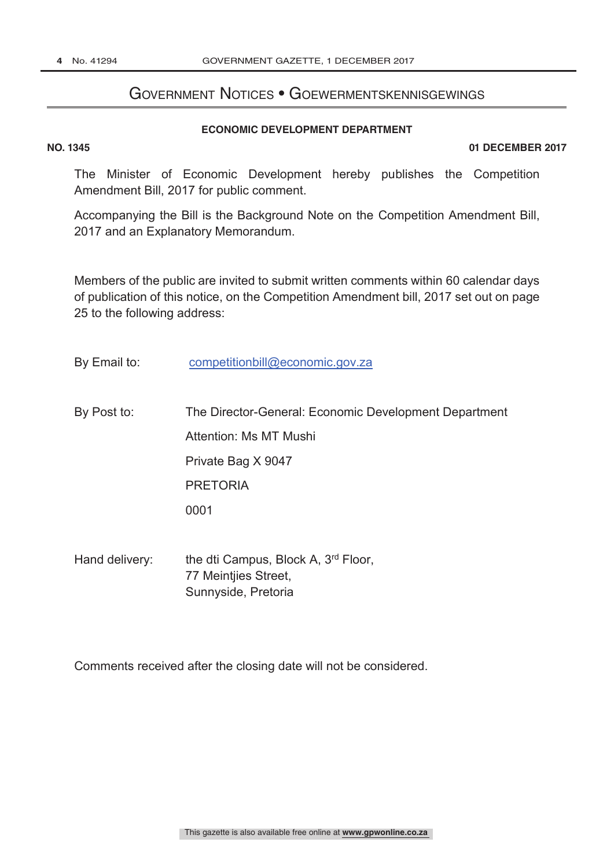# GOVERNMENT NOTICES • GOEWERMENTSKENNISGEWINGS

# **ECONOMIC DEVELOPMENT DEPARTMENT**

#### **NO. 1345 01 DECEMBER 2017**

The Minister of Economic Development hereby publishes the Competition Amendment Bill, 2017 for public comment.

Accompanying the Bill is the Background Note on the Competition Amendment Bill, 2017 and an Explanatory Memorandum.

Members of the public are invited to submit written comments within 60 calendar days of publication of this notice, on the Competition Amendment bill, 2017 set out on page 25 to the following address:

- By Email to: competitionbill@economic.gov.za
- By Post to: The Director-General: Economic Development Department Attention: Ms MT Mushi Private Bag X 9047 PRETORIA 0001
- Hand delivery: the dti Campus, Block A, 3<sup>rd</sup> Floor, 77 Meintjies Street, Sunnyside, Pretoria

Comments received after the closing date will not be considered.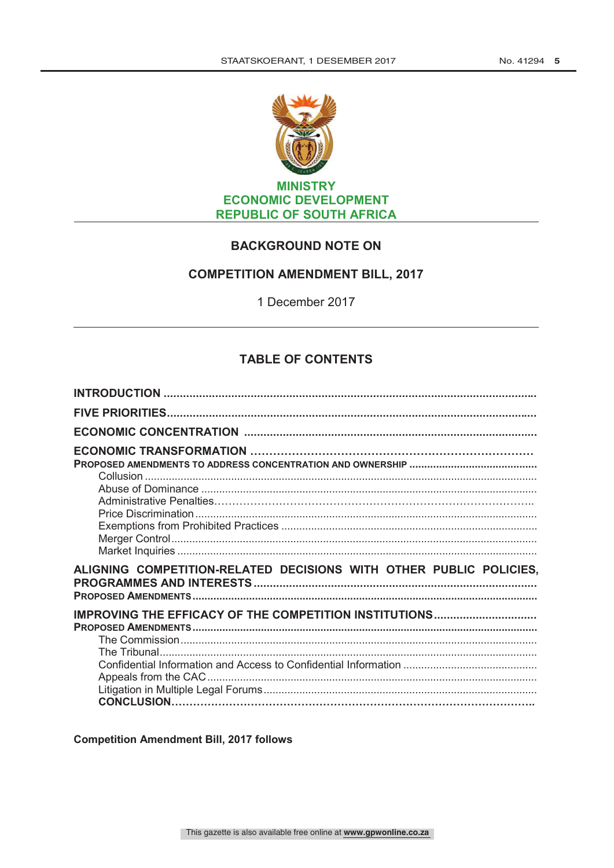

# **BACKGROUND NOTE ON**

### **COMPETITION AMENDMENT BILL, 2017**

1 December 2017

# **TABLE OF CONTENTS**

| ALIGNING COMPETITION-RELATED DECISIONS WITH OTHER PUBLIC POLICIES. |
|--------------------------------------------------------------------|
|                                                                    |

**Competition Amendment Bill, 2017 follows**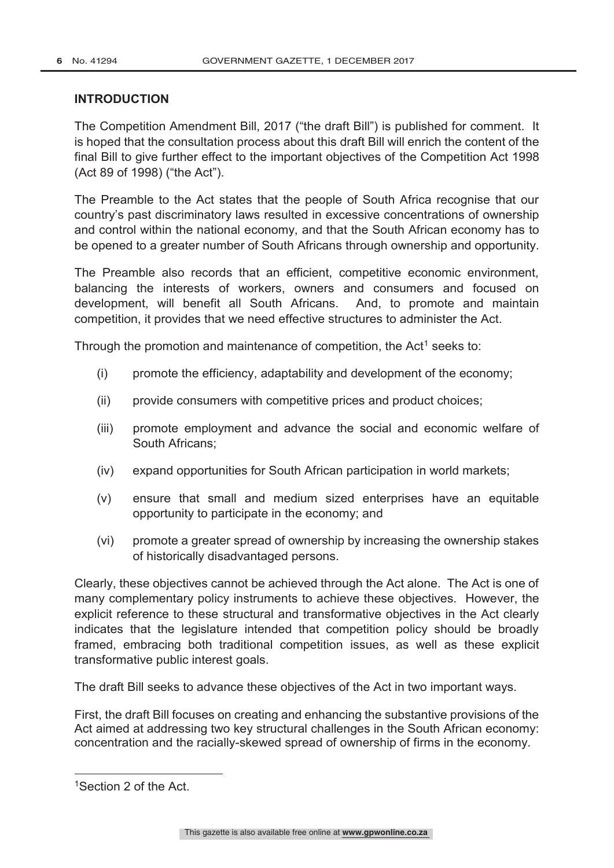# **INTRODUCTION**

The Competition Amendment Bill, 2017 ("the draft Bill") is published for comment. It is hoped that the consultation process about this draft Bill will enrich the content of the final Bill to give further effect to the important objectives of the Competition Act 1998 (Act 89 of 1998) ("the Act").

The Preamble to the Act states that the people of South Africa recognise that our country's past discriminatory laws resulted in excessive concentrations of ownership and control within the national economy, and that the South African economy has to be opened to a greater number of South Africans through ownership and opportunity.

The Preamble also records that an efficient, competitive economic environment, balancing the interests of workers, owners and consumers and focused on development, will benefit all South Africans. And, to promote and maintain competition, it provides that we need effective structures to administer the Act.

Through the promotion and maintenance of competition, the Act<sup>1</sup> seeks to:

- (i) promote the efficiency, adaptability and development of the economy;
- (ii) provide consumers with competitive prices and product choices;
- (iii) promote employment and advance the social and economic welfare of South Africans;
- (iv) expand opportunities for South African participation in world markets;
- (v) ensure that small and medium sized enterprises have an equitable opportunity to participate in the economy; and
- (vi) promote a greater spread of ownership by increasing the ownership stakes of historically disadvantaged persons.

Clearly, these objectives cannot be achieved through the Act alone. The Act is one of many complementary policy instruments to achieve these objectives. However, the explicit reference to these structural and transformative objectives in the Act clearly indicates that the legislature intended that competition policy should be broadly framed, embracing both traditional competition issues, as well as these explicit transformative public interest goals.

The draft Bill seeks to advance these objectives of the Act in two important ways.

First, the draft Bill focuses on creating and enhancing the substantive provisions of the Act aimed at addressing two key structural challenges in the South African economy: concentration and the racially-skewed spread of ownership of firms in the economy.

 $\overline{a}$ 

<sup>1</sup>Section 2 of the Act.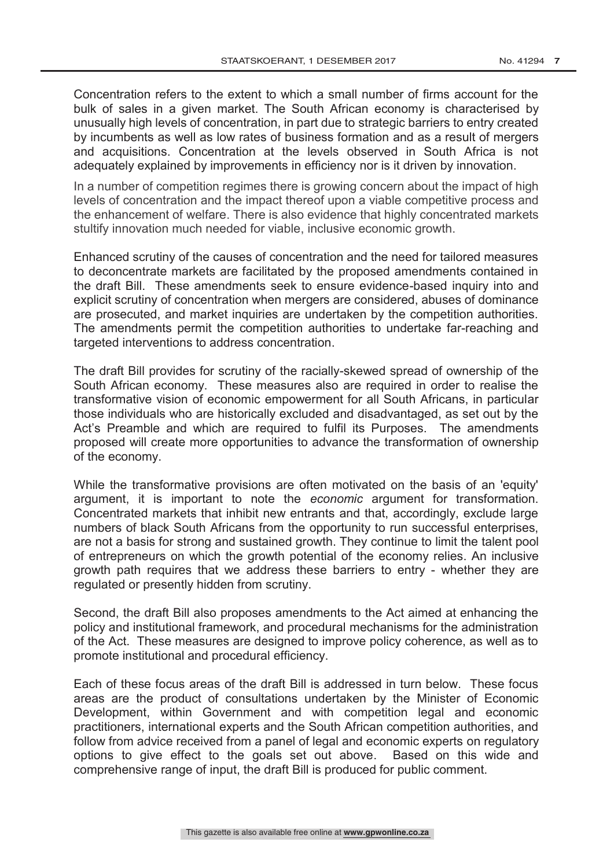Concentration refers to the extent to which a small number of firms account for the bulk of sales in a given market. The South African economy is characterised by unusually high levels of concentration, in part due to strategic barriers to entry created by incumbents as well as low rates of business formation and as a result of mergers and acquisitions. Concentration at the levels observed in South Africa is not adequately explained by improvements in efficiency nor is it driven by innovation.

In a number of competition regimes there is growing concern about the impact of high levels of concentration and the impact thereof upon a viable competitive process and the enhancement of welfare. There is also evidence that highly concentrated markets stultify innovation much needed for viable, inclusive economic growth.

Enhanced scrutiny of the causes of concentration and the need for tailored measures to deconcentrate markets are facilitated by the proposed amendments contained in the draft Bill. These amendments seek to ensure evidence-based inquiry into and explicit scrutiny of concentration when mergers are considered, abuses of dominance are prosecuted, and market inquiries are undertaken by the competition authorities. The amendments permit the competition authorities to undertake far-reaching and targeted interventions to address concentration.

The draft Bill provides for scrutiny of the racially-skewed spread of ownership of the South African economy. These measures also are required in order to realise the transformative vision of economic empowerment for all South Africans, in particular those individuals who are historically excluded and disadvantaged, as set out by the Act's Preamble and which are required to fulfil its Purposes. The amendments proposed will create more opportunities to advance the transformation of ownership of the economy.

While the transformative provisions are often motivated on the basis of an 'equity' argument, it is important to note the *economic* argument for transformation. Concentrated markets that inhibit new entrants and that, accordingly, exclude large numbers of black South Africans from the opportunity to run successful enterprises, are not a basis for strong and sustained growth. They continue to limit the talent pool of entrepreneurs on which the growth potential of the economy relies. An inclusive growth path requires that we address these barriers to entry - whether they are regulated or presently hidden from scrutiny.

Second, the draft Bill also proposes amendments to the Act aimed at enhancing the policy and institutional framework, and procedural mechanisms for the administration of the Act. These measures are designed to improve policy coherence, as well as to promote institutional and procedural efficiency.

Each of these focus areas of the draft Bill is addressed in turn below. These focus areas are the product of consultations undertaken by the Minister of Economic Development, within Government and with competition legal and economic practitioners, international experts and the South African competition authorities, and follow from advice received from a panel of legal and economic experts on regulatory options to give effect to the goals set out above. Based on this wide and comprehensive range of input, the draft Bill is produced for public comment.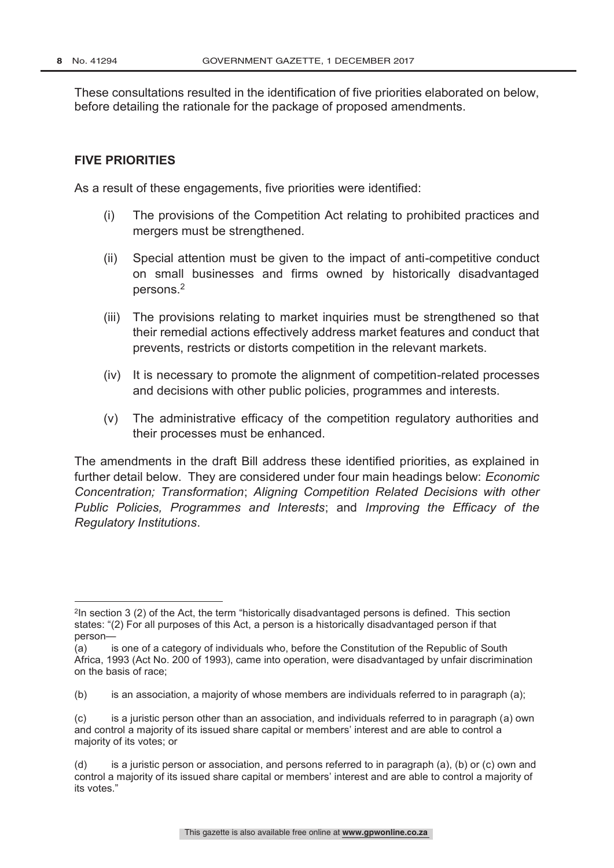These consultations resulted in the identification of five priorities elaborated on below, before detailing the rationale for the package of proposed amendments.

# **FIVE PRIORITIES**

As a result of these engagements, five priorities were identified:

- (i) The provisions of the Competition Act relating to prohibited practices and mergers must be strengthened.
- (ii) Special attention must be given to the impact of anti-competitive conduct on small businesses and firms owned by historically disadvantaged persons.2
- (iii) The provisions relating to market inquiries must be strengthened so that their remedial actions effectively address market features and conduct that prevents, restricts or distorts competition in the relevant markets.
- (iv) It is necessary to promote the alignment of competition-related processes and decisions with other public policies, programmes and interests.
- (v) The administrative efficacy of the competition regulatory authorities and their processes must be enhanced.

The amendments in the draft Bill address these identified priorities, as explained in further detail below. They are considered under four main headings below: *Economic Concentration; Transformation*; *Aligning Competition Related Decisions with other Public Policies, Programmes and Interests*; and *Improving the Efficacy of the Regulatory Institutions*.

 $\overline{a}$ <sup>2</sup>In section 3 (2) of the Act, the term "historically disadvantaged persons is defined. This section states: "(2) For all purposes of this Act, a person is a historically disadvantaged person if that person—

<sup>(</sup>a) is one of a category of individuals who, before the Constitution of the Republic of South Africa, 1993 (Act No. 200 of 1993), came into operation, were disadvantaged by unfair discrimination on the basis of race;

<sup>(</sup>b) is an association, a majority of whose members are individuals referred to in paragraph (a);

<sup>(</sup>c) is a juristic person other than an association, and individuals referred to in paragraph (a) own and control a majority of its issued share capital or members' interest and are able to control a majority of its votes; or

<sup>(</sup>d) is a juristic person or association, and persons referred to in paragraph (a), (b) or (c) own and control a majority of its issued share capital or members' interest and are able to control a majority of its votes."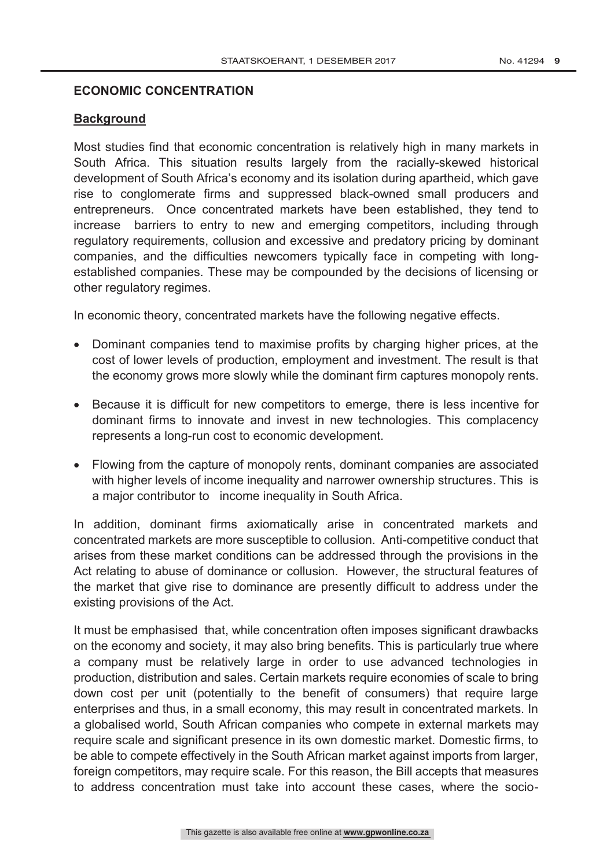# **ECONOMIC CONCENTRATION**

# **Background**

Most studies find that economic concentration is relatively high in many markets in South Africa. This situation results largely from the racially-skewed historical development of South Africa's economy and its isolation during apartheid, which gave rise to conglomerate firms and suppressed black-owned small producers and entrepreneurs. Once concentrated markets have been established, they tend to increase barriers to entry to new and emerging competitors, including through regulatory requirements, collusion and excessive and predatory pricing by dominant companies, and the difficulties newcomers typically face in competing with longestablished companies. These may be compounded by the decisions of licensing or other regulatory regimes.

In economic theory, concentrated markets have the following negative effects.

- Dominant companies tend to maximise profits by charging higher prices, at the cost of lower levels of production, employment and investment. The result is that the economy grows more slowly while the dominant firm captures monopoly rents.
- Because it is difficult for new competitors to emerge, there is less incentive for dominant firms to innovate and invest in new technologies. This complacency represents a long-run cost to economic development.
- Flowing from the capture of monopoly rents, dominant companies are associated with higher levels of income inequality and narrower ownership structures. This is a major contributor to income inequality in South Africa.

In addition, dominant firms axiomatically arise in concentrated markets and concentrated markets are more susceptible to collusion. Anti-competitive conduct that arises from these market conditions can be addressed through the provisions in the Act relating to abuse of dominance or collusion. However, the structural features of the market that give rise to dominance are presently difficult to address under the existing provisions of the Act.

It must be emphasised that, while concentration often imposes significant drawbacks on the economy and society, it may also bring benefits. This is particularly true where a company must be relatively large in order to use advanced technologies in production, distribution and sales. Certain markets require economies of scale to bring down cost per unit (potentially to the benefit of consumers) that require large enterprises and thus, in a small economy, this may result in concentrated markets. In a globalised world, South African companies who compete in external markets may require scale and significant presence in its own domestic market. Domestic firms, to be able to compete effectively in the South African market against imports from larger, foreign competitors, may require scale. For this reason, the Bill accepts that measures to address concentration must take into account these cases, where the socio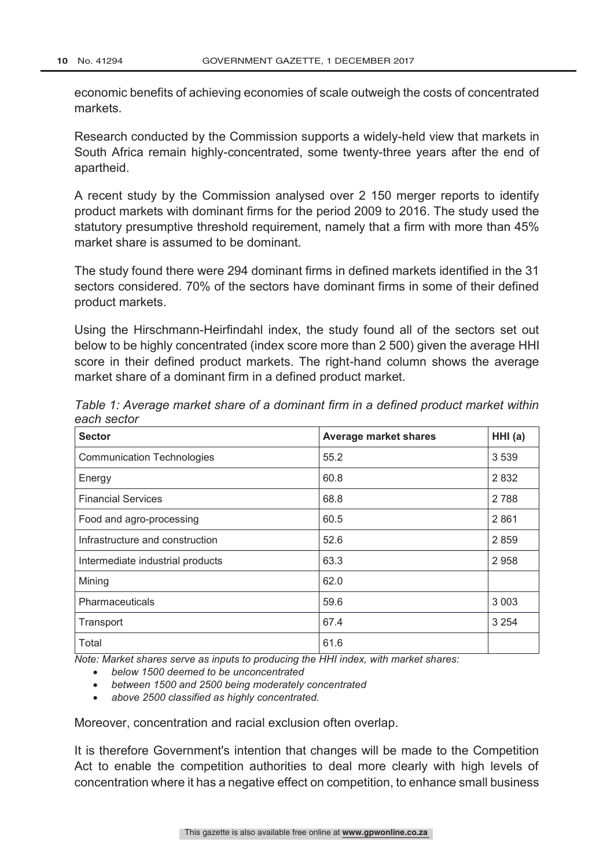economic benefits of achieving economies of scale outweigh the costs of concentrated markets.

Research conducted by the Commission supports a widely-held view that markets in South Africa remain highly-concentrated, some twenty-three years after the end of apartheid.

A recent study by the Commission analysed over 2 150 merger reports to identify product markets with dominant firms for the period 2009 to 2016. The study used the statutory presumptive threshold requirement, namely that a firm with more than 45% market share is assumed to be dominant.

The study found there were 294 dominant firms in defined markets identified in the 31 sectors considered. 70% of the sectors have dominant firms in some of their defined product markets.

Using the Hirschmann-Heirfindahl index, the study found all of the sectors set out below to be highly concentrated (index score more than 2 500) given the average HHI score in their defined product markets. The right-hand column shows the average market share of a dominant firm in a defined product market.

| <b>Sector</b>                     | <b>Average market shares</b> | HHI(a)  |
|-----------------------------------|------------------------------|---------|
| <b>Communication Technologies</b> | 55.2                         | 3539    |
| Energy                            | 60.8                         | 2832    |
| <b>Financial Services</b>         | 68.8                         | 2 7 8 8 |
| Food and agro-processing          | 60.5                         | 2861    |
| Infrastructure and construction   | 52.6                         | 2859    |
| Intermediate industrial products  | 63.3                         | 2958    |
| Mining                            | 62.0                         |         |
| Pharmaceuticals                   | 59.6                         | 3 0 0 3 |
| Transport                         | 67.4                         | 3 2 5 4 |
| Total                             | 61.6                         |         |

*Table 1: Average market share of a dominant firm in a defined product market within each sector* 

*Note: Market shares serve as inputs to producing the HHI index, with market shares:* 

- x *below 1500 deemed to be unconcentrated*
- x *between 1500 and 2500 being moderately concentrated*
- x *above 2500 classified as highly concentrated.*

Moreover, concentration and racial exclusion often overlap.

It is therefore Government's intention that changes will be made to the Competition Act to enable the competition authorities to deal more clearly with high levels of concentration where it has a negative effect on competition, to enhance small business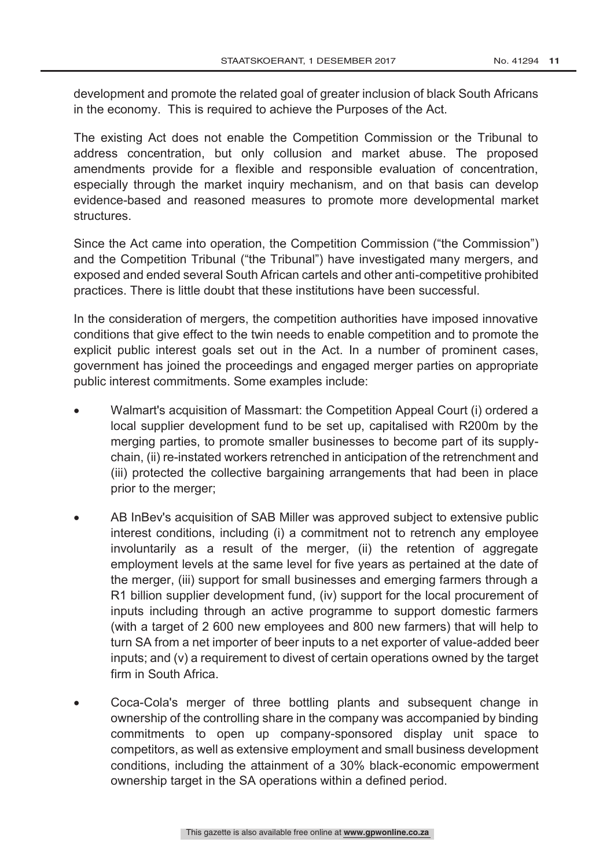development and promote the related goal of greater inclusion of black South Africans in the economy. This is required to achieve the Purposes of the Act.

The existing Act does not enable the Competition Commission or the Tribunal to address concentration, but only collusion and market abuse. The proposed amendments provide for a flexible and responsible evaluation of concentration, especially through the market inquiry mechanism, and on that basis can develop evidence-based and reasoned measures to promote more developmental market structures.

Since the Act came into operation, the Competition Commission ("the Commission") and the Competition Tribunal ("the Tribunal") have investigated many mergers, and exposed and ended several South African cartels and other anti-competitive prohibited practices. There is little doubt that these institutions have been successful.

In the consideration of mergers, the competition authorities have imposed innovative conditions that give effect to the twin needs to enable competition and to promote the explicit public interest goals set out in the Act. In a number of prominent cases, government has joined the proceedings and engaged merger parties on appropriate public interest commitments. Some examples include:

- Walmart's acquisition of Massmart: the Competition Appeal Court (i) ordered a local supplier development fund to be set up, capitalised with R200m by the merging parties, to promote smaller businesses to become part of its supplychain, (ii) re-instated workers retrenched in anticipation of the retrenchment and (iii) protected the collective bargaining arrangements that had been in place prior to the merger;
- AB InBev's acquisition of SAB Miller was approved subject to extensive public interest conditions, including (i) a commitment not to retrench any employee involuntarily as a result of the merger, (ii) the retention of aggregate employment levels at the same level for five years as pertained at the date of the merger, (iii) support for small businesses and emerging farmers through a R1 billion supplier development fund, (iv) support for the local procurement of inputs including through an active programme to support domestic farmers (with a target of 2 600 new employees and 800 new farmers) that will help to turn SA from a net importer of beer inputs to a net exporter of value-added beer inputs; and (v) a requirement to divest of certain operations owned by the target firm in South Africa
- Coca-Cola's merger of three bottling plants and subsequent change in ownership of the controlling share in the company was accompanied by binding commitments to open up company-sponsored display unit space to competitors, as well as extensive employment and small business development conditions, including the attainment of a 30% black-economic empowerment ownership target in the SA operations within a defined period.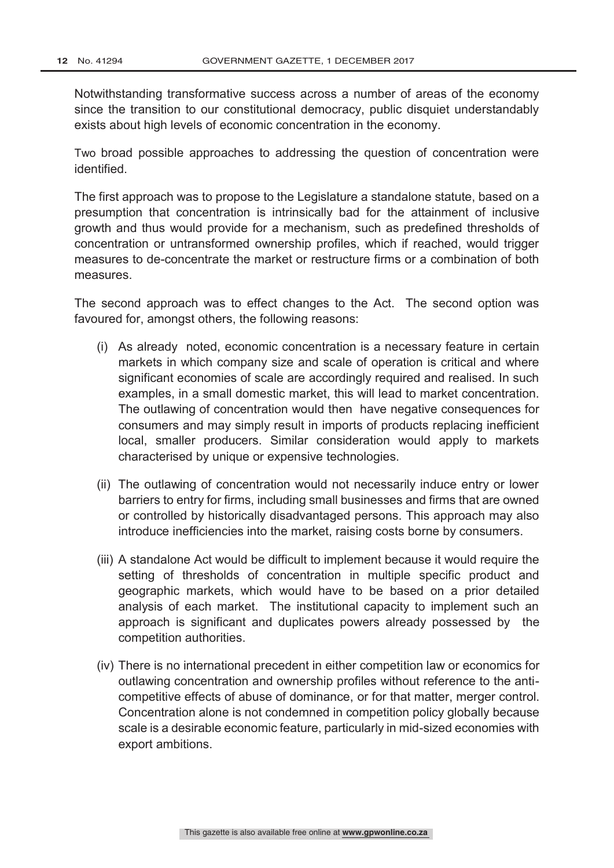Notwithstanding transformative success across a number of areas of the economy since the transition to our constitutional democracy, public disquiet understandably exists about high levels of economic concentration in the economy.

Two broad possible approaches to addressing the question of concentration were identified.

The first approach was to propose to the Legislature a standalone statute, based on a presumption that concentration is intrinsically bad for the attainment of inclusive growth and thus would provide for a mechanism, such as predefined thresholds of concentration or untransformed ownership profiles, which if reached, would trigger measures to de-concentrate the market or restructure firms or a combination of both measures.

The second approach was to effect changes to the Act. The second option was favoured for, amongst others, the following reasons:

- (i) As already noted, economic concentration is a necessary feature in certain markets in which company size and scale of operation is critical and where significant economies of scale are accordingly required and realised. In such examples, in a small domestic market, this will lead to market concentration. The outlawing of concentration would then have negative consequences for consumers and may simply result in imports of products replacing inefficient local, smaller producers. Similar consideration would apply to markets characterised by unique or expensive technologies.
- (ii) The outlawing of concentration would not necessarily induce entry or lower barriers to entry for firms, including small businesses and firms that are owned or controlled by historically disadvantaged persons. This approach may also introduce inefficiencies into the market, raising costs borne by consumers.
- (iii) A standalone Act would be difficult to implement because it would require the setting of thresholds of concentration in multiple specific product and geographic markets, which would have to be based on a prior detailed analysis of each market. The institutional capacity to implement such an approach is significant and duplicates powers already possessed by the competition authorities.
- (iv) There is no international precedent in either competition law or economics for outlawing concentration and ownership profiles without reference to the anticompetitive effects of abuse of dominance, or for that matter, merger control. Concentration alone is not condemned in competition policy globally because scale is a desirable economic feature, particularly in mid-sized economies with export ambitions.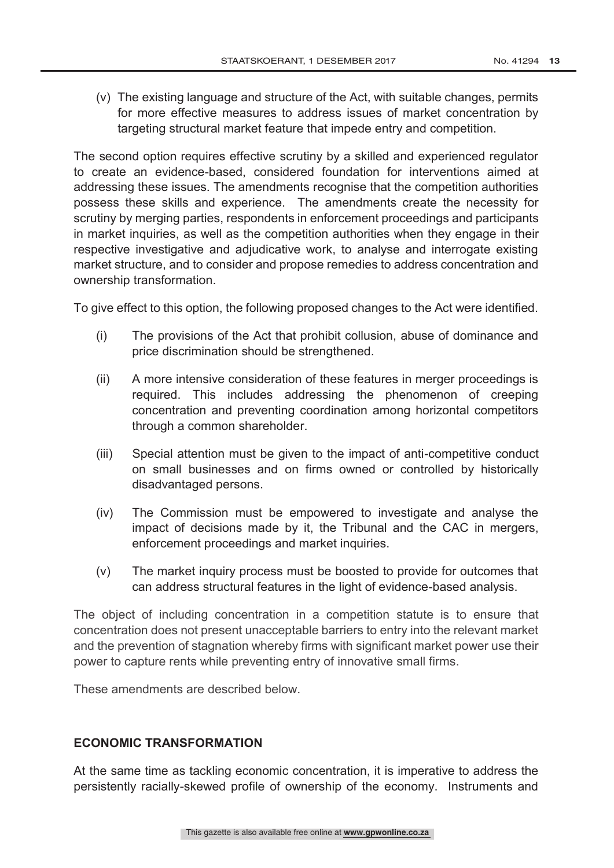(v) The existing language and structure of the Act, with suitable changes, permits for more effective measures to address issues of market concentration by targeting structural market feature that impede entry and competition.

The second option requires effective scrutiny by a skilled and experienced regulator to create an evidence-based, considered foundation for interventions aimed at addressing these issues. The amendments recognise that the competition authorities possess these skills and experience. The amendments create the necessity for scrutiny by merging parties, respondents in enforcement proceedings and participants in market inquiries, as well as the competition authorities when they engage in their respective investigative and adjudicative work, to analyse and interrogate existing market structure, and to consider and propose remedies to address concentration and ownership transformation.

To give effect to this option, the following proposed changes to the Act were identified.

- (i) The provisions of the Act that prohibit collusion, abuse of dominance and price discrimination should be strengthened.
- (ii) A more intensive consideration of these features in merger proceedings is required. This includes addressing the phenomenon of creeping concentration and preventing coordination among horizontal competitors through a common shareholder.
- (iii) Special attention must be given to the impact of anti-competitive conduct on small businesses and on firms owned or controlled by historically disadvantaged persons.
- (iv) The Commission must be empowered to investigate and analyse the impact of decisions made by it, the Tribunal and the CAC in mergers, enforcement proceedings and market inquiries.
- (v) The market inquiry process must be boosted to provide for outcomes that can address structural features in the light of evidence-based analysis.

The object of including concentration in a competition statute is to ensure that concentration does not present unacceptable barriers to entry into the relevant market and the prevention of stagnation whereby firms with significant market power use their power to capture rents while preventing entry of innovative small firms.

These amendments are described below.

# **ECONOMIC TRANSFORMATION**

At the same time as tackling economic concentration, it is imperative to address the persistently racially-skewed profile of ownership of the economy. Instruments and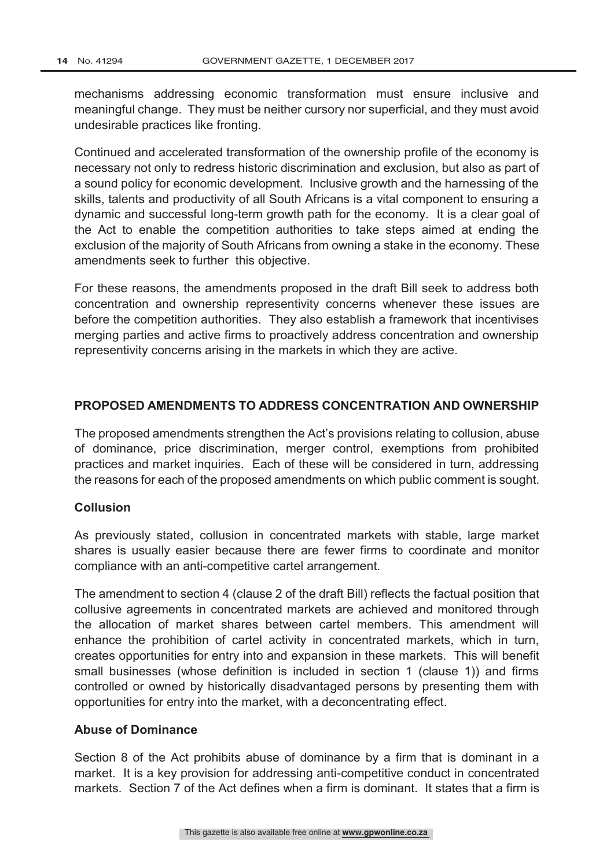mechanisms addressing economic transformation must ensure inclusive and meaningful change. They must be neither cursory nor superficial, and they must avoid undesirable practices like fronting.

Continued and accelerated transformation of the ownership profile of the economy is necessary not only to redress historic discrimination and exclusion, but also as part of a sound policy for economic development. Inclusive growth and the harnessing of the skills, talents and productivity of all South Africans is a vital component to ensuring a dynamic and successful long-term growth path for the economy. It is a clear goal of the Act to enable the competition authorities to take steps aimed at ending the exclusion of the majority of South Africans from owning a stake in the economy. These amendments seek to further this objective.

For these reasons, the amendments proposed in the draft Bill seek to address both concentration and ownership representivity concerns whenever these issues are before the competition authorities. They also establish a framework that incentivises merging parties and active firms to proactively address concentration and ownership representivity concerns arising in the markets in which they are active.

# **PROPOSED AMENDMENTS TO ADDRESS CONCENTRATION AND OWNERSHIP**

The proposed amendments strengthen the Act's provisions relating to collusion, abuse of dominance, price discrimination, merger control, exemptions from prohibited practices and market inquiries. Each of these will be considered in turn, addressing the reasons for each of the proposed amendments on which public comment is sought.

# **Collusion**

As previously stated, collusion in concentrated markets with stable, large market shares is usually easier because there are fewer firms to coordinate and monitor compliance with an anti-competitive cartel arrangement.

The amendment to section 4 (clause 2 of the draft Bill) reflects the factual position that collusive agreements in concentrated markets are achieved and monitored through the allocation of market shares between cartel members. This amendment will enhance the prohibition of cartel activity in concentrated markets, which in turn, creates opportunities for entry into and expansion in these markets. This will benefit small businesses (whose definition is included in section 1 (clause 1)) and firms controlled or owned by historically disadvantaged persons by presenting them with opportunities for entry into the market, with a deconcentrating effect.

# **Abuse of Dominance**

Section 8 of the Act prohibits abuse of dominance by a firm that is dominant in a market. It is a key provision for addressing anti-competitive conduct in concentrated markets. Section 7 of the Act defines when a firm is dominant. It states that a firm is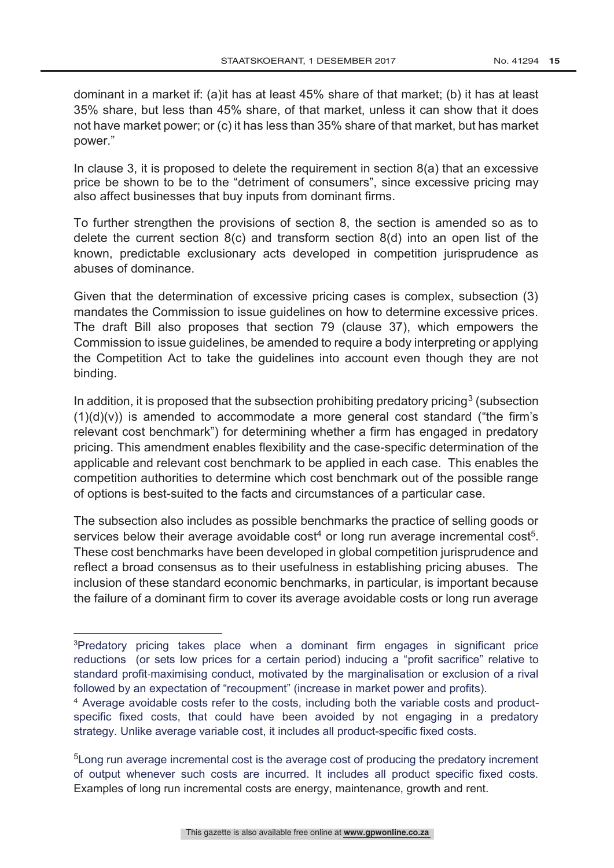dominant in a market if: (a)it has at least 45% share of that market; (b) it has at least 35% share, but less than 45% share, of that market, unless it can show that it does not have market power; or (c) it has less than 35% share of that market, but has market power."

In clause 3, it is proposed to delete the requirement in section 8(a) that an excessive price be shown to be to the "detriment of consumers", since excessive pricing may also affect businesses that buy inputs from dominant firms.

To further strengthen the provisions of section 8, the section is amended so as to delete the current section 8(c) and transform section 8(d) into an open list of the known, predictable exclusionary acts developed in competition jurisprudence as abuses of dominance.

Given that the determination of excessive pricing cases is complex, subsection (3) mandates the Commission to issue guidelines on how to determine excessive prices. The draft Bill also proposes that section 79 (clause 37), which empowers the Commission to issue guidelines, be amended to require a body interpreting or applying the Competition Act to take the guidelines into account even though they are not binding.

In addition, it is proposed that the subsection prohibiting predatory pricing<sup>3</sup> (subsection  $(1)(d)(v)$  is amended to accommodate a more general cost standard ("the firm's relevant cost benchmark") for determining whether a firm has engaged in predatory pricing. This amendment enables flexibility and the case-specific determination of the applicable and relevant cost benchmark to be applied in each case. This enables the competition authorities to determine which cost benchmark out of the possible range of options is best-suited to the facts and circumstances of a particular case.

The subsection also includes as possible benchmarks the practice of selling goods or services below their average avoidable  $cost<sup>4</sup>$  or long run average incremental  $cost<sup>5</sup>$ . These cost benchmarks have been developed in global competition jurisprudence and reflect a broad consensus as to their usefulness in establishing pricing abuses. The inclusion of these standard economic benchmarks, in particular, is important because the failure of a dominant firm to cover its average avoidable costs or long run average

 $\overline{a}$ 

<sup>&</sup>lt;sup>3</sup>Predatory pricing takes place when a dominant firm engages in significant price reductions (or sets low prices for a certain period) inducing a "profit sacrifice" relative to standard profit-maximising conduct, motivated by the marginalisation or exclusion of a rival followed by an expectation of "recoupment" (increase in market power and profits).

<sup>4</sup> Average avoidable costs refer to the costs, including both the variable costs and productspecific fixed costs, that could have been avoided by not engaging in a predatory strategy. Unlike average variable cost, it includes all product-specific fixed costs.

<sup>5</sup>Long run average incremental cost is the average cost of producing the predatory increment of output whenever such costs are incurred. It includes all product specific fixed costs. Examples of long run incremental costs are energy, maintenance, growth and rent.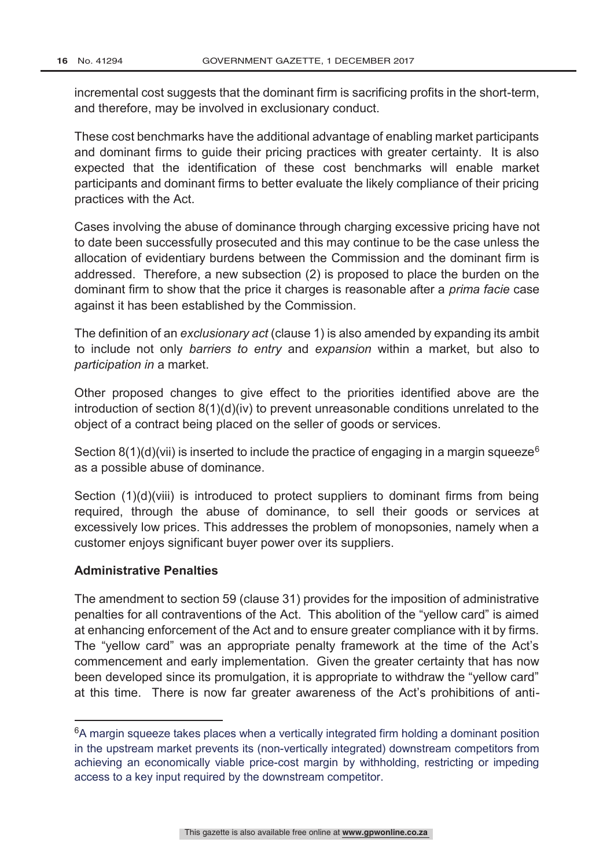incremental cost suggests that the dominant firm is sacrificing profits in the short-term, and therefore, may be involved in exclusionary conduct.

These cost benchmarks have the additional advantage of enabling market participants and dominant firms to guide their pricing practices with greater certainty. It is also expected that the identification of these cost benchmarks will enable market participants and dominant firms to better evaluate the likely compliance of their pricing practices with the Act.

Cases involving the abuse of dominance through charging excessive pricing have not to date been successfully prosecuted and this may continue to be the case unless the allocation of evidentiary burdens between the Commission and the dominant firm is addressed. Therefore, a new subsection (2) is proposed to place the burden on the dominant firm to show that the price it charges is reasonable after a *prima facie* case against it has been established by the Commission.

The definition of an *exclusionary act* (clause 1) is also amended by expanding its ambit to include not only *barriers to entry* and *expansion* within a market, but also to *participation in* a market.

Other proposed changes to give effect to the priorities identified above are the introduction of section 8(1)(d)(iv) to prevent unreasonable conditions unrelated to the object of a contract being placed on the seller of goods or services.

Section 8(1)(d)(vii) is inserted to include the practice of engaging in a margin squeeze<sup>6</sup> as a possible abuse of dominance.

Section (1)(d)(viii) is introduced to protect suppliers to dominant firms from being required, through the abuse of dominance, to sell their goods or services at excessively low prices. This addresses the problem of monopsonies, namely when a customer enjoys significant buyer power over its suppliers.

# **Administrative Penalties**

 $\overline{a}$ 

The amendment to section 59 (clause 31) provides for the imposition of administrative penalties for all contraventions of the Act. This abolition of the "yellow card" is aimed at enhancing enforcement of the Act and to ensure greater compliance with it by firms. The "yellow card" was an appropriate penalty framework at the time of the Act's commencement and early implementation. Given the greater certainty that has now been developed since its promulgation, it is appropriate to withdraw the "yellow card" at this time. There is now far greater awareness of the Act's prohibitions of anti-

<sup>&</sup>lt;sup>6</sup>A margin squeeze takes places when a vertically integrated firm holding a dominant position in the upstream market prevents its (non-vertically integrated) downstream competitors from achieving an economically viable price-cost margin by withholding, restricting or impeding access to a key input required by the downstream competitor.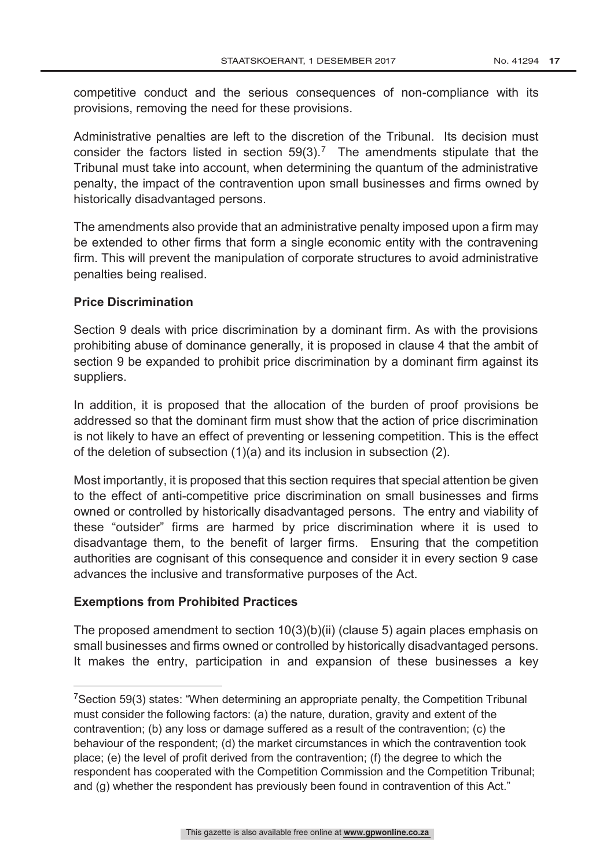competitive conduct and the serious consequences of non-compliance with its provisions, removing the need for these provisions.

Administrative penalties are left to the discretion of the Tribunal. Its decision must consider the factors listed in section  $59(3)$ .<sup>7</sup> The amendments stipulate that the Tribunal must take into account, when determining the quantum of the administrative penalty, the impact of the contravention upon small businesses and firms owned by historically disadvantaged persons.

The amendments also provide that an administrative penalty imposed upon a firm may be extended to other firms that form a single economic entity with the contravening firm. This will prevent the manipulation of corporate structures to avoid administrative penalties being realised.

# **Price Discrimination**

Section 9 deals with price discrimination by a dominant firm. As with the provisions prohibiting abuse of dominance generally, it is proposed in clause 4 that the ambit of section 9 be expanded to prohibit price discrimination by a dominant firm against its suppliers.

In addition, it is proposed that the allocation of the burden of proof provisions be addressed so that the dominant firm must show that the action of price discrimination is not likely to have an effect of preventing or lessening competition. This is the effect of the deletion of subsection (1)(a) and its inclusion in subsection (2).

Most importantly, it is proposed that this section requires that special attention be given to the effect of anti-competitive price discrimination on small businesses and firms owned or controlled by historically disadvantaged persons. The entry and viability of these "outsider" firms are harmed by price discrimination where it is used to disadvantage them, to the benefit of larger firms. Ensuring that the competition authorities are cognisant of this consequence and consider it in every section 9 case advances the inclusive and transformative purposes of the Act.

#### **Exemptions from Prohibited Practices**

 $\overline{a}$ 

The proposed amendment to section 10(3)(b)(ii) (clause 5) again places emphasis on small businesses and firms owned or controlled by historically disadvantaged persons. It makes the entry, participation in and expansion of these businesses a key

<sup>7</sup>Section 59(3) states: "When determining an appropriate penalty, the Competition Tribunal must consider the following factors: (a) the nature, duration, gravity and extent of the contravention; (b) any loss or damage suffered as a result of the contravention; (c) the behaviour of the respondent; (d) the market circumstances in which the contravention took place; (e) the level of profit derived from the contravention; (f) the degree to which the respondent has cooperated with the Competition Commission and the Competition Tribunal; and (g) whether the respondent has previously been found in contravention of this Act."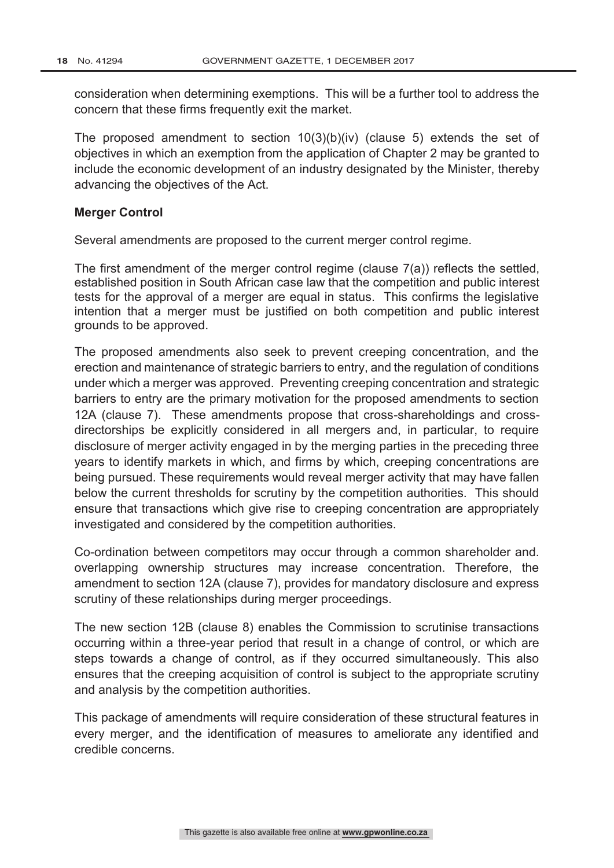consideration when determining exemptions. This will be a further tool to address the concern that these firms frequently exit the market.

The proposed amendment to section 10(3)(b)(iv) (clause 5) extends the set of objectives in which an exemption from the application of Chapter 2 may be granted to include the economic development of an industry designated by the Minister, thereby advancing the objectives of the Act.

#### **Merger Control**

Several amendments are proposed to the current merger control regime.

The first amendment of the merger control regime (clause 7(a)) reflects the settled, established position in South African case law that the competition and public interest tests for the approval of a merger are equal in status. This confirms the legislative intention that a merger must be justified on both competition and public interest grounds to be approved.

The proposed amendments also seek to prevent creeping concentration, and the erection and maintenance of strategic barriers to entry, and the regulation of conditions under which a merger was approved. Preventing creeping concentration and strategic barriers to entry are the primary motivation for the proposed amendments to section 12A (clause 7). These amendments propose that cross-shareholdings and crossdirectorships be explicitly considered in all mergers and, in particular, to require disclosure of merger activity engaged in by the merging parties in the preceding three years to identify markets in which, and firms by which, creeping concentrations are being pursued. These requirements would reveal merger activity that may have fallen below the current thresholds for scrutiny by the competition authorities. This should ensure that transactions which give rise to creeping concentration are appropriately investigated and considered by the competition authorities.

Co-ordination between competitors may occur through a common shareholder and. overlapping ownership structures may increase concentration. Therefore, the amendment to section 12A (clause 7), provides for mandatory disclosure and express scrutiny of these relationships during merger proceedings.

The new section 12B (clause 8) enables the Commission to scrutinise transactions occurring within a three-year period that result in a change of control, or which are steps towards a change of control, as if they occurred simultaneously. This also ensures that the creeping acquisition of control is subject to the appropriate scrutiny and analysis by the competition authorities.

This package of amendments will require consideration of these structural features in every merger, and the identification of measures to ameliorate any identified and credible concerns.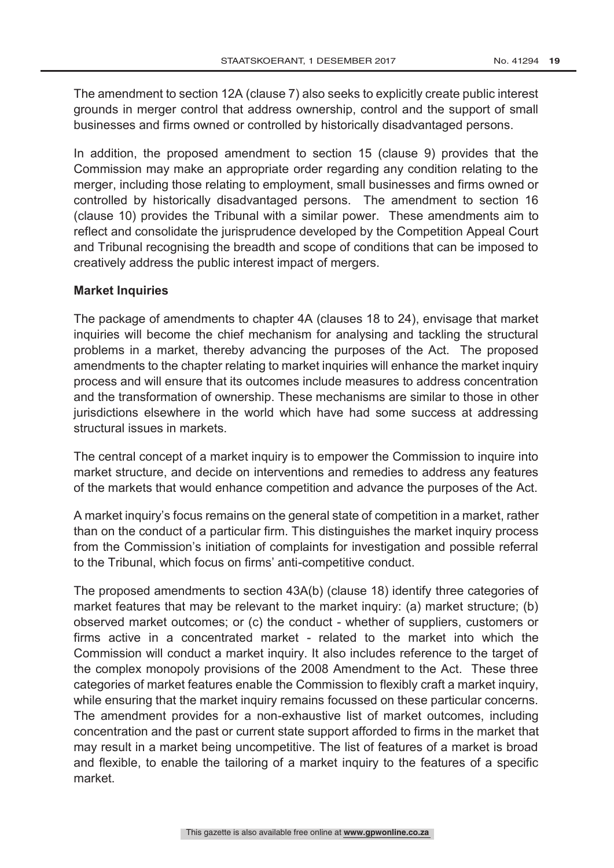The amendment to section 12A (clause 7) also seeks to explicitly create public interest grounds in merger control that address ownership, control and the support of small businesses and firms owned or controlled by historically disadvantaged persons.

In addition, the proposed amendment to section 15 (clause 9) provides that the Commission may make an appropriate order regarding any condition relating to the merger, including those relating to employment, small businesses and firms owned or controlled by historically disadvantaged persons. The amendment to section 16 (clause 10) provides the Tribunal with a similar power. These amendments aim to reflect and consolidate the jurisprudence developed by the Competition Appeal Court and Tribunal recognising the breadth and scope of conditions that can be imposed to creatively address the public interest impact of mergers.

# **Market Inquiries**

The package of amendments to chapter 4A (clauses 18 to 24), envisage that market inquiries will become the chief mechanism for analysing and tackling the structural problems in a market, thereby advancing the purposes of the Act. The proposed amendments to the chapter relating to market inquiries will enhance the market inquiry process and will ensure that its outcomes include measures to address concentration and the transformation of ownership. These mechanisms are similar to those in other jurisdictions elsewhere in the world which have had some success at addressing structural issues in markets.

The central concept of a market inquiry is to empower the Commission to inquire into market structure, and decide on interventions and remedies to address any features of the markets that would enhance competition and advance the purposes of the Act.

A market inquiry's focus remains on the general state of competition in a market, rather than on the conduct of a particular firm. This distinguishes the market inquiry process from the Commission's initiation of complaints for investigation and possible referral to the Tribunal, which focus on firms' anti-competitive conduct.

The proposed amendments to section 43A(b) (clause 18) identify three categories of market features that may be relevant to the market inquiry: (a) market structure; (b) observed market outcomes; or (c) the conduct - whether of suppliers, customers or firms active in a concentrated market - related to the market into which the Commission will conduct a market inquiry. It also includes reference to the target of the complex monopoly provisions of the 2008 Amendment to the Act. These three categories of market features enable the Commission to flexibly craft a market inquiry, while ensuring that the market inquiry remains focussed on these particular concerns. The amendment provides for a non-exhaustive list of market outcomes, including concentration and the past or current state support afforded to firms in the market that may result in a market being uncompetitive. The list of features of a market is broad and flexible, to enable the tailoring of a market inquiry to the features of a specific market.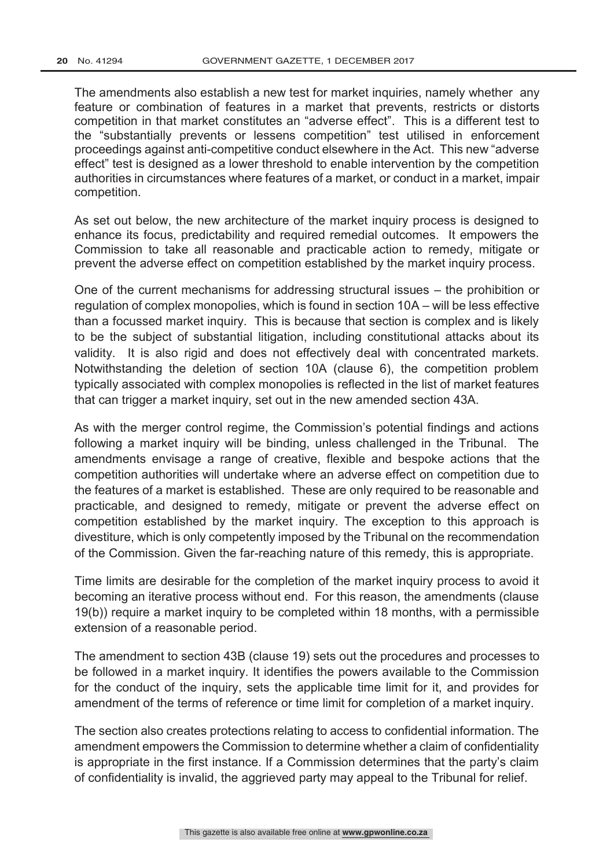The amendments also establish a new test for market inquiries, namely whether any feature or combination of features in a market that prevents, restricts or distorts competition in that market constitutes an "adverse effect". This is a different test to the "substantially prevents or lessens competition" test utilised in enforcement proceedings against anti-competitive conduct elsewhere in the Act. This new "adverse effect" test is designed as a lower threshold to enable intervention by the competition authorities in circumstances where features of a market, or conduct in a market, impair competition.

As set out below, the new architecture of the market inquiry process is designed to enhance its focus, predictability and required remedial outcomes. It empowers the Commission to take all reasonable and practicable action to remedy, mitigate or prevent the adverse effect on competition established by the market inquiry process.

One of the current mechanisms for addressing structural issues – the prohibition or regulation of complex monopolies, which is found in section 10A – will be less effective than a focussed market inquiry. This is because that section is complex and is likely to be the subject of substantial litigation, including constitutional attacks about its validity. It is also rigid and does not effectively deal with concentrated markets. Notwithstanding the deletion of section 10A (clause 6), the competition problem typically associated with complex monopolies is reflected in the list of market features that can trigger a market inquiry, set out in the new amended section 43A.

As with the merger control regime, the Commission's potential findings and actions following a market inquiry will be binding, unless challenged in the Tribunal. The amendments envisage a range of creative, flexible and bespoke actions that the competition authorities will undertake where an adverse effect on competition due to the features of a market is established. These are only required to be reasonable and practicable, and designed to remedy, mitigate or prevent the adverse effect on competition established by the market inquiry. The exception to this approach is divestiture, which is only competently imposed by the Tribunal on the recommendation of the Commission. Given the far-reaching nature of this remedy, this is appropriate.

Time limits are desirable for the completion of the market inquiry process to avoid it becoming an iterative process without end. For this reason, the amendments (clause 19(b)) require a market inquiry to be completed within 18 months, with a permissible extension of a reasonable period.

The amendment to section 43B (clause 19) sets out the procedures and processes to be followed in a market inquiry. It identifies the powers available to the Commission for the conduct of the inquiry, sets the applicable time limit for it, and provides for amendment of the terms of reference or time limit for completion of a market inquiry.

The section also creates protections relating to access to confidential information. The amendment empowers the Commission to determine whether a claim of confidentiality is appropriate in the first instance. If a Commission determines that the party's claim of confidentiality is invalid, the aggrieved party may appeal to the Tribunal for relief.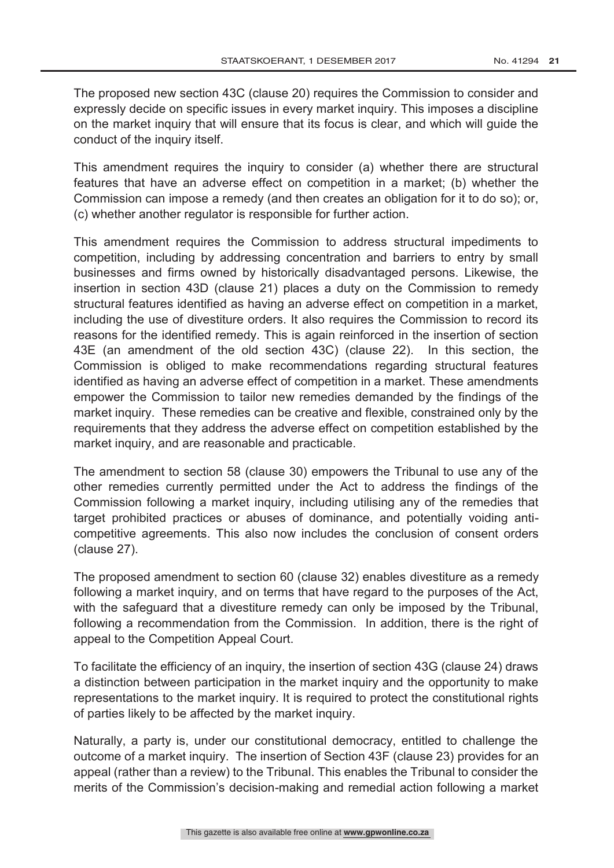The proposed new section 43C (clause 20) requires the Commission to consider and expressly decide on specific issues in every market inquiry. This imposes a discipline on the market inquiry that will ensure that its focus is clear, and which will guide the conduct of the inquiry itself.

This amendment requires the inquiry to consider (a) whether there are structural features that have an adverse effect on competition in a market; (b) whether the Commission can impose a remedy (and then creates an obligation for it to do so); or, (c) whether another regulator is responsible for further action.

This amendment requires the Commission to address structural impediments to competition, including by addressing concentration and barriers to entry by small businesses and firms owned by historically disadvantaged persons. Likewise, the insertion in section 43D (clause 21) places a duty on the Commission to remedy structural features identified as having an adverse effect on competition in a market, including the use of divestiture orders. It also requires the Commission to record its reasons for the identified remedy. This is again reinforced in the insertion of section 43E (an amendment of the old section 43C) (clause 22). In this section, the Commission is obliged to make recommendations regarding structural features identified as having an adverse effect of competition in a market. These amendments empower the Commission to tailor new remedies demanded by the findings of the market inquiry. These remedies can be creative and flexible, constrained only by the requirements that they address the adverse effect on competition established by the market inquiry, and are reasonable and practicable.

The amendment to section 58 (clause 30) empowers the Tribunal to use any of the other remedies currently permitted under the Act to address the findings of the Commission following a market inquiry, including utilising any of the remedies that target prohibited practices or abuses of dominance, and potentially voiding anticompetitive agreements. This also now includes the conclusion of consent orders (clause 27).

The proposed amendment to section 60 (clause 32) enables divestiture as a remedy following a market inquiry, and on terms that have regard to the purposes of the Act, with the safeguard that a divestiture remedy can only be imposed by the Tribunal, following a recommendation from the Commission. In addition, there is the right of appeal to the Competition Appeal Court.

To facilitate the efficiency of an inquiry, the insertion of section 43G (clause 24) draws a distinction between participation in the market inquiry and the opportunity to make representations to the market inquiry. It is required to protect the constitutional rights of parties likely to be affected by the market inquiry.

Naturally, a party is, under our constitutional democracy, entitled to challenge the outcome of a market inquiry. The insertion of Section 43F (clause 23) provides for an appeal (rather than a review) to the Tribunal. This enables the Tribunal to consider the merits of the Commission's decision-making and remedial action following a market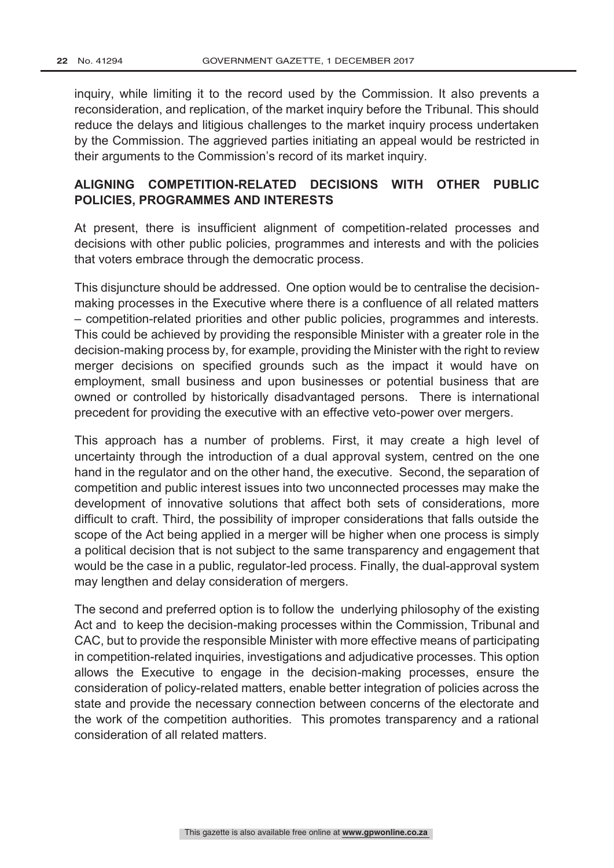inquiry, while limiting it to the record used by the Commission. It also prevents a reconsideration, and replication, of the market inquiry before the Tribunal. This should reduce the delays and litigious challenges to the market inquiry process undertaken by the Commission. The aggrieved parties initiating an appeal would be restricted in their arguments to the Commission's record of its market inquiry.

# **ALIGNING COMPETITION-RELATED DECISIONS WITH OTHER PUBLIC POLICIES, PROGRAMMES AND INTERESTS**

At present, there is insufficient alignment of competition-related processes and decisions with other public policies, programmes and interests and with the policies that voters embrace through the democratic process.

This disjuncture should be addressed. One option would be to centralise the decisionmaking processes in the Executive where there is a confluence of all related matters – competition-related priorities and other public policies, programmes and interests. This could be achieved by providing the responsible Minister with a greater role in the decision-making process by, for example, providing the Minister with the right to review merger decisions on specified grounds such as the impact it would have on employment, small business and upon businesses or potential business that are owned or controlled by historically disadvantaged persons. There is international precedent for providing the executive with an effective veto-power over mergers.

This approach has a number of problems. First, it may create a high level of uncertainty through the introduction of a dual approval system, centred on the one hand in the regulator and on the other hand, the executive. Second, the separation of competition and public interest issues into two unconnected processes may make the development of innovative solutions that affect both sets of considerations, more difficult to craft. Third, the possibility of improper considerations that falls outside the scope of the Act being applied in a merger will be higher when one process is simply a political decision that is not subject to the same transparency and engagement that would be the case in a public, regulator-led process. Finally, the dual-approval system may lengthen and delay consideration of mergers.

The second and preferred option is to follow the underlying philosophy of the existing Act and to keep the decision-making processes within the Commission, Tribunal and CAC, but to provide the responsible Minister with more effective means of participating in competition-related inquiries, investigations and adjudicative processes. This option allows the Executive to engage in the decision-making processes, ensure the consideration of policy-related matters, enable better integration of policies across the state and provide the necessary connection between concerns of the electorate and the work of the competition authorities. This promotes transparency and a rational consideration of all related matters.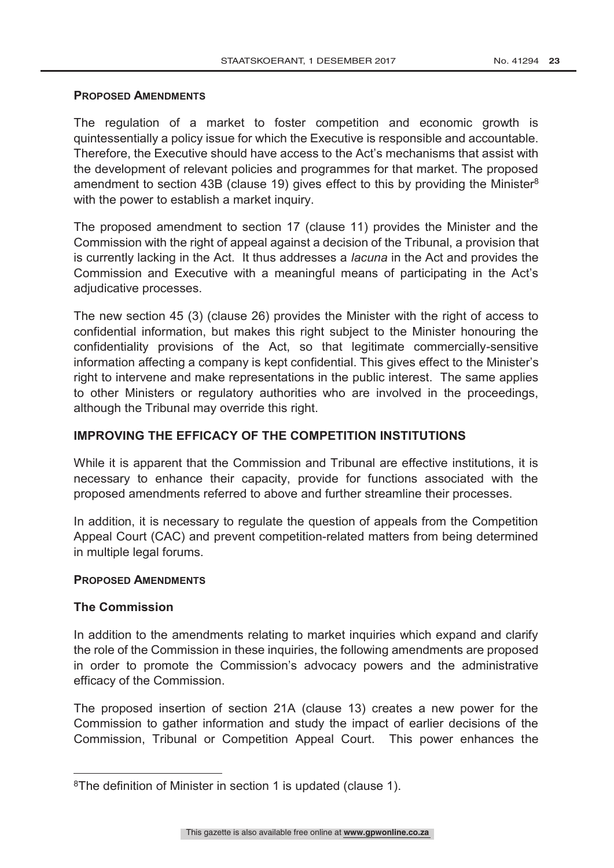#### **PROPOSED AMENDMENTS**

The regulation of a market to foster competition and economic growth is quintessentially a policy issue for which the Executive is responsible and accountable. Therefore, the Executive should have access to the Act's mechanisms that assist with the development of relevant policies and programmes for that market. The proposed amendment to section 43B (clause 19) gives effect to this by providing the Minister<sup>8</sup> with the power to establish a market inquiry.

The proposed amendment to section 17 (clause 11) provides the Minister and the Commission with the right of appeal against a decision of the Tribunal, a provision that is currently lacking in the Act. It thus addresses a *lacuna* in the Act and provides the Commission and Executive with a meaningful means of participating in the Act's adjudicative processes.

The new section 45 (3) (clause 26) provides the Minister with the right of access to confidential information, but makes this right subject to the Minister honouring the confidentiality provisions of the Act, so that legitimate commercially-sensitive information affecting a company is kept confidential. This gives effect to the Minister's right to intervene and make representations in the public interest. The same applies to other Ministers or regulatory authorities who are involved in the proceedings, although the Tribunal may override this right.

# **IMPROVING THE EFFICACY OF THE COMPETITION INSTITUTIONS**

While it is apparent that the Commission and Tribunal are effective institutions, it is necessary to enhance their capacity, provide for functions associated with the proposed amendments referred to above and further streamline their processes.

In addition, it is necessary to regulate the question of appeals from the Competition Appeal Court (CAC) and prevent competition-related matters from being determined in multiple legal forums.

#### **PROPOSED AMENDMENTS**

# **The Commission**

 $\overline{a}$ 

In addition to the amendments relating to market inquiries which expand and clarify the role of the Commission in these inquiries, the following amendments are proposed in order to promote the Commission's advocacy powers and the administrative efficacy of the Commission.

The proposed insertion of section 21A (clause 13) creates a new power for the Commission to gather information and study the impact of earlier decisions of the Commission, Tribunal or Competition Appeal Court. This power enhances the

<sup>8</sup>The definition of Minister in section 1 is updated (clause 1).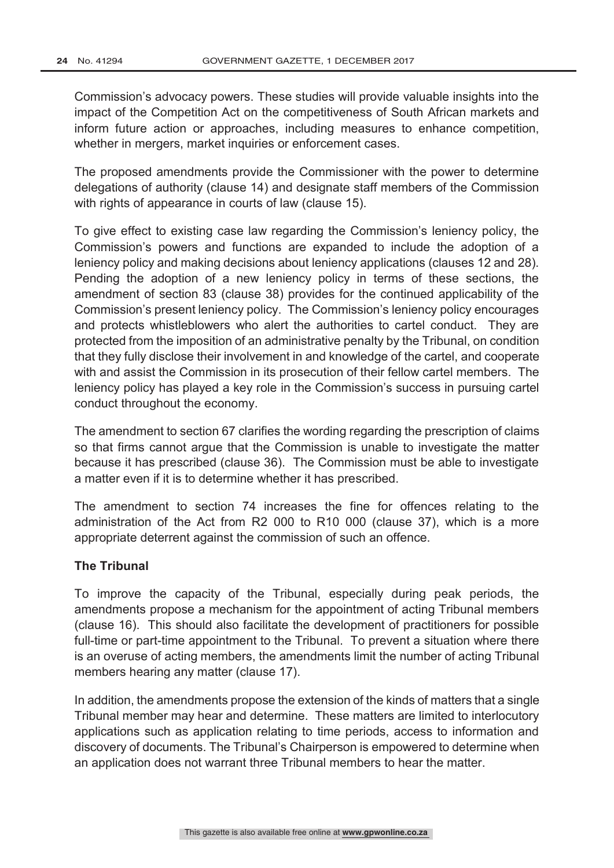Commission's advocacy powers. These studies will provide valuable insights into the impact of the Competition Act on the competitiveness of South African markets and inform future action or approaches, including measures to enhance competition, whether in mergers, market inquiries or enforcement cases.

The proposed amendments provide the Commissioner with the power to determine delegations of authority (clause 14) and designate staff members of the Commission with rights of appearance in courts of law (clause 15).

To give effect to existing case law regarding the Commission's leniency policy, the Commission's powers and functions are expanded to include the adoption of a leniency policy and making decisions about leniency applications (clauses 12 and 28). Pending the adoption of a new leniency policy in terms of these sections, the amendment of section 83 (clause 38) provides for the continued applicability of the Commission's present leniency policy. The Commission's leniency policy encourages and protects whistleblowers who alert the authorities to cartel conduct. They are protected from the imposition of an administrative penalty by the Tribunal, on condition that they fully disclose their involvement in and knowledge of the cartel, and cooperate with and assist the Commission in its prosecution of their fellow cartel members. The leniency policy has played a key role in the Commission's success in pursuing cartel conduct throughout the economy.

The amendment to section 67 clarifies the wording regarding the prescription of claims so that firms cannot argue that the Commission is unable to investigate the matter because it has prescribed (clause 36). The Commission must be able to investigate a matter even if it is to determine whether it has prescribed.

The amendment to section 74 increases the fine for offences relating to the administration of the Act from R2 000 to R10 000 (clause 37), which is a more appropriate deterrent against the commission of such an offence.

# **The Tribunal**

To improve the capacity of the Tribunal, especially during peak periods, the amendments propose a mechanism for the appointment of acting Tribunal members (clause 16). This should also facilitate the development of practitioners for possible full-time or part-time appointment to the Tribunal. To prevent a situation where there is an overuse of acting members, the amendments limit the number of acting Tribunal members hearing any matter (clause 17).

In addition, the amendments propose the extension of the kinds of matters that a single Tribunal member may hear and determine. These matters are limited to interlocutory applications such as application relating to time periods, access to information and discovery of documents. The Tribunal's Chairperson is empowered to determine when an application does not warrant three Tribunal members to hear the matter.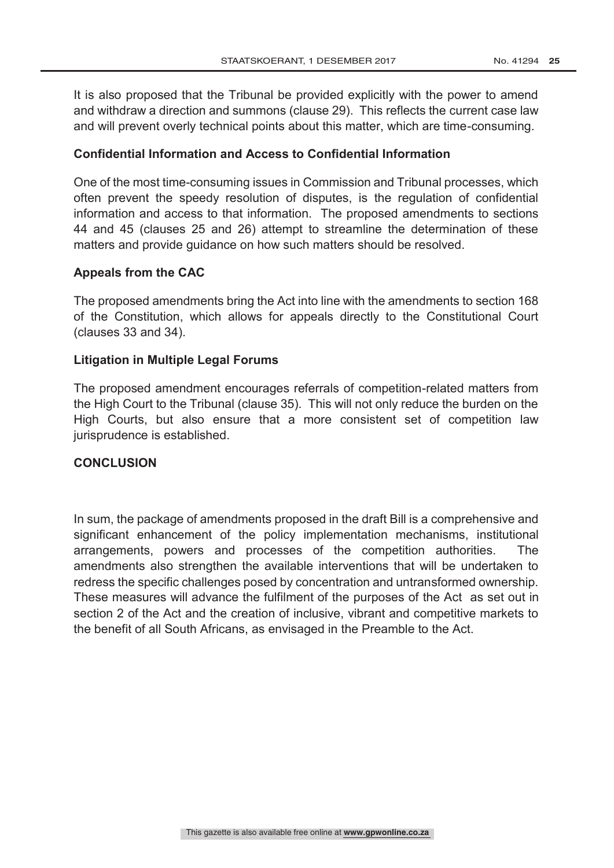It is also proposed that the Tribunal be provided explicitly with the power to amend and withdraw a direction and summons (clause 29). This reflects the current case law and will prevent overly technical points about this matter, which are time-consuming.

### **Confidential Information and Access to Confidential Information**

One of the most time-consuming issues in Commission and Tribunal processes, which often prevent the speedy resolution of disputes, is the regulation of confidential information and access to that information. The proposed amendments to sections 44 and 45 (clauses 25 and 26) attempt to streamline the determination of these matters and provide guidance on how such matters should be resolved.

#### **Appeals from the CAC**

The proposed amendments bring the Act into line with the amendments to section 168 of the Constitution, which allows for appeals directly to the Constitutional Court (clauses 33 and 34).

#### **Litigation in Multiple Legal Forums**

The proposed amendment encourages referrals of competition-related matters from the High Court to the Tribunal (clause 35). This will not only reduce the burden on the High Courts, but also ensure that a more consistent set of competition law jurisprudence is established.

#### **CONCLUSION**

In sum, the package of amendments proposed in the draft Bill is a comprehensive and significant enhancement of the policy implementation mechanisms, institutional arrangements, powers and processes of the competition authorities. The amendments also strengthen the available interventions that will be undertaken to redress the specific challenges posed by concentration and untransformed ownership. These measures will advance the fulfilment of the purposes of the Act as set out in section 2 of the Act and the creation of inclusive, vibrant and competitive markets to the benefit of all South Africans, as envisaged in the Preamble to the Act.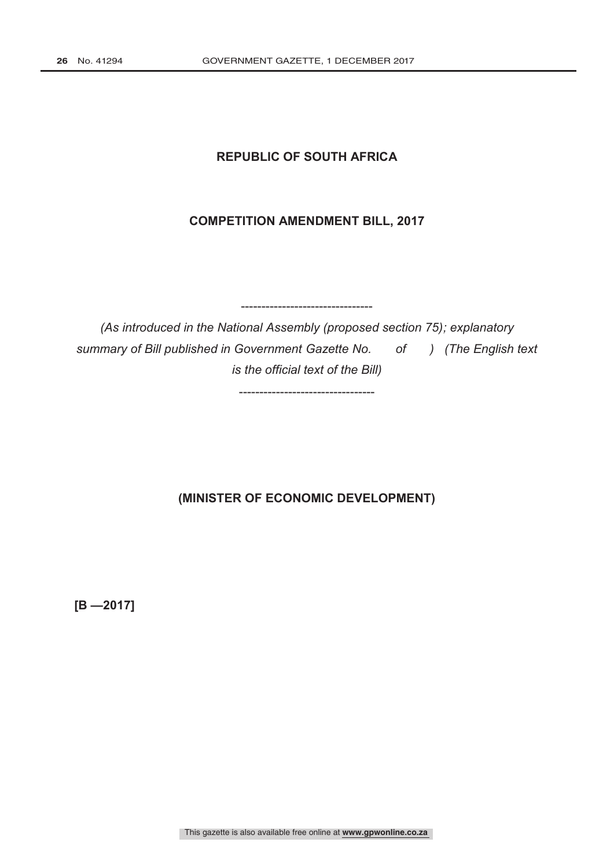# **REPUBLIC OF SOUTH AFRICA**

### **COMPETITION AMENDMENT BILL, 2017**

*(As introduced in the National Assembly (proposed section 75); explanatory summary of Bill published in Government Gazette No. of ) (The English text is the official text of the Bill)*

--------------------------------

---------------------------------

# **(MINISTER OF ECONOMIC DEVELOPMENT)**

**[B —2017]**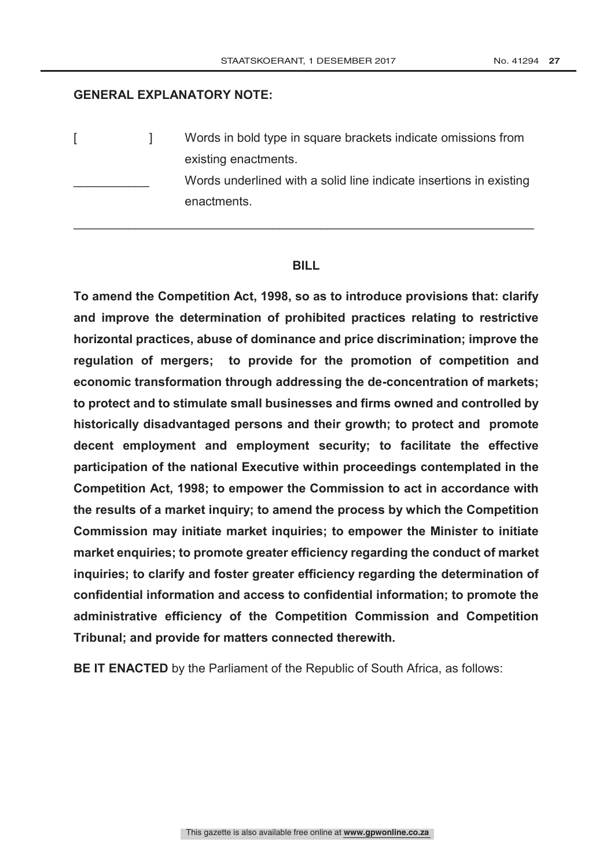# **GENERAL EXPLANATORY NOTE:**

|  | Words in bold type in square brackets indicate omissions from      |
|--|--------------------------------------------------------------------|
|  | existing enactments.                                               |
|  | Words underlined with a solid line indicate insertions in existing |
|  | enactments.                                                        |

#### **BILL**

\_\_\_\_\_\_\_\_\_\_\_\_\_\_\_\_\_\_\_\_\_\_\_\_\_\_\_\_\_\_\_\_\_\_\_\_\_\_\_\_\_\_\_\_\_\_\_\_\_\_\_\_\_\_\_\_\_\_\_\_\_\_\_\_\_\_\_

**To amend the Competition Act, 1998, so as to introduce provisions that: clarify and improve the determination of prohibited practices relating to restrictive horizontal practices, abuse of dominance and price discrimination; improve the regulation of mergers; to provide for the promotion of competition and economic transformation through addressing the de-concentration of markets; to protect and to stimulate small businesses and firms owned and controlled by historically disadvantaged persons and their growth; to protect and promote decent employment and employment security; to facilitate the effective participation of the national Executive within proceedings contemplated in the Competition Act, 1998; to empower the Commission to act in accordance with the results of a market inquiry; to amend the process by which the Competition Commission may initiate market inquiries; to empower the Minister to initiate market enquiries; to promote greater efficiency regarding the conduct of market inquiries; to clarify and foster greater efficiency regarding the determination of confidential information and access to confidential information; to promote the administrative efficiency of the Competition Commission and Competition Tribunal; and provide for matters connected therewith.** 

**BE IT ENACTED** by the Parliament of the Republic of South Africa, as follows: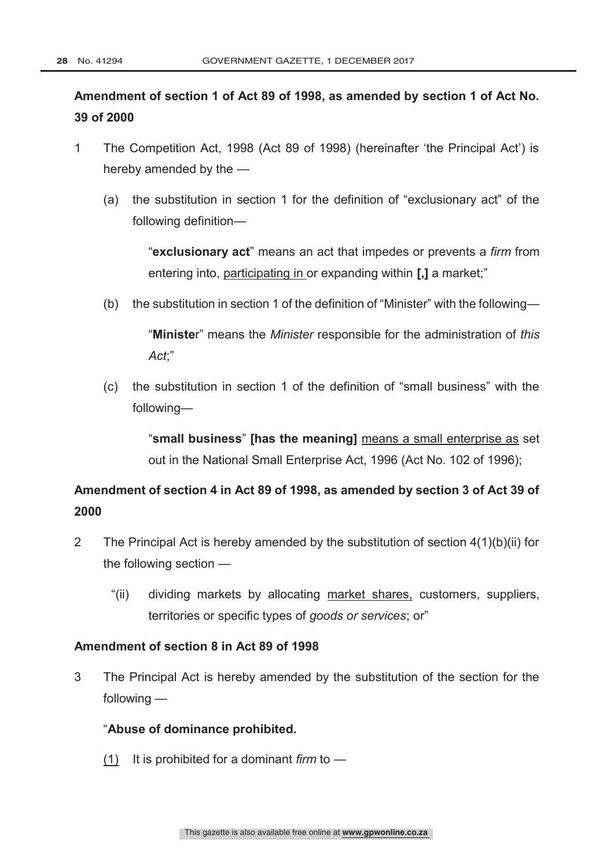# **Amendment of section 1 of Act 89 of 1998, as amended by section 1 of Act No. 39 of 2000**

- 1 The Competition Act, 1998 (Act 89 of 1998) (hereinafter 'the Principal Act') is hereby amended by the —
	- (a) the substitution in section 1 for the definition of "exclusionary act" of the following definition—

"**exclusionary act**" means an act that impedes or prevents a *firm* from entering into, participating in or expanding within **[,]** a market;"

(b) the substitution in section 1 of the definition of "Minister" with the following—

"**Ministe**r" means the *Minister* responsible for the administration of *this Act*;"

(c) the substitution in section 1 of the definition of "small business" with the following—

> "**small business**" **[has the meaning]** means a small enterprise as set out in the National Small Enterprise Act, 1996 (Act No. 102 of 1996);

# **Amendment of section 4 in Act 89 of 1998, as amended by section 3 of Act 39 of 2000**

- 2 The Principal Act is hereby amended by the substitution of section 4(1)(b)(ii) for the following section —
	- "(ii) dividing markets by allocating market shares, customers, suppliers, territories or specific types of *goods or services*; or"

# **Amendment of section 8 in Act 89 of 1998**

3 The Principal Act is hereby amended by the substitution of the section for the following —

# "**Abuse of dominance prohibited.**

(1) It is prohibited for a dominant *firm* to —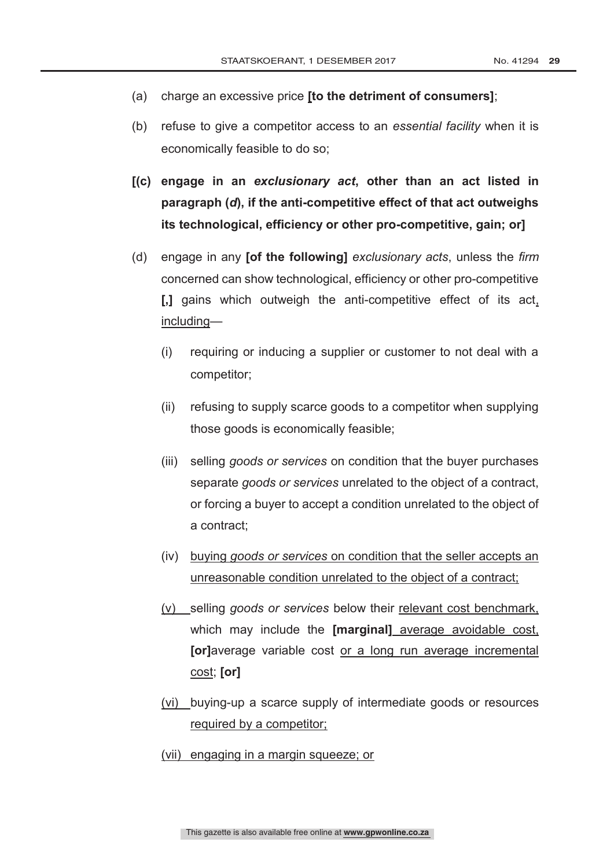- (a) charge an excessive price **[to the detriment of consumers]**;
- (b) refuse to give a competitor access to an *essential facility* when it is economically feasible to do so;
- **[(c) engage in an** *exclusionary act***, other than an act listed in paragraph (***d***), if the anti-competitive effect of that act outweighs its technological, efficiency or other pro-competitive, gain; or]**
- (d) engage in any **[of the following]** *exclusionary acts*, unless the *firm*  concerned can show technological, efficiency or other pro-competitive **[,]** gains which outweigh the anti-competitive effect of its act, including—
	- (i) requiring or inducing a supplier or customer to not deal with a competitor;
	- (ii) refusing to supply scarce goods to a competitor when supplying those goods is economically feasible;
	- (iii) selling *goods or services* on condition that the buyer purchases separate *goods or services* unrelated to the object of a contract, or forcing a buyer to accept a condition unrelated to the object of a contract;
	- (iv) buying *goods or services* on condition that the seller accepts an unreasonable condition unrelated to the object of a contract;
	- (v) selling *goods or services* below their relevant cost benchmark, which may include the **[marginal]** average avoidable cost, **[or]**average variable cost or a long run average incremental cost; **[or]**
	- (vi) buying-up a scarce supply of intermediate goods or resources required by a competitor;
	- (vii) engaging in a margin squeeze; or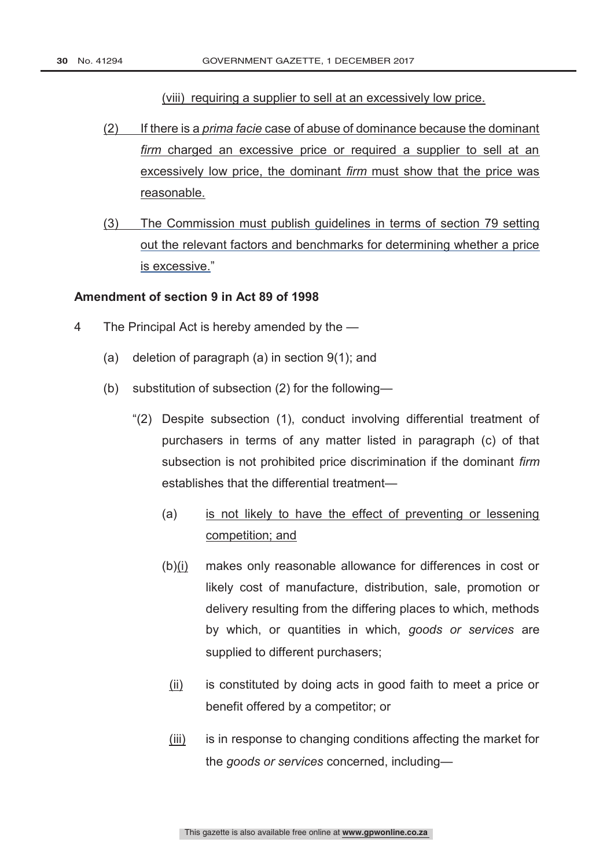(viii) requiring a supplier to sell at an excessively low price.

- (2) If there is a *prima facie* case of abuse of dominance because the dominant *firm* charged an excessive price or required a supplier to sell at an excessively low price, the dominant *firm* must show that the price was reasonable.
- (3) The Commission must publish guidelines in terms of section 79 setting out the relevant factors and benchmarks for determining whether a price is excessive."

### **Amendment of section 9 in Act 89 of 1998**

- 4 The Principal Act is hereby amended by the
	- (a) deletion of paragraph (a) in section 9(1); and
	- (b) substitution of subsection (2) for the following—
		- "(2) Despite subsection (1), conduct involving differential treatment of purchasers in terms of any matter listed in paragraph (c) of that subsection is not prohibited price discrimination if the dominant *firm* establishes that the differential treatment—
			- (a) is not likely to have the effect of preventing or lessening competition; and
			- (b)(i) makes only reasonable allowance for differences in cost or likely cost of manufacture, distribution, sale, promotion or delivery resulting from the differing places to which, methods by which, or quantities in which, *goods or services* are supplied to different purchasers;
				- (ii) is constituted by doing acts in good faith to meet a price or benefit offered by a competitor; or
				- (iii) is in response to changing conditions affecting the market for the *goods or services* concerned, including—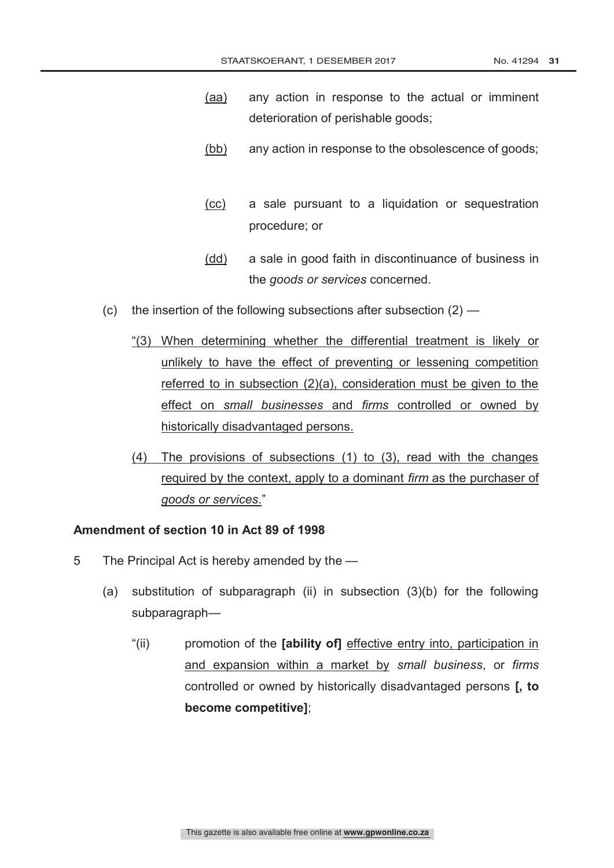- (aa) any action in response to the actual or imminent deterioration of perishable goods;
- (bb) any action in response to the obsolescence of goods;
- (cc) a sale pursuant to a liquidation or sequestration procedure; or
- (dd) a sale in good faith in discontinuance of business in the *goods or services* concerned.
- (c) the insertion of the following subsections after subsection  $(2)$ 
	- "(3) When determining whether the differential treatment is likely or unlikely to have the effect of preventing or lessening competition referred to in subsection (2)(a), consideration must be given to the effect on *small businesses* and *firms* controlled or owned by historically disadvantaged persons.
	- (4) The provisions of subsections (1) to (3), read with the changes required by the context, apply to a dominant *firm* as the purchaser of *goods or services*."

### **Amendment of section 10 in Act 89 of 1998**

- 5 The Principal Act is hereby amended by the
	- (a) substitution of subparagraph (ii) in subsection (3)(b) for the following subparagraph—
		- "(ii) promotion of the **[ability of]** effective entry into, participation in and expansion within a market by *small business*, or *firms* controlled or owned by historically disadvantaged persons **[, to become competitive]**;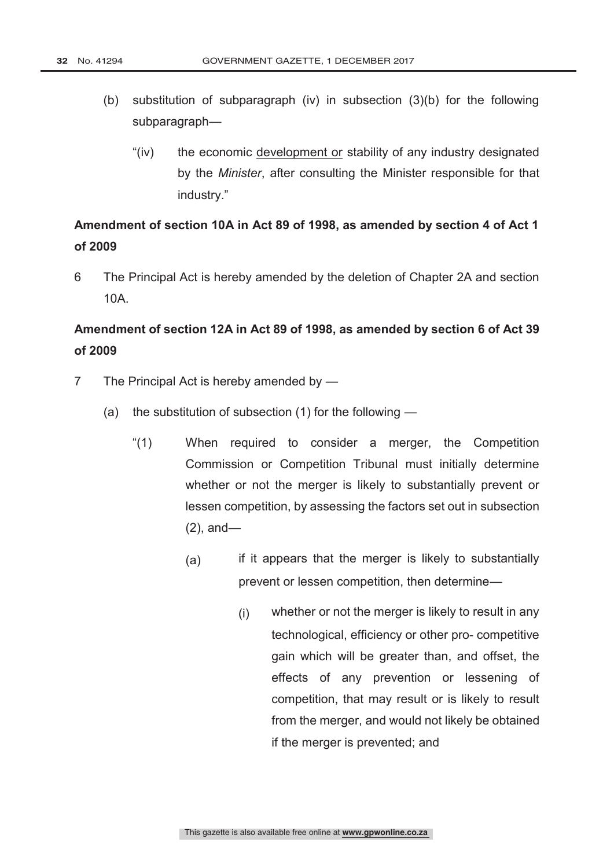- (b) substitution of subparagraph (iv) in subsection (3)(b) for the following subparagraph—
	- "(iv) the economic development or stability of any industry designated by the *Minister*, after consulting the Minister responsible for that industry."

# **Amendment of section 10A in Act 89 of 1998, as amended by section 4 of Act 1 of 2009**

6 The Principal Act is hereby amended by the deletion of Chapter 2A and section 10A.

# **Amendment of section 12A in Act 89 of 1998, as amended by section 6 of Act 39 of 2009**

- 7 The Principal Act is hereby amended by
	- (a) the substitution of subsection (1) for the following
		- "(1) When required to consider a merger, the Competition Commission or Competition Tribunal must initially determine whether or not the merger is likely to substantially prevent or lessen competition, by assessing the factors set out in subsection (2), and—
			- (a) if it appears that the merger is likely to substantially prevent or lessen competition, then determine—
				- (i) whether or not the merger is likely to result in any technological, efficiency or other pro- competitive gain which will be greater than, and offset, the effects of any prevention or lessening of competition, that may result or is likely to result from the merger, and would not likely be obtained if the merger is prevented; and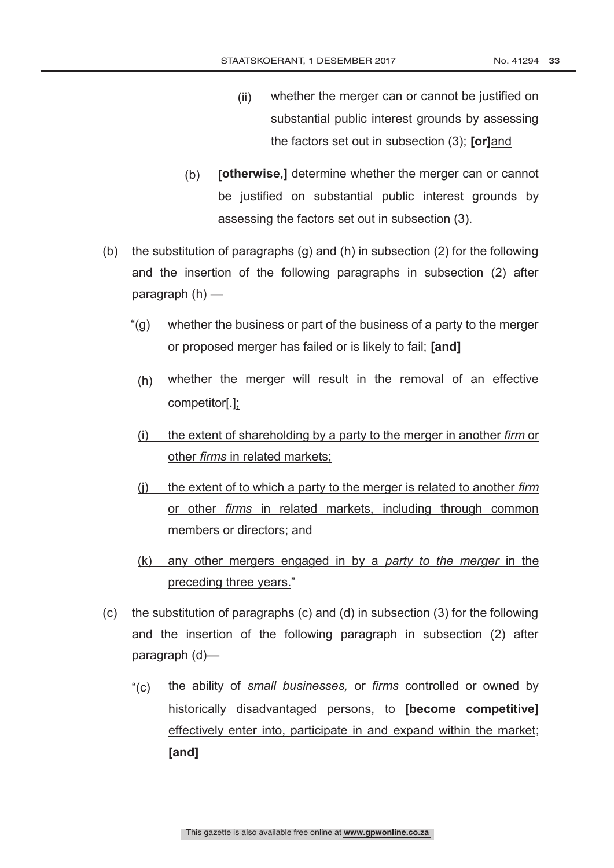- (ii) whether the merger can or cannot be justified on substantial public interest grounds by assessing the factors set out in subsection (3); **[or]**and
- (b) **[otherwise,]** determine whether the merger can or cannot be justified on substantial public interest grounds by assessing the factors set out in subsection (3).
- (b) the substitution of paragraphs (g) and (h) in subsection (2) for the following and the insertion of the following paragraphs in subsection (2) after paragraph (h) —
	- "(g) whether the business or part of the business of a party to the merger or proposed merger has failed or is likely to fail; **[and]**
		- (h) whether the merger will result in the removal of an effective competitor[.];
		- (i) the extent of shareholding by a party to the merger in another *firm* or other *firms* in related markets;
		- (j) the extent of to which a party to the merger is related to another *firm* or other *firms* in related markets, including through common members or directors; and
		- (k) any other mergers engaged in by a *party to the merger* in the preceding three years."
- (c) the substitution of paragraphs (c) and (d) in subsection (3) for the following and the insertion of the following paragraph in subsection (2) after paragraph (d)—
	- "(c) the ability of *small businesses,* or *firms* controlled or owned by historically disadvantaged persons, to **[become competitive]**  effectively enter into, participate in and expand within the market; **[and]**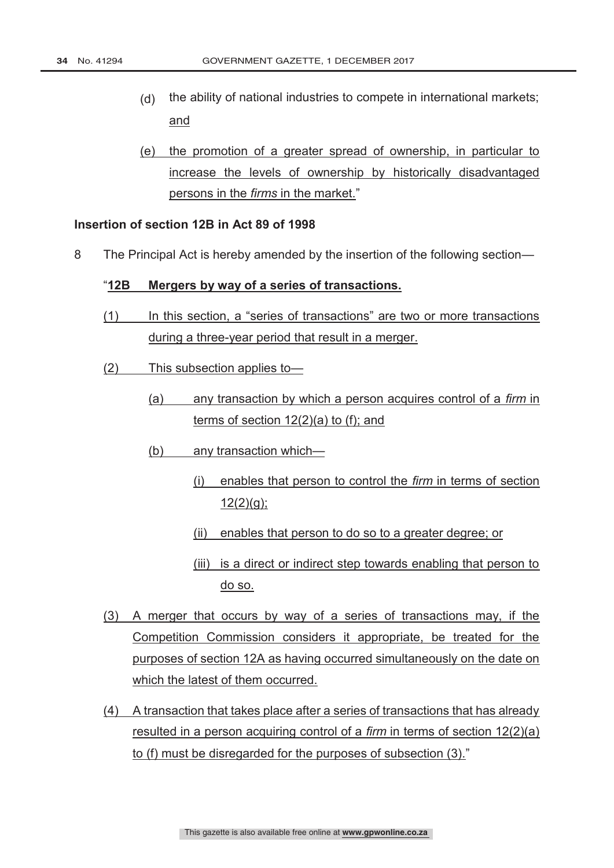- (d) the ability of national industries to compete in international markets; and
- (e) the promotion of a greater spread of ownership, in particular to increase the levels of ownership by historically disadvantaged persons in the *firms* in the market."

# **Insertion of section 12B in Act 89 of 1998**

8 The Principal Act is hereby amended by the insertion of the following section—

### "**12B Mergers by way of a series of transactions.**

- (1) In this section, a "series of transactions" are two or more transactions during a three-year period that result in a merger.
- (2) This subsection applies to—
	- (a) any transaction by which a person acquires control of a *firm* in terms of section 12(2)(a) to (f); and
	- (b) any transaction which—
		- (i) enables that person to control the *firm* in terms of section  $12(2)(q)$ ;
		- (ii) enables that person to do so to a greater degree; or
		- (iii) is a direct or indirect step towards enabling that person to do so.
- (3) A merger that occurs by way of a series of transactions may, if the Competition Commission considers it appropriate, be treated for the purposes of section 12A as having occurred simultaneously on the date on which the latest of them occurred.
- (4) A transaction that takes place after a series of transactions that has already resulted in a person acquiring control of a *firm* in terms of section 12(2)(a) to (f) must be disregarded for the purposes of subsection (3)."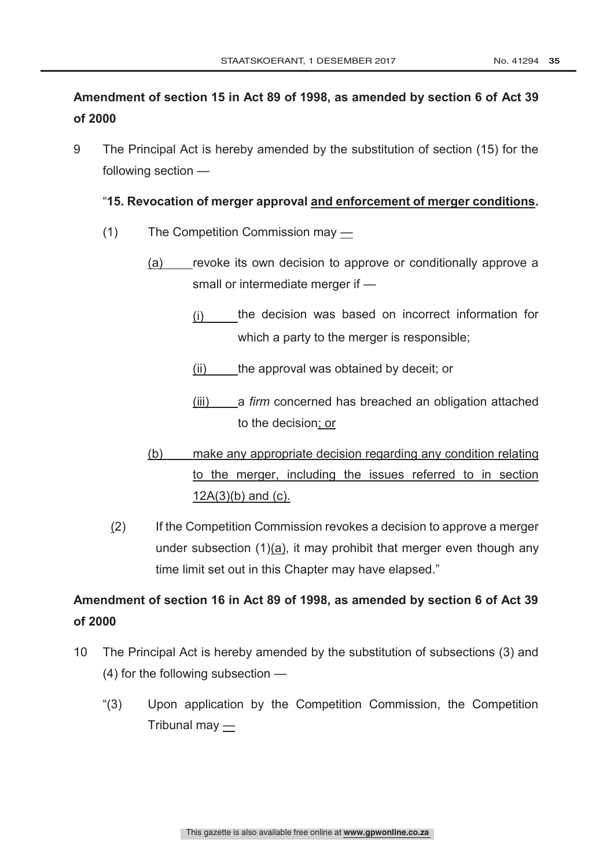# **Amendment of section 15 in Act 89 of 1998, as amended by section 6 of Act 39 of 2000**

9 The Principal Act is hereby amended by the substitution of section (15) for the following section —

# "**15. Revocation of merger approval and enforcement of merger conditions.**

- (1) The Competition Commission may
	- (a) revoke its own decision to approve or conditionally approve a small or intermediate merger if —
		- (i) the decision was based on incorrect information for which a party to the merger is responsible;
		- (ii) the approval was obtained by deceit; or
		- (iii) a *firm* concerned has breached an obligation attached to the decision; or
	- (b) make any appropriate decision regarding any condition relating to the merger, including the issues referred to in section  $12A(3)(b)$  and (c).
	- (2) If the Competition Commission revokes a decision to approve a merger under subsection  $(1)(a)$ , it may prohibit that merger even though any time limit set out in this Chapter may have elapsed."

# **Amendment of section 16 in Act 89 of 1998, as amended by section 6 of Act 39 of 2000**

- 10 The Principal Act is hereby amended by the substitution of subsections (3) and (4) for the following subsection —
	- "(3) Upon application by the Competition Commission, the Competition Tribunal may —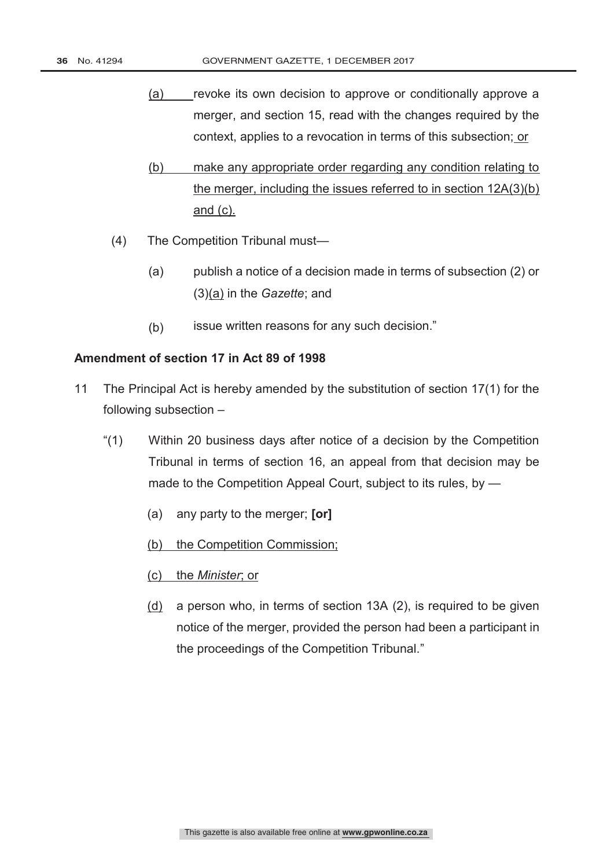- (a) revoke its own decision to approve or conditionally approve a merger, and section 15, read with the changes required by the context, applies to a revocation in terms of this subsection; or
- (b) make any appropriate order regarding any condition relating to the merger, including the issues referred to in section 12A(3)(b) and (c).
- (4) The Competition Tribunal must—
	- (a) publish a notice of a decision made in terms of subsection (2) or (3)(a) in the *Gazette*; and
	- (b) issue written reasons for any such decision."

# **Amendment of section 17 in Act 89 of 1998**

- 11 The Principal Act is hereby amended by the substitution of section 17(1) for the following subsection –
	- "(1) Within 20 business days after notice of a decision by the Competition Tribunal in terms of section 16, an appeal from that decision may be made to the Competition Appeal Court, subject to its rules, by —
		- (a) any party to the merger; **[or]**
		- (b) the Competition Commission;
		- (c) the *Minister*; or
		- (d) a person who, in terms of section 13A (2), is required to be given notice of the merger, provided the person had been a participant in the proceedings of the Competition Tribunal."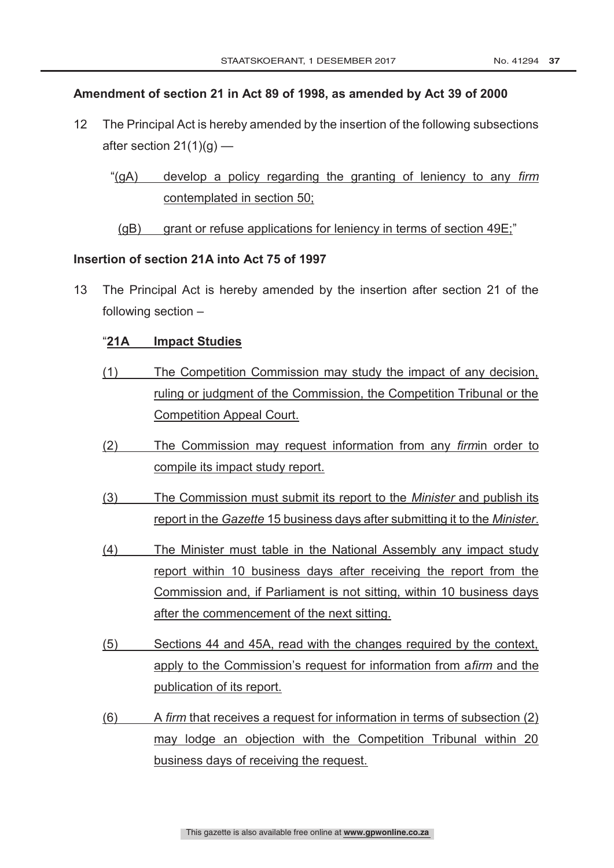# **Amendment of section 21 in Act 89 of 1998, as amended by Act 39 of 2000**

- 12 The Principal Act is hereby amended by the insertion of the following subsections after section  $21(1)(g)$  —
	- "(gA) develop a policy regarding the granting of leniency to any *firm* contemplated in section 50;

(gB) grant or refuse applications for leniency in terms of section 49E;"

# **Insertion of section 21A into Act 75 of 1997**

13 The Principal Act is hereby amended by the insertion after section 21 of the following section –

# "**21A Impact Studies**

- (1) The Competition Commission may study the impact of any decision, ruling or judgment of the Commission, the Competition Tribunal or the Competition Appeal Court.
- (2) The Commission may request information from any *firm*in order to compile its impact study report.
- (3) The Commission must submit its report to the *Minister* and publish its report in the *Gazette* 15 business days after submitting it to the *Minister*.
- (4) The Minister must table in the National Assembly any impact study report within 10 business days after receiving the report from the Commission and, if Parliament is not sitting, within 10 business days after the commencement of the next sitting.
- (5) Sections 44 and 45A, read with the changes required by the context, apply to the Commission's request for information from a*firm* and the publication of its report.
- (6) A *firm* that receives a request for information in terms of subsection (2) may lodge an objection with the Competition Tribunal within 20 business days of receiving the request.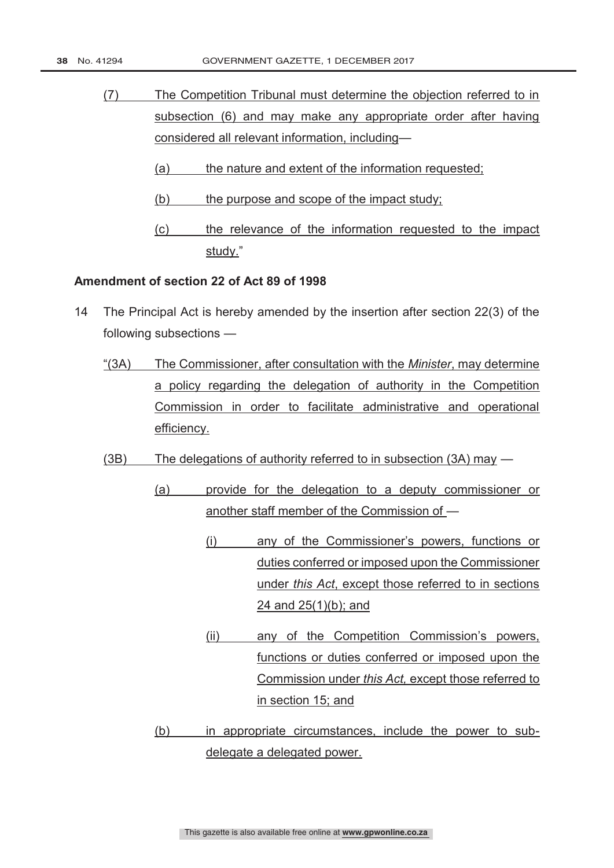- (7) The Competition Tribunal must determine the objection referred to in subsection (6) and may make any appropriate order after having considered all relevant information, including—
	- (a) the nature and extent of the information requested;
	- (b) the purpose and scope of the impact study;
	- (c) the relevance of the information requested to the impact study."

### **Amendment of section 22 of Act 89 of 1998**

- 14 The Principal Act is hereby amended by the insertion after section 22(3) of the following subsections —
	- "(3A) The Commissioner, after consultation with the *Minister*, may determine a policy regarding the delegation of authority in the Competition Commission in order to facilitate administrative and operational efficiency.
	- (3B) The delegations of authority referred to in subsection (3A) may
		- (a) provide for the delegation to a deputy commissioner or another staff member of the Commission of —
			- (i) any of the Commissioner's powers, functions or duties conferred or imposed upon the Commissioner under *this Act*, except those referred to in sections 24 and 25(1)(b); and
			- (ii) any of the Competition Commission's powers, functions or duties conferred or imposed upon the Commission under *this Act,* except those referred to in section 15; and
		- (b) in appropriate circumstances, include the power to subdelegate a delegated power.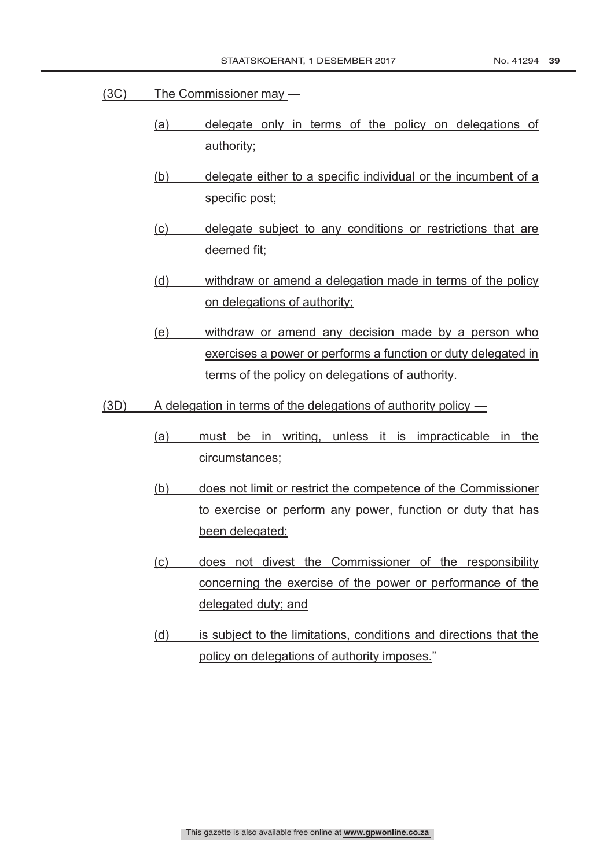#### (3C) The Commissioner may —

- (a) delegate only in terms of the policy on delegations of authority;
- (b) delegate either to a specific individual or the incumbent of a specific post;
- (c) delegate subject to any conditions or restrictions that are deemed fit;
- (d) withdraw or amend a delegation made in terms of the policy on delegations of authority;
- (e) withdraw or amend any decision made by a person who exercises a power or performs a function or duty delegated in terms of the policy on delegations of authority.
- $(3D)$  A delegation in terms of the delegations of authority policy
	- (a) must be in writing, unless it is impracticable in the circumstances;
	- (b) does not limit or restrict the competence of the Commissioner to exercise or perform any power, function or duty that has been delegated;
	- (c) does not divest the Commissioner of the responsibility concerning the exercise of the power or performance of the delegated duty; and
	- (d) is subject to the limitations, conditions and directions that the policy on delegations of authority imposes."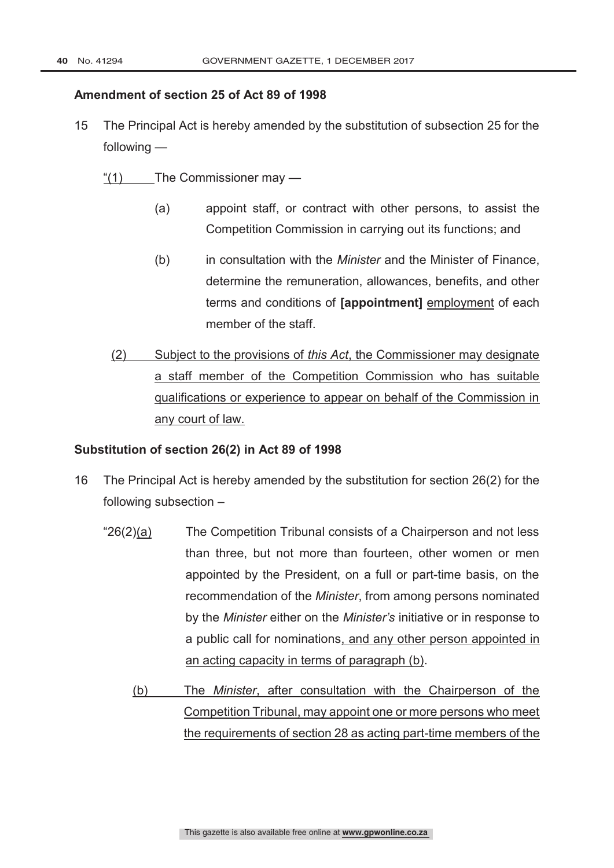### **Amendment of section 25 of Act 89 of 1998**

- 15 The Principal Act is hereby amended by the substitution of subsection 25 for the following —
	- "(1) The Commissioner may
		- (a) appoint staff, or contract with other persons, to assist the Competition Commission in carrying out its functions; and
		- (b) in consultation with the *Minister* and the Minister of Finance, determine the remuneration, allowances, benefits, and other terms and conditions of **[appointment]** employment of each member of the staff.
		- (2) Subject to the provisions of *this Act*, the Commissioner may designate a staff member of the Competition Commission who has suitable qualifications or experience to appear on behalf of the Commission in any court of law.

# **Substitution of section 26(2) in Act 89 of 1998**

- 16 The Principal Act is hereby amended by the substitution for section 26(2) for the following subsection –
	- " $26(2)(a)$  The Competition Tribunal consists of a Chairperson and not less than three, but not more than fourteen, other women or men appointed by the President, on a full or part-time basis, on the recommendation of the *Minister*, from among persons nominated by the *Minister* either on the *Minister's* initiative or in response to a public call for nominations, and any other person appointed in an acting capacity in terms of paragraph (b).
		- (b) The *Minister*, after consultation with the Chairperson of the Competition Tribunal, may appoint one or more persons who meet the requirements of section 28 as acting part-time members of the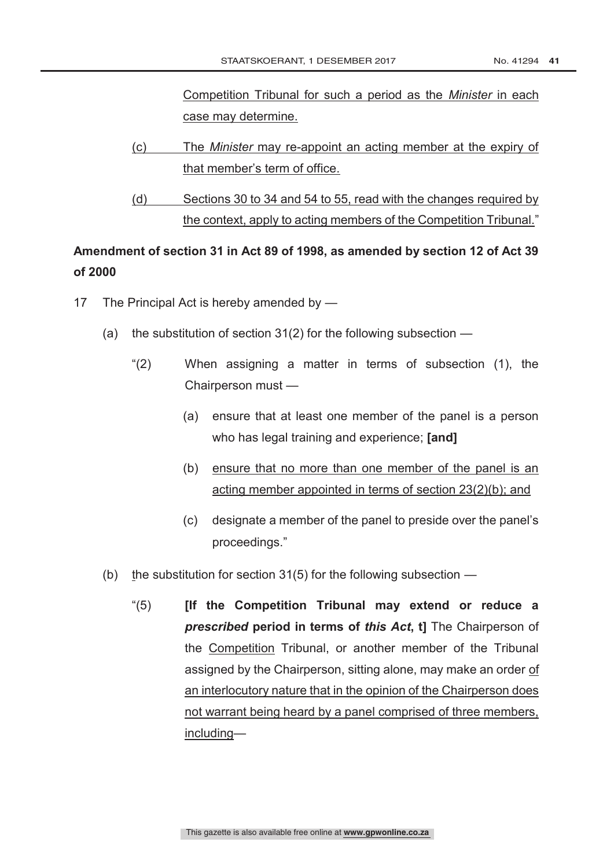Competition Tribunal for such a period as the *Minister* in each case may determine.

- (c) The *Minister* may re-appoint an acting member at the expiry of that member's term of office.
- (d) Sections 30 to 34 and 54 to 55, read with the changes required by the context, apply to acting members of the Competition Tribunal."

# **Amendment of section 31 in Act 89 of 1998, as amended by section 12 of Act 39 of 2000**

- 17 The Principal Act is hereby amended by
	- (a) the substitution of section 31(2) for the following subsection
		- "(2) When assigning a matter in terms of subsection (1), the Chairperson must —
			- (a) ensure that at least one member of the panel is a person who has legal training and experience; **[and]**
			- (b) ensure that no more than one member of the panel is an acting member appointed in terms of section 23(2)(b); and
			- (c) designate a member of the panel to preside over the panel's proceedings."
	- (b) the substitution for section 31(5) for the following subsection  $-$ 
		- "(5) **[If the Competition Tribunal may extend or reduce a**  *prescribed* **period in terms of** *this Act***, t]** The Chairperson of the Competition Tribunal, or another member of the Tribunal assigned by the Chairperson, sitting alone, may make an order of an interlocutory nature that in the opinion of the Chairperson does not warrant being heard by a panel comprised of three members, including—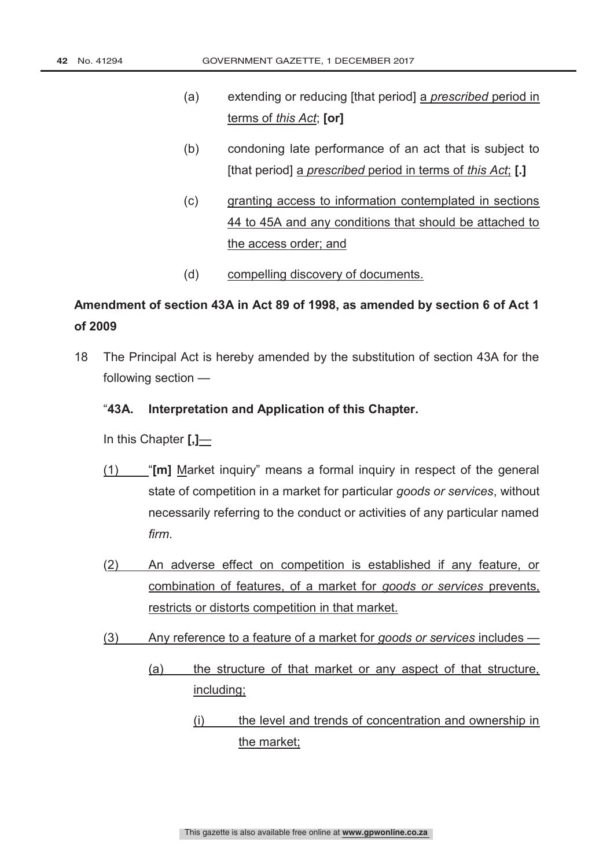- (a) extending or reducing [that period] a *prescribed* period in terms of *this Act*; **[or]**
- (b) condoning late performance of an act that is subject to [that period] a *prescribed* period in terms of *this Act*; **[.]**
- (c) granting access to information contemplated in sections 44 to 45A and any conditions that should be attached to the access order; and
- (d) compelling discovery of documents.

# **Amendment of section 43A in Act 89 of 1998, as amended by section 6 of Act 1 of 2009**

18 The Principal Act is hereby amended by the substitution of section 43A for the following section —

# "**43A. Interpretation and Application of this Chapter.**

In this Chapter **[,]**—

- (1) "**[m]** Market inquiry" means a formal inquiry in respect of the general state of competition in a market for particular *goods or services*, without necessarily referring to the conduct or activities of any particular named *firm*.
- (2) An adverse effect on competition is established if any feature, or combination of features, of a market for *goods or services* prevents, restricts or distorts competition in that market.
- (3) Any reference to a feature of a market for *goods or services* includes
	- (a) the structure of that market or any aspect of that structure, including;
		- (i) the level and trends of concentration and ownership in the market;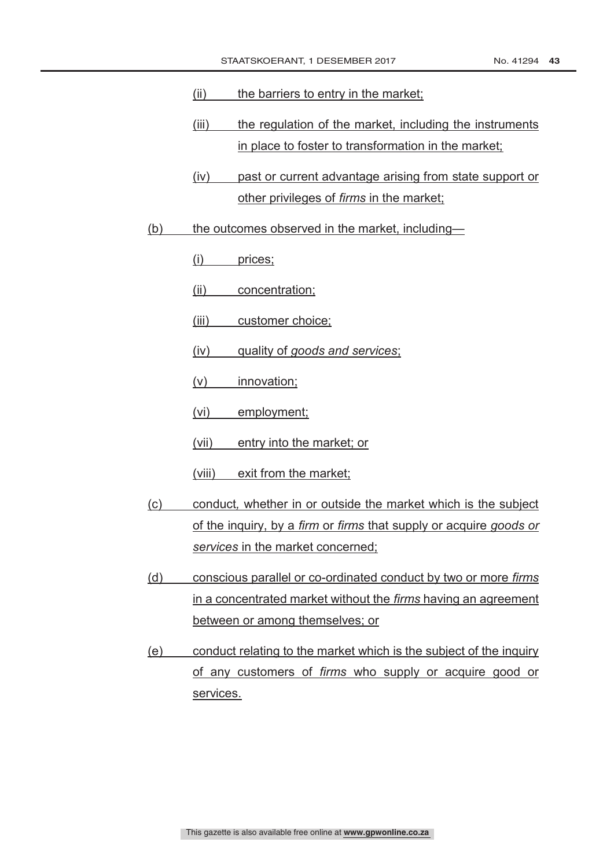#### (ii) the barriers to entry in the market;

- (iii) the regulation of the market, including the instruments in place to foster to transformation in the market;
- (iv) past or current advantage arising from state support or other privileges of *firms* in the market;
- (b) the outcomes observed in the market, including—
	- (i) prices;

(ii) concentration;

- (iii) customer choice;
- (iv) quality of *goods and services*;
- (v) innovation;
- (vi) employment;
- (vii) entry into the market; or
- (viii) exit from the market;
- (c) conduct*,* whether in or outside the market which is the subject of the inquiry, by a *firm* or *firms* that supply or acquire *goods or services* in the market concerned;
- (d) conscious parallel or co-ordinated conduct by two or more *firms* in a concentrated market without the *firms* having an agreement between or among themselves; or
- (e) conduct relating to the market which is the subject of the inquiry of any customers of *firms* who supply or acquire good or services.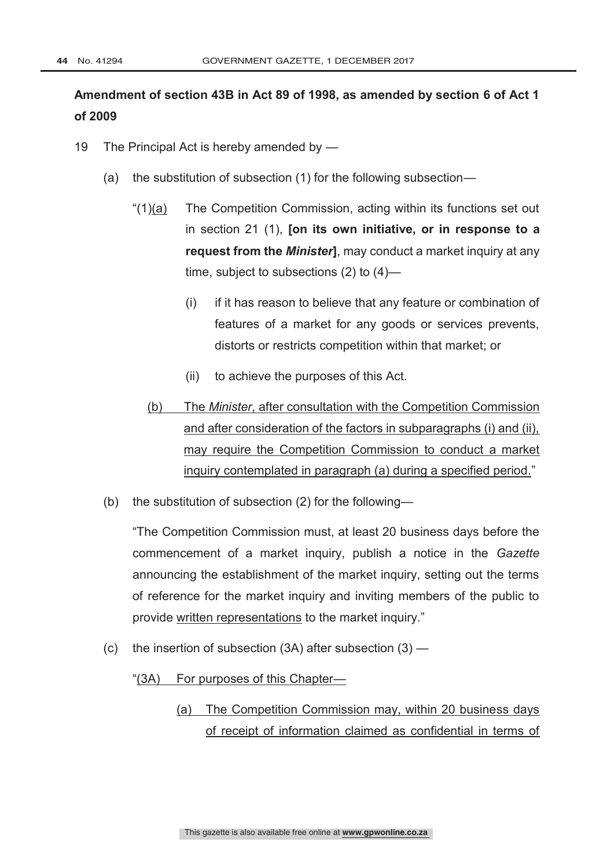# **Amendment of section 43B in Act 89 of 1998, as amended by section 6 of Act 1 of 2009**

- 19 The Principal Act is hereby amended by
	- (a) the substitution of subsection (1) for the following subsection—
		- "(1)(a) The Competition Commission, acting within its functions set out in section 21 (1), **[on its own initiative, or in response to a request from the** *Minister***]**, may conduct a market inquiry at any time, subject to subsections (2) to (4)—
			- (i) if it has reason to believe that any feature or combination of features of a market for any goods or services prevents, distorts or restricts competition within that market; or
			- (ii) to achieve the purposes of this Act.
			- (b) The *Minister*, after consultation with the Competition Commission and after consideration of the factors in subparagraphs (i) and (ii), may require the Competition Commission to conduct a market inquiry contemplated in paragraph (a) during a specified period."
	- (b) the substitution of subsection (2) for the following—

"The Competition Commission must, at least 20 business days before the commencement of a market inquiry, publish a notice in the *Gazette* announcing the establishment of the market inquiry, setting out the terms of reference for the market inquiry and inviting members of the public to provide written representations to the market inquiry."

(c) the insertion of subsection (3A) after subsection (3) —

"(3A) For purposes of this Chapter—

(a) The Competition Commission may, within 20 business days of receipt of information claimed as confidential in terms of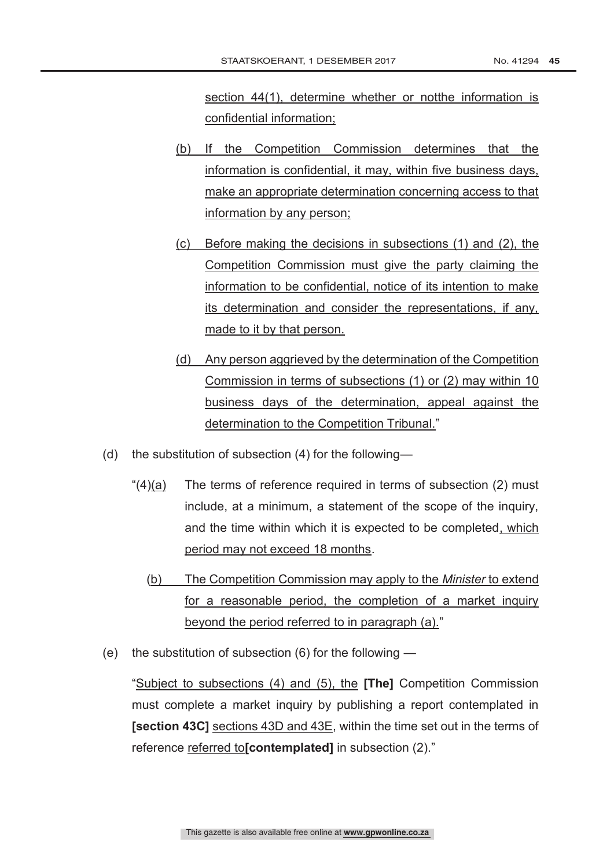section 44(1), determine whether or notthe information is confidential information;

- (b) If the Competition Commission determines that the information is confidential, it may, within five business days, make an appropriate determination concerning access to that information by any person;
- (c) Before making the decisions in subsections (1) and (2), the Competition Commission must give the party claiming the information to be confidential, notice of its intention to make its determination and consider the representations, if any, made to it by that person.
- (d) Any person aggrieved by the determination of the Competition Commission in terms of subsections (1) or (2) may within 10 business days of the determination, appeal against the determination to the Competition Tribunal."
- (d) the substitution of subsection (4) for the following—
	- " $(4)(a)$  The terms of reference required in terms of subsection  $(2)$  must include, at a minimum, a statement of the scope of the inquiry, and the time within which it is expected to be completed, which period may not exceed 18 months.
		- (b) The Competition Commission may apply to the *Minister* to extend for a reasonable period, the completion of a market inquiry beyond the period referred to in paragraph (a)."
- (e) the substitution of subsection (6) for the following —

"Subject to subsections (4) and (5), the **[The]** Competition Commission must complete a market inquiry by publishing a report contemplated in **[section 43C]** sections 43D and 43E, within the time set out in the terms of reference referred to**[contemplated]** in subsection (2)."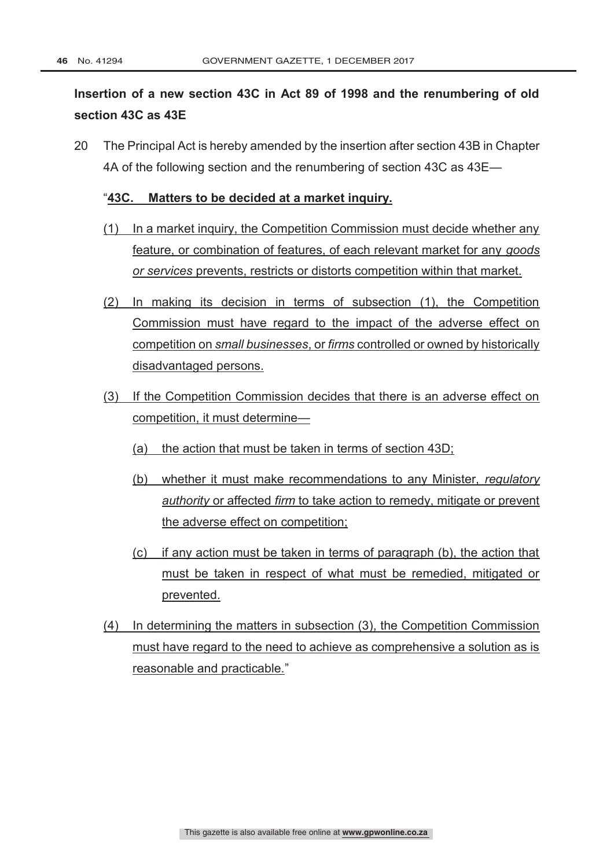# **Insertion of a new section 43C in Act 89 of 1998 and the renumbering of old section 43C as 43E**

20 The Principal Act is hereby amended by the insertion after section 43B in Chapter 4A of the following section and the renumbering of section 43C as 43E—

# "**43C. Matters to be decided at a market inquiry.**

- (1) In a market inquiry, the Competition Commission must decide whether any feature, or combination of features, of each relevant market for any *goods or services* prevents, restricts or distorts competition within that market.
- (2) In making its decision in terms of subsection (1), the Competition Commission must have regard to the impact of the adverse effect on competition on *small businesses*, or *firms* controlled or owned by historically disadvantaged persons.
- (3) If the Competition Commission decides that there is an adverse effect on competition, it must determine—
	- (a) the action that must be taken in terms of section 43D;
	- (b) whether it must make recommendations to any Minister, *regulatory authority* or affected *firm* to take action to remedy, mitigate or prevent the adverse effect on competition;
	- (c) if any action must be taken in terms of paragraph (b), the action that must be taken in respect of what must be remedied, mitigated or prevented.
- (4) In determining the matters in subsection (3), the Competition Commission must have regard to the need to achieve as comprehensive a solution as is reasonable and practicable."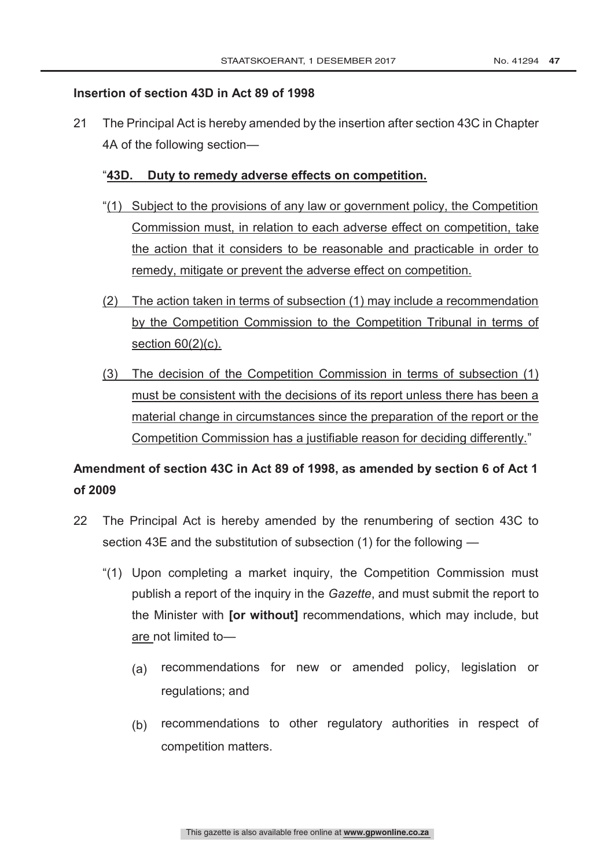### **Insertion of section 43D in Act 89 of 1998**

21 The Principal Act is hereby amended by the insertion after section 43C in Chapter 4A of the following section—

### "**43D. Duty to remedy adverse effects on competition.**

- "(1) Subject to the provisions of any law or government policy, the Competition Commission must, in relation to each adverse effect on competition, take the action that it considers to be reasonable and practicable in order to remedy, mitigate or prevent the adverse effect on competition.
- (2) The action taken in terms of subsection (1) may include a recommendation by the Competition Commission to the Competition Tribunal in terms of section 60(2)(c).
- (3) The decision of the Competition Commission in terms of subsection (1) must be consistent with the decisions of its report unless there has been a material change in circumstances since the preparation of the report or the Competition Commission has a justifiable reason for deciding differently."

# **Amendment of section 43C in Act 89 of 1998, as amended by section 6 of Act 1 of 2009**

- 22 The Principal Act is hereby amended by the renumbering of section 43C to section 43E and the substitution of subsection (1) for the following —
	- "(1) Upon completing a market inquiry, the Competition Commission must publish a report of the inquiry in the *Gazette*, and must submit the report to the Minister with **[or without]** recommendations, which may include, but are not limited to—
		- (a) recommendations for new or amended policy, legislation or regulations; and
		- (b) recommendations to other regulatory authorities in respect of competition matters.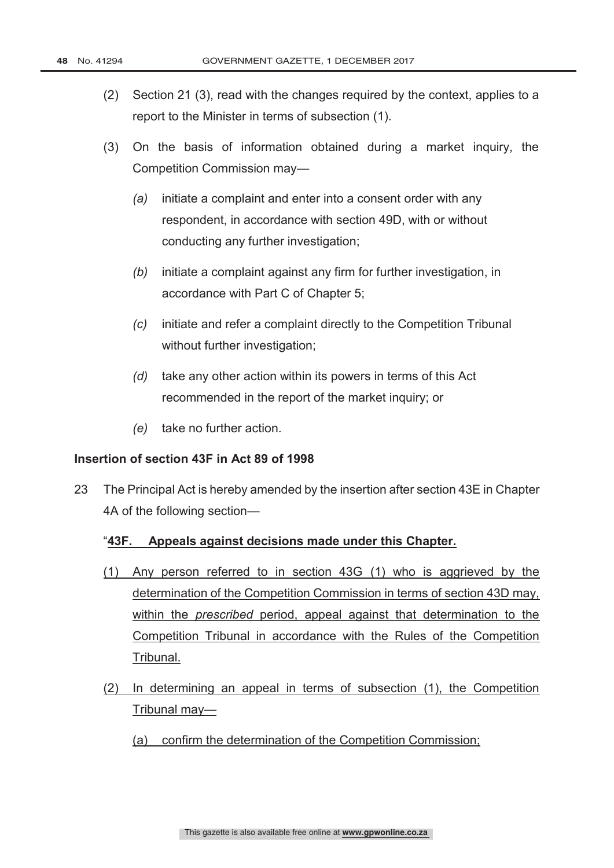- (2) Section 21 (3), read with the changes required by the context, applies to a report to the Minister in terms of subsection (1).
- (3) On the basis of information obtained during a market inquiry, the Competition Commission may—
	- *(a)* initiate a complaint and enter into a consent order with any respondent, in accordance with section 49D, with or without conducting any further investigation;
	- *(b)* initiate a complaint against any firm for further investigation, in accordance with Part C of Chapter 5;
	- *(c)* initiate and refer a complaint directly to the Competition Tribunal without further investigation;
	- *(d)* take any other action within its powers in terms of this Act recommended in the report of the market inquiry; or
	- *(e)* take no further action.

# **Insertion of section 43F in Act 89 of 1998**

23 The Principal Act is hereby amended by the insertion after section 43E in Chapter 4A of the following section—

#### "**43F. Appeals against decisions made under this Chapter.**

- (1) Any person referred to in section 43G (1) who is aggrieved by the determination of the Competition Commission in terms of section 43D may, within the *prescribed* period, appeal against that determination to the Competition Tribunal in accordance with the Rules of the Competition Tribunal.
- (2) In determining an appeal in terms of subsection (1), the Competition Tribunal may—
	- (a) confirm the determination of the Competition Commission;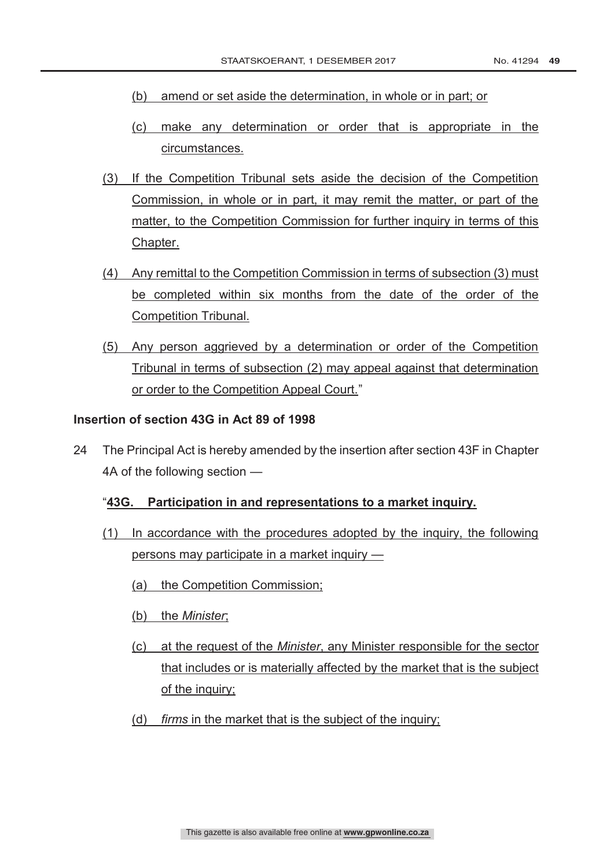- (b) amend or set aside the determination, in whole or in part; or
- (c) make any determination or order that is appropriate in the circumstances.
- (3) If the Competition Tribunal sets aside the decision of the Competition Commission, in whole or in part, it may remit the matter, or part of the matter, to the Competition Commission for further inquiry in terms of this Chapter.
- (4) Any remittal to the Competition Commission in terms of subsection (3) must be completed within six months from the date of the order of the Competition Tribunal.
- (5) Any person aggrieved by a determination or order of the Competition Tribunal in terms of subsection (2) may appeal against that determination or order to the Competition Appeal Court."

#### **Insertion of section 43G in Act 89 of 1998**

24 The Principal Act is hereby amended by the insertion after section 43F in Chapter 4A of the following section —

#### "**43G. Participation in and representations to a market inquiry.**

- (1) In accordance with the procedures adopted by the inquiry, the following persons may participate in a market inquiry —
	- (a) the Competition Commission;
	- (b) the *Minister*;
	- (c) at the request of the *Minister*, any Minister responsible for the sector that includes or is materially affected by the market that is the subject of the inquiry;
	- (d) *firms* in the market that is the subject of the inquiry;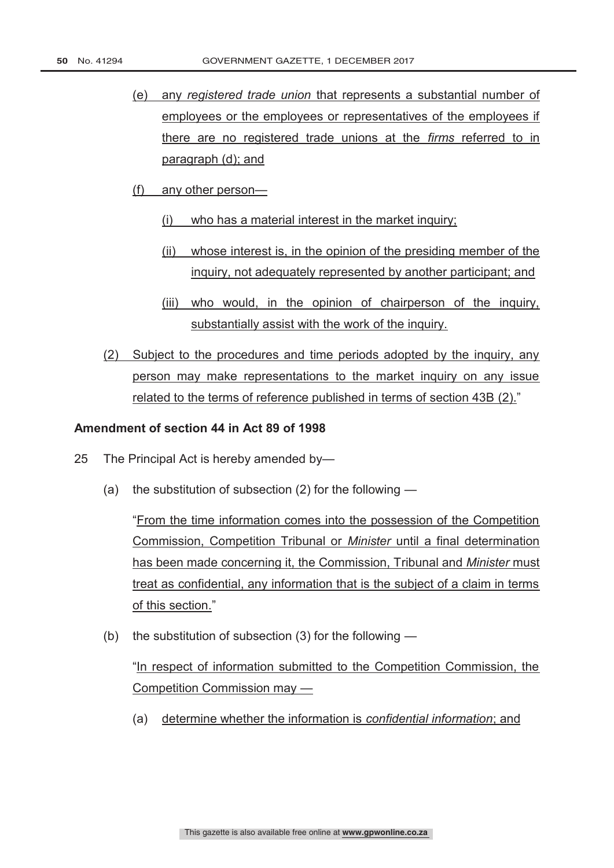- (e) any *registered trade union* that represents a substantial number of employees or the employees or representatives of the employees if there are no registered trade unions at the *firms* referred to in paragraph (d); and
- (f) any other person—
	- (i) who has a material interest in the market inquiry;
	- (ii) whose interest is, in the opinion of the presiding member of the inquiry, not adequately represented by another participant; and
	- (iii) who would, in the opinion of chairperson of the inquiry, substantially assist with the work of the inquiry.
- (2) Subject to the procedures and time periods adopted by the inquiry, any person may make representations to the market inquiry on any issue related to the terms of reference published in terms of section 43B (2)."

### **Amendment of section 44 in Act 89 of 1998**

- 25 The Principal Act is hereby amended by—
	- (a) the substitution of subsection (2) for the following —

"From the time information comes into the possession of the Competition Commission, Competition Tribunal or *Minister* until a final determination has been made concerning it, the Commission, Tribunal and *Minister* must treat as confidential, any information that is the subject of a claim in terms of this section."

(b) the substitution of subsection (3) for the following —

"In respect of information submitted to the Competition Commission, the Competition Commission may —

(a) determine whether the information is *confidential information*; and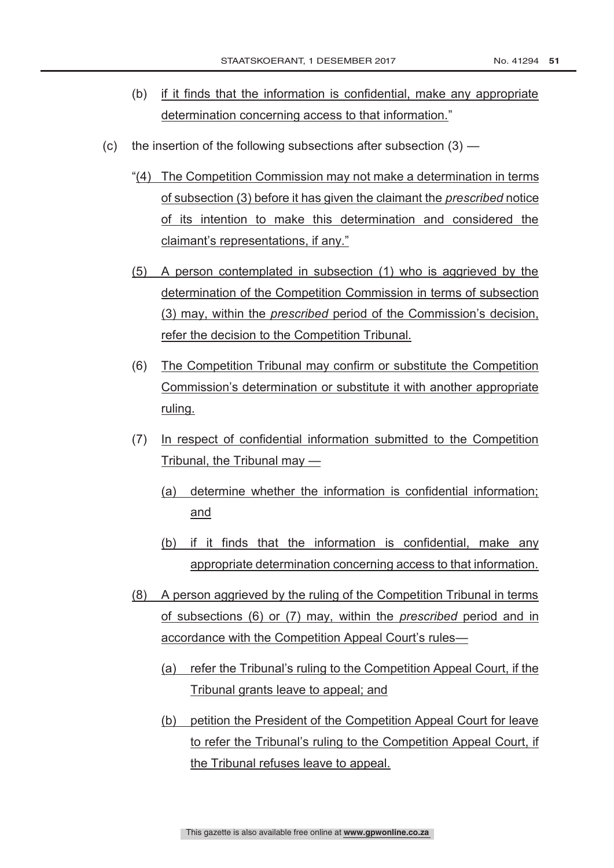- (b) if it finds that the information is confidential, make any appropriate determination concerning access to that information."
- (c) the insertion of the following subsections after subsection  $(3)$ 
	- "(4) The Competition Commission may not make a determination in terms of subsection (3) before it has given the claimant the *prescribed* notice of its intention to make this determination and considered the claimant's representations, if any."
	- (5) A person contemplated in subsection (1) who is aggrieved by the determination of the Competition Commission in terms of subsection (3) may, within the *prescribed* period of the Commission's decision, refer the decision to the Competition Tribunal.
	- (6) The Competition Tribunal may confirm or substitute the Competition Commission's determination or substitute it with another appropriate ruling.
	- (7) In respect of confidential information submitted to the Competition Tribunal, the Tribunal may —
		- (a) determine whether the information is confidential information; and
		- (b) if it finds that the information is confidential, make any appropriate determination concerning access to that information.
	- (8) A person aggrieved by the ruling of the Competition Tribunal in terms of subsections (6) or (7) may, within the *prescribed* period and in accordance with the Competition Appeal Court's rules—
		- (a) refer the Tribunal's ruling to the Competition Appeal Court, if the Tribunal grants leave to appeal; and
		- (b) petition the President of the Competition Appeal Court for leave to refer the Tribunal's ruling to the Competition Appeal Court, if the Tribunal refuses leave to appeal.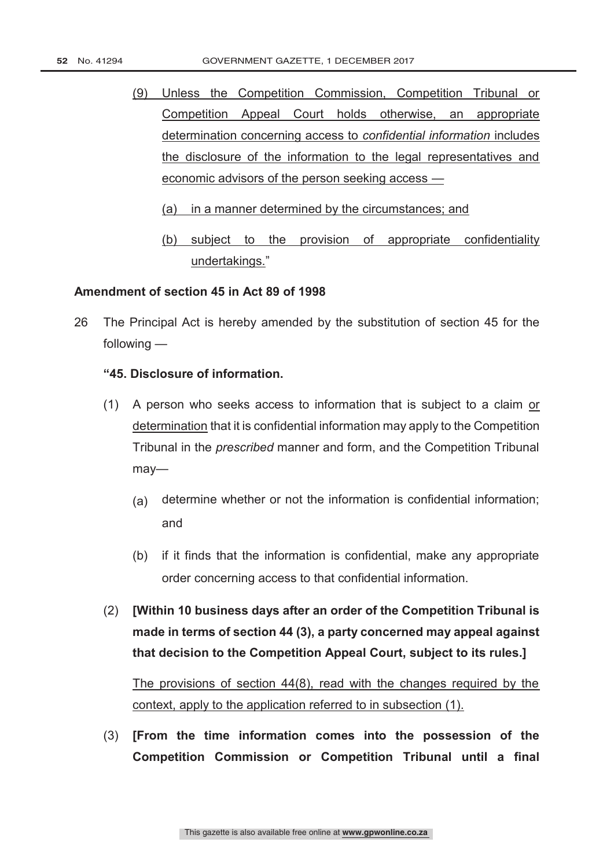- (9) Unless the Competition Commission, Competition Tribunal or Competition Appeal Court holds otherwise, an appropriate determination concerning access to *confidential information* includes the disclosure of the information to the legal representatives and economic advisors of the person seeking access —
	- (a) in a manner determined by the circumstances; and
	- (b) subject to the provision of appropriate confidentiality undertakings."

# **Amendment of section 45 in Act 89 of 1998**

26 The Principal Act is hereby amended by the substitution of section 45 for the following —

# **"45. Disclosure of information.**

- (1) A person who seeks access to information that is subject to a claim or determination that it is confidential information may apply to the Competition Tribunal in the *prescribed* manner and form, and the Competition Tribunal may—
	- (a) determine whether or not the information is confidential information; and
	- (b) if it finds that the information is confidential, make any appropriate order concerning access to that confidential information.
- (2) **[Within 10 business days after an order of the Competition Tribunal is made in terms of section 44 (3), a party concerned may appeal against that decision to the Competition Appeal Court, subject to its rules.]**

The provisions of section 44(8), read with the changes required by the context, apply to the application referred to in subsection (1).

(3) **[From the time information comes into the possession of the Competition Commission or Competition Tribunal until a final**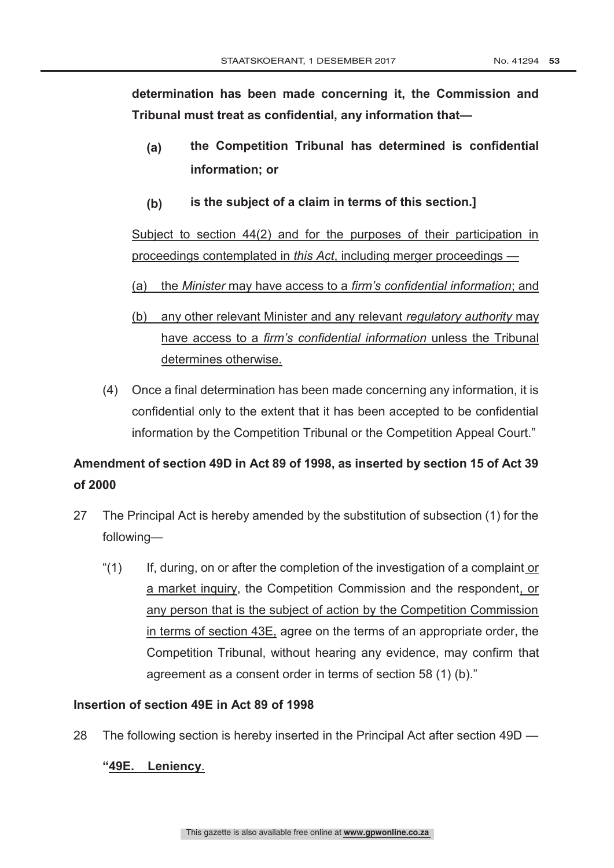**determination has been made concerning it, the Commission and Tribunal must treat as confidential, any information that—**

- **(a) the Competition Tribunal has determined is confidential information; or**
- **(b) is the subject of a claim in terms of this section.]**

Subject to section 44(2) and for the purposes of their participation in proceedings contemplated in *this Act*, including merger proceedings —

- (a) the *Minister* may have access to a *firm's confidential information*; and
- (b) any other relevant Minister and any relevant *regulatory authority* may have access to a *firm's confidential information* unless the Tribunal determines otherwise.
- (4) Once a final determination has been made concerning any information, it is confidential only to the extent that it has been accepted to be confidential information by the Competition Tribunal or the Competition Appeal Court."

# **Amendment of section 49D in Act 89 of 1998, as inserted by section 15 of Act 39 of 2000**

- 27 The Principal Act is hereby amended by the substitution of subsection (1) for the following—
	- "(1) If, during, on or after the completion of the investigation of a complaint or a market inquiry, the Competition Commission and the respondent, or any person that is the subject of action by the Competition Commission in terms of section 43E, agree on the terms of an appropriate order, the Competition Tribunal, without hearing any evidence, may confirm that agreement as a consent order in terms of section 58 (1) (b)."

# **Insertion of section 49E in Act 89 of 1998**

28 The following section is hereby inserted in the Principal Act after section 49D —

# **"49E. Leniency**.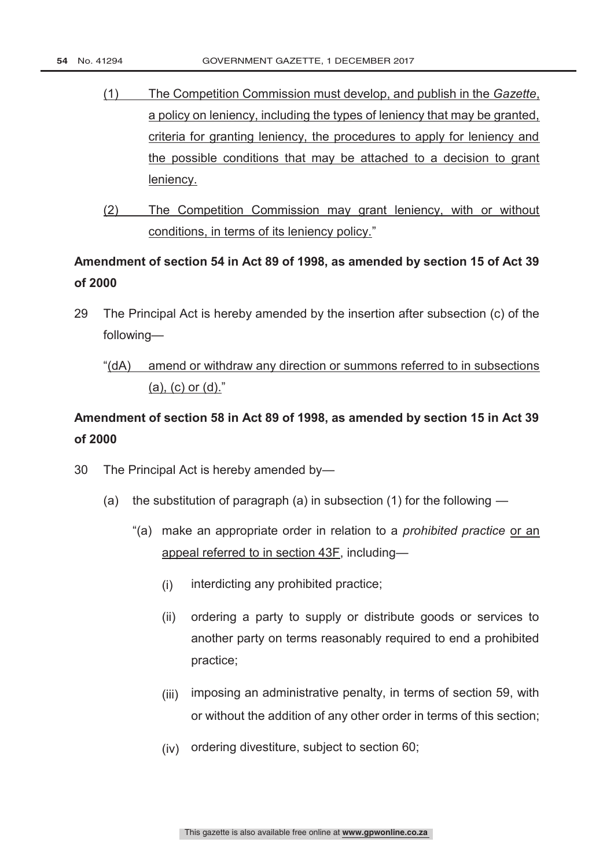- (1) The Competition Commission must develop, and publish in the *Gazette*, a policy on leniency, including the types of leniency that may be granted, criteria for granting leniency, the procedures to apply for leniency and the possible conditions that may be attached to a decision to grant leniency.
- (2) The Competition Commission may grant leniency, with or without conditions, in terms of its leniency policy."

# **Amendment of section 54 in Act 89 of 1998, as amended by section 15 of Act 39 of 2000**

29 The Principal Act is hereby amended by the insertion after subsection (c) of the following—

# "(dA) amend or withdraw any direction or summons referred to in subsections (a), (c) or (d)."

# **Amendment of section 58 in Act 89 of 1998, as amended by section 15 in Act 39 of 2000**

- 30 The Principal Act is hereby amended by—
	- (a) the substitution of paragraph (a) in subsection (1) for the following  $-$ 
		- "(a) make an appropriate order in relation to a *prohibited practice* or an appeal referred to in section 43F, including—
			- (i) interdicting any prohibited practice;
			- (ii) ordering a party to supply or distribute goods or services to another party on terms reasonably required to end a prohibited practice;
			- (iii) imposing an administrative penalty, in terms of section 59, with or without the addition of any other order in terms of this section;
			- (iv) ordering divestiture, subject to section 60;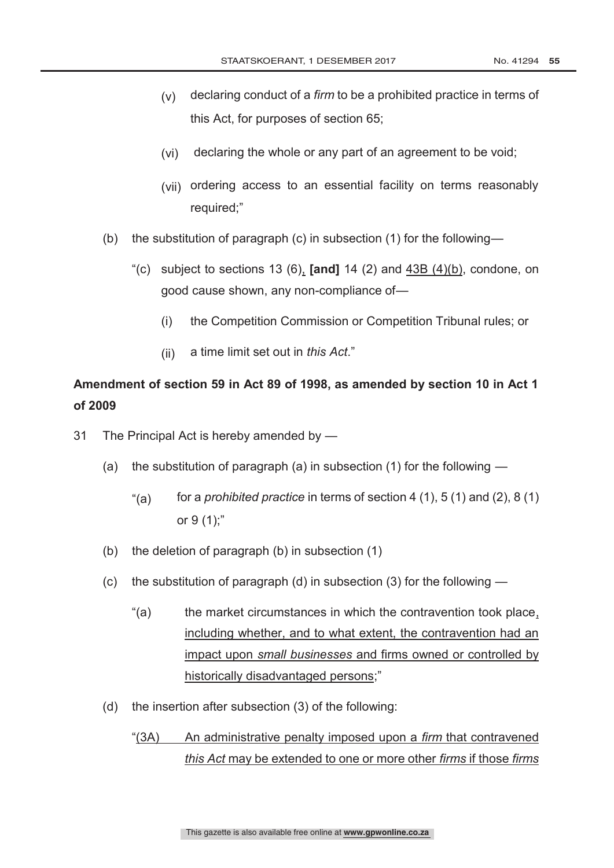- (v) declaring conduct of a *firm* to be a prohibited practice in terms of this Act, for purposes of section 65;
- (vi) declaring the whole or any part of an agreement to be void;
- (vii) ordering access to an essential facility on terms reasonably required;"
- (b) the substitution of paragraph (c) in subsection (1) for the following—
	- "(c) subject to sections 13 (6), **[and]** 14 (2) and 43B (4)(b), condone, on good cause shown, any non-compliance of—
		- (i) the Competition Commission or Competition Tribunal rules; or
		- (ii) a time limit set out in *this Act*."

# **Amendment of section 59 in Act 89 of 1998, as amended by section 10 in Act 1 of 2009**

- 31 The Principal Act is hereby amended by
	- (a) the substitution of paragraph (a) in subsection (1) for the following  $-$ 
		- "(a) for a *prohibited practice* in terms of section 4 (1), 5 (1) and (2), 8 (1) or 9 (1);"
	- (b) the deletion of paragraph (b) in subsection (1)
	- (c) the substitution of paragraph (d) in subsection (3) for the following
		- "(a) the market circumstances in which the contravention took place, including whether, and to what extent, the contravention had an impact upon *small businesses* and firms owned or controlled by historically disadvantaged persons;"
	- (d) the insertion after subsection (3) of the following:
		- "(3A) An administrative penalty imposed upon a *firm* that contravened *this Act* may be extended to one or more other *firms* if those *firms*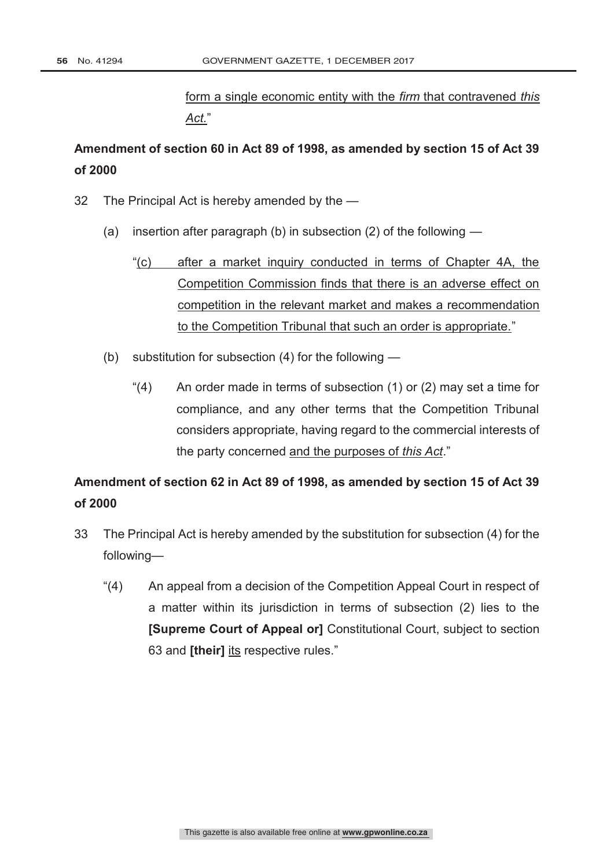form a single economic entity with the *firm* that contravened *this Act.*"

# **Amendment of section 60 in Act 89 of 1998, as amended by section 15 of Act 39 of 2000**

- 32 The Principal Act is hereby amended by the
	- (a) insertion after paragraph (b) in subsection (2) of the following
		- "(c) after a market inquiry conducted in terms of Chapter 4A, the Competition Commission finds that there is an adverse effect on competition in the relevant market and makes a recommendation to the Competition Tribunal that such an order is appropriate."
	- (b) substitution for subsection (4) for the following
		- "(4) An order made in terms of subsection (1) or (2) may set a time for compliance, and any other terms that the Competition Tribunal considers appropriate, having regard to the commercial interests of the party concerned and the purposes of *this Act*."

# **Amendment of section 62 in Act 89 of 1998, as amended by section 15 of Act 39 of 2000**

- 33 The Principal Act is hereby amended by the substitution for subsection (4) for the following—
	- "(4) An appeal from a decision of the Competition Appeal Court in respect of a matter within its jurisdiction in terms of subsection (2) lies to the **[Supreme Court of Appeal or]** Constitutional Court, subject to section 63 and **[their]** its respective rules."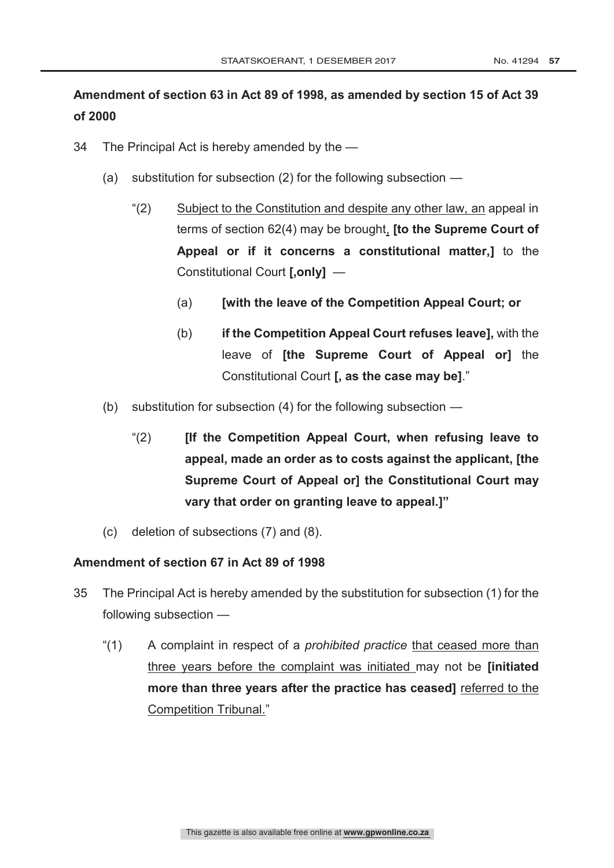# **Amendment of section 63 in Act 89 of 1998, as amended by section 15 of Act 39 of 2000**

- 34 The Principal Act is hereby amended by the
	- (a) substitution for subsection (2) for the following subsection
		- "(2) Subject to the Constitution and despite any other law, an appeal in terms of section 62(4) may be brought, **[to the Supreme Court of Appeal or if it concerns a constitutional matter,]** to the Constitutional Court **[,only]** —
			- (a) **[with the leave of the Competition Appeal Court; or**
			- (b) **if the Competition Appeal Court refuses leave],** with the leave of **[the Supreme Court of Appeal or]** the Constitutional Court **[, as the case may be]**."
	- (b) substitution for subsection (4) for the following subsection
		- "(2) **[If the Competition Appeal Court, when refusing leave to appeal, made an order as to costs against the applicant, [the Supreme Court of Appeal or] the Constitutional Court may vary that order on granting leave to appeal.]"**
	- (c) deletion of subsections (7) and (8).

# **Amendment of section 67 in Act 89 of 1998**

- 35 The Principal Act is hereby amended by the substitution for subsection (1) for the following subsection —
	- "(1) A complaint in respect of a *prohibited practice* that ceased more than three years before the complaint was initiated may not be **[initiated more than three years after the practice has ceased]** referred to the Competition Tribunal."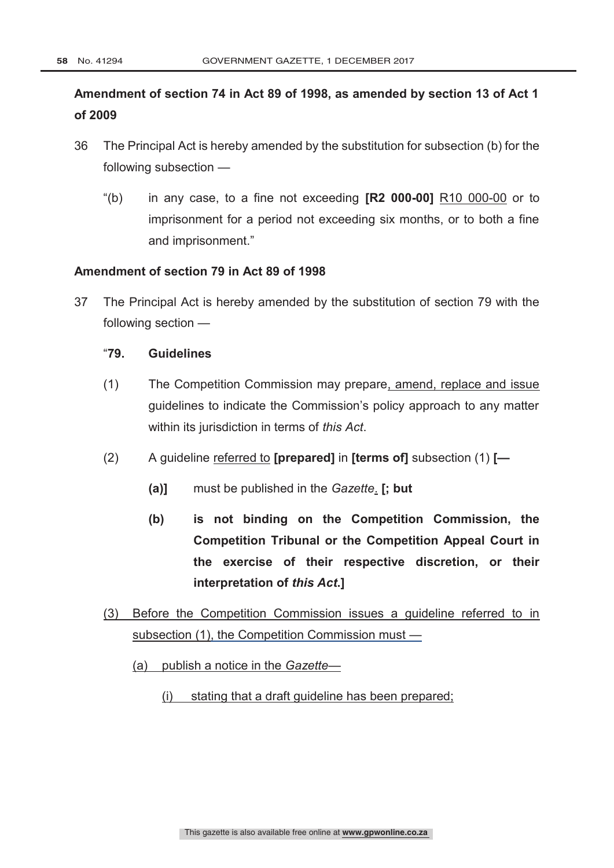# **Amendment of section 74 in Act 89 of 1998, as amended by section 13 of Act 1 of 2009**

- 36 The Principal Act is hereby amended by the substitution for subsection (b) for the following subsection —
	- "(b) in any case, to a fine not exceeding **[R2 000-00]** R10 000-00 or to imprisonment for a period not exceeding six months, or to both a fine and imprisonment."

# **Amendment of section 79 in Act 89 of 1998**

37 The Principal Act is hereby amended by the substitution of section 79 with the following section —

# "**79. Guidelines**

- (1) The Competition Commission may prepare, amend, replace and issue guidelines to indicate the Commission's policy approach to any matter within its jurisdiction in terms of *this Act*.
- (2) A guideline referred to **[prepared]** in **[terms of]** subsection (1) **[—**
	- **(a)]** must be published in the *Gazette*. **[; but**
	- **(b) is not binding on the Competition Commission, the Competition Tribunal or the Competition Appeal Court in the exercise of their respective discretion, or their interpretation of** *this Act***.]**
- (3) Before the Competition Commission issues a guideline referred to in subsection (1), the Competition Commission must —
	- (a) publish a notice in the *Gazette*
		- (i) stating that a draft guideline has been prepared;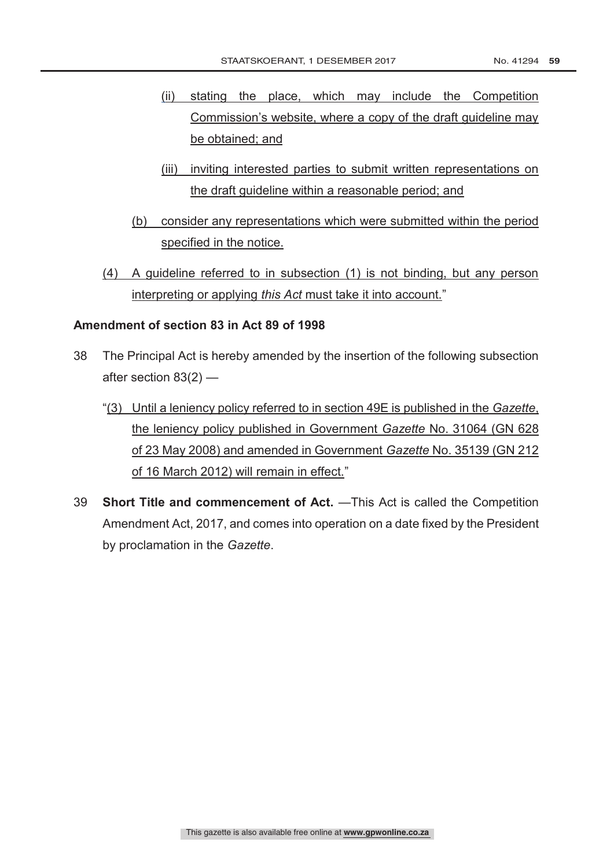- (ii) stating the place, which may include the Competition Commission's website, where a copy of the draft guideline may be obtained; and
- (iii) inviting interested parties to submit written representations on the draft guideline within a reasonable period; and
- (b) consider any representations which were submitted within the period specified in the notice.
- (4) A guideline referred to in subsection (1) is not binding, but any person interpreting or applying *this Act* must take it into account."

# **Amendment of section 83 in Act 89 of 1998**

- 38 The Principal Act is hereby amended by the insertion of the following subsection after section 83(2) —
	- "(3) Until a leniency policy referred to in section 49E is published in the *Gazette*, the leniency policy published in Government *Gazette* No. 31064 (GN 628 of 23 May 2008) and amended in Government *Gazette* No. 35139 (GN 212 of 16 March 2012) will remain in effect."
- 39 **Short Title and commencement of Act.** —This Act is called the Competition Amendment Act, 2017, and comes into operation on a date fixed by the President by proclamation in the *Gazette*.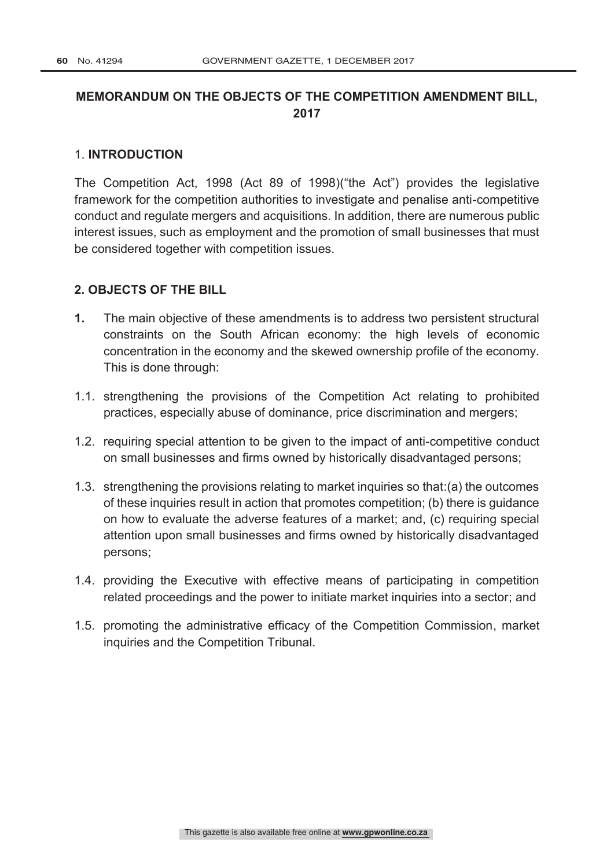# **MEMORANDUM ON THE OBJECTS OF THE COMPETITION AMENDMENT BILL, 2017**

### 1. **INTRODUCTION**

The Competition Act, 1998 (Act 89 of 1998)("the Act") provides the legislative framework for the competition authorities to investigate and penalise anti-competitive conduct and regulate mergers and acquisitions. In addition, there are numerous public interest issues, such as employment and the promotion of small businesses that must be considered together with competition issues.

# **2. OBJECTS OF THE BILL**

- **1.** The main objective of these amendments is to address two persistent structural constraints on the South African economy: the high levels of economic concentration in the economy and the skewed ownership profile of the economy. This is done through:
- 1.1. strengthening the provisions of the Competition Act relating to prohibited practices, especially abuse of dominance, price discrimination and mergers;
- 1.2. requiring special attention to be given to the impact of anti-competitive conduct on small businesses and firms owned by historically disadvantaged persons;
- 1.3. strengthening the provisions relating to market inquiries so that:(a) the outcomes of these inquiries result in action that promotes competition; (b) there is guidance on how to evaluate the adverse features of a market; and, (c) requiring special attention upon small businesses and firms owned by historically disadvantaged persons;
- 1.4. providing the Executive with effective means of participating in competition related proceedings and the power to initiate market inquiries into a sector; and
- 1.5. promoting the administrative efficacy of the Competition Commission, market inquiries and the Competition Tribunal.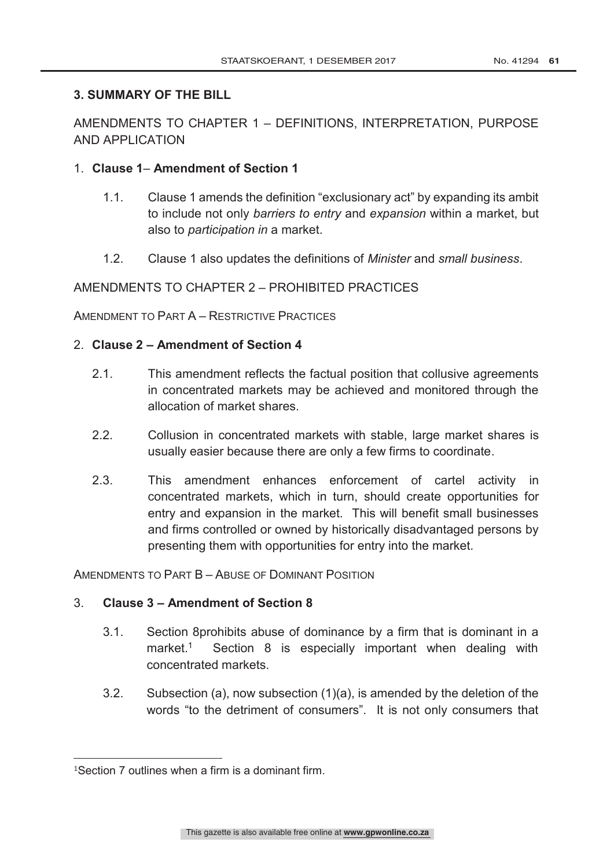# **3. SUMMARY OF THE BILL**

# AMENDMENTS TO CHAPTER 1 – DEFINITIONS, INTERPRETATION, PURPOSE AND APPLICATION

# 1. **Clause 1**– **Amendment of Section 1**

- 1.1. Clause 1 amends the definition "exclusionary act" by expanding its ambit to include not only *barriers to entry* and *expansion* within a market, but also to *participation in* a market.
- 1.2. Clause 1 also updates the definitions of *Minister* and *small business*.

# AMENDMENTS TO CHAPTER 2 – PROHIBITED PRACTICES

AMENDMENT TO PART A – RESTRICTIVE PRACTICES

# 2. **Clause 2 – Amendment of Section 4**

- 2.1. This amendment reflects the factual position that collusive agreements in concentrated markets may be achieved and monitored through the allocation of market shares.
- 2.2. Collusion in concentrated markets with stable, large market shares is usually easier because there are only a few firms to coordinate.
- 2.3. This amendment enhances enforcement of cartel activity in concentrated markets, which in turn, should create opportunities for entry and expansion in the market. This will benefit small businesses and firms controlled or owned by historically disadvantaged persons by presenting them with opportunities for entry into the market.

AMENDMENTS TO PART B – ABUSE OF DOMINANT POSITION

# 3. **Clause 3 – Amendment of Section 8**

- 3.1. Section 8prohibits abuse of dominance by a firm that is dominant in a market.<sup>1</sup> Section 8 is especially important when dealing with concentrated markets.
- 3.2. Subsection (a), now subsection (1)(a), is amended by the deletion of the words "to the detriment of consumers". It is not only consumers that

 $\overline{a}$ 1Section 7 outlines when a firm is a dominant firm.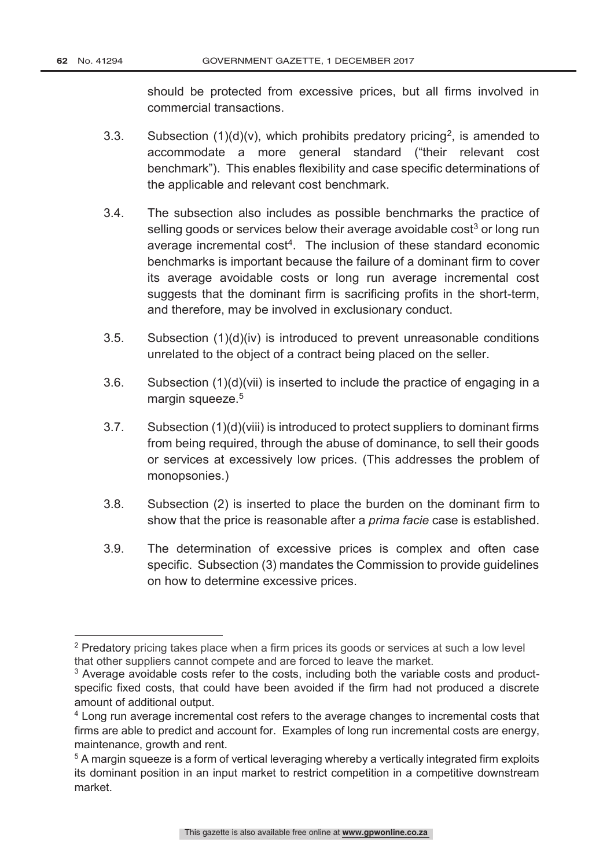$\overline{a}$ 

should be protected from excessive prices, but all firms involved in commercial transactions.

- 3.3. Subsection  $(1)(d)(v)$ , which prohibits predatory pricing<sup>2</sup>, is amended to accommodate a more general standard ("their relevant cost benchmark"). This enables flexibility and case specific determinations of the applicable and relevant cost benchmark.
- 3.4. The subsection also includes as possible benchmarks the practice of selling goods or services below their average avoidable cost<sup>3</sup> or long run average incremental cost<sup>4</sup>. The inclusion of these standard economic benchmarks is important because the failure of a dominant firm to cover its average avoidable costs or long run average incremental cost suggests that the dominant firm is sacrificing profits in the short-term, and therefore, may be involved in exclusionary conduct.
- 3.5. Subsection  $(1)(d)(iv)$  is introduced to prevent unreasonable conditions unrelated to the object of a contract being placed on the seller.
- 3.6. Subsection (1)(d)(vii) is inserted to include the practice of engaging in a margin squeeze.<sup>5</sup>
- 3.7. Subsection (1)(d)(viii) is introduced to protect suppliers to dominant firms from being required, through the abuse of dominance, to sell their goods or services at excessively low prices. (This addresses the problem of monopsonies.)
- 3.8. Subsection (2) is inserted to place the burden on the dominant firm to show that the price is reasonable after a *prima facie* case is established.
- 3.9. The determination of excessive prices is complex and often case specific. Subsection (3) mandates the Commission to provide guidelines on how to determine excessive prices.

<sup>&</sup>lt;sup>2</sup> Predatory pricing takes place when a firm prices its goods or services at such a low level that other suppliers cannot compete and are forced to leave the market.

 $3$  Average avoidable costs refer to the costs, including both the variable costs and productspecific fixed costs, that could have been avoided if the firm had not produced a discrete amount of additional output.

<sup>&</sup>lt;sup>4</sup> Long run average incremental cost refers to the average changes to incremental costs that firms are able to predict and account for. Examples of long run incremental costs are energy, maintenance, growth and rent.

<sup>&</sup>lt;sup>5</sup> A margin squeeze is a form of vertical leveraging whereby a vertically integrated firm exploits its dominant position in an input market to restrict competition in a competitive downstream market.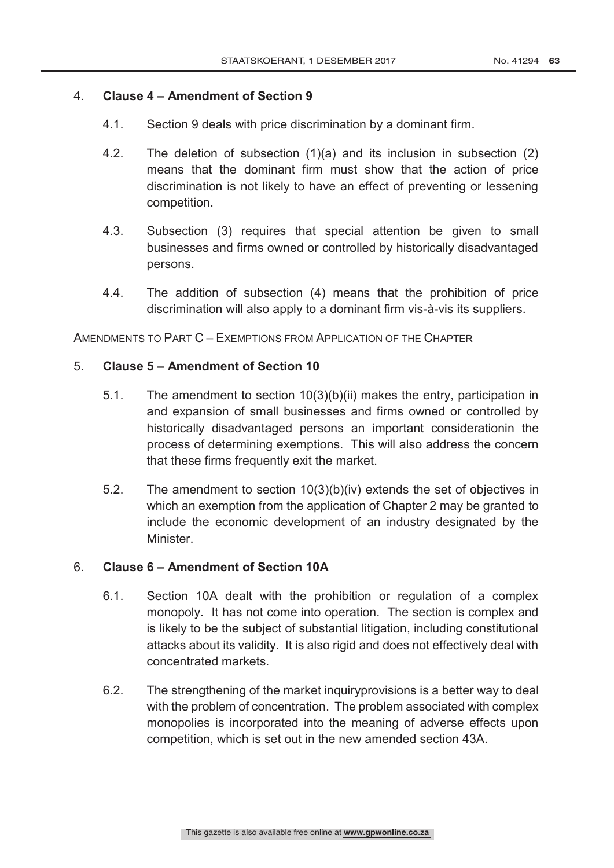### 4. **Clause 4 – Amendment of Section 9**

- 4.1. Section 9 deals with price discrimination by a dominant firm.
- 4.2. The deletion of subsection (1)(a) and its inclusion in subsection (2) means that the dominant firm must show that the action of price discrimination is not likely to have an effect of preventing or lessening competition.
- 4.3. Subsection (3) requires that special attention be given to small businesses and firms owned or controlled by historically disadvantaged persons.
- 4.4. The addition of subsection (4) means that the prohibition of price discrimination will also apply to a dominant firm vis-à-vis its suppliers.

AMENDMENTS TO PART C – EXEMPTIONS FROM APPLICATION OF THE CHAPTER

# 5. **Clause 5 – Amendment of Section 10**

- 5.1. The amendment to section 10(3)(b)(ii) makes the entry, participation in and expansion of small businesses and firms owned or controlled by historically disadvantaged persons an important considerationin the process of determining exemptions. This will also address the concern that these firms frequently exit the market.
- 5.2. The amendment to section 10(3)(b)(iv) extends the set of objectives in which an exemption from the application of Chapter 2 may be granted to include the economic development of an industry designated by the Minister.

# 6. **Clause 6 – Amendment of Section 10A**

- 6.1. Section 10A dealt with the prohibition or regulation of a complex monopoly. It has not come into operation. The section is complex and is likely to be the subject of substantial litigation, including constitutional attacks about its validity. It is also rigid and does not effectively deal with concentrated markets.
- 6.2. The strengthening of the market inquiryprovisions is a better way to deal with the problem of concentration. The problem associated with complex monopolies is incorporated into the meaning of adverse effects upon competition, which is set out in the new amended section 43A.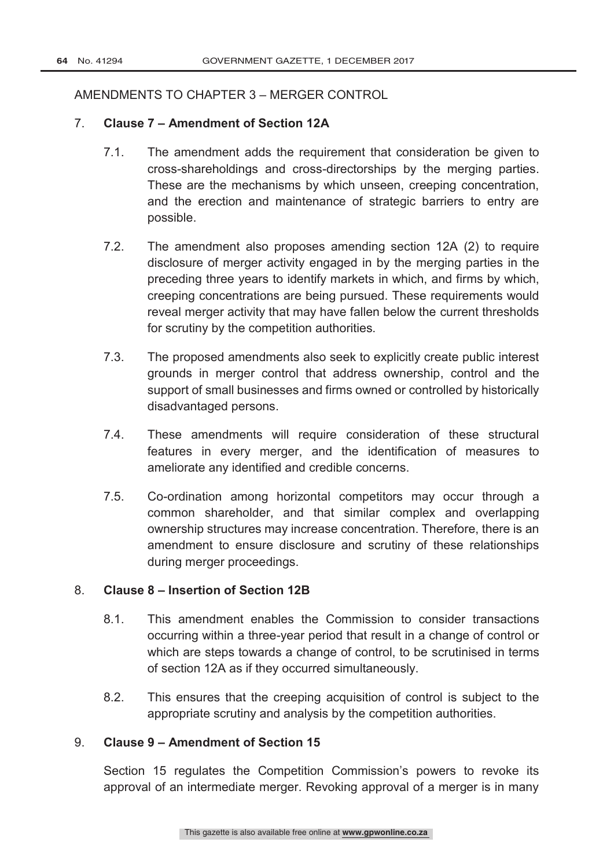AMENDMENTS TO CHAPTER 3 – MERGER CONTROL

### 7. **Clause 7 – Amendment of Section 12A**

- 7.1. The amendment adds the requirement that consideration be given to cross-shareholdings and cross-directorships by the merging parties. These are the mechanisms by which unseen, creeping concentration, and the erection and maintenance of strategic barriers to entry are possible.
- 7.2. The amendment also proposes amending section 12A (2) to require disclosure of merger activity engaged in by the merging parties in the preceding three years to identify markets in which, and firms by which, creeping concentrations are being pursued. These requirements would reveal merger activity that may have fallen below the current thresholds for scrutiny by the competition authorities.
- 7.3. The proposed amendments also seek to explicitly create public interest grounds in merger control that address ownership, control and the support of small businesses and firms owned or controlled by historically disadvantaged persons.
- 7.4. These amendments will require consideration of these structural features in every merger, and the identification of measures to ameliorate any identified and credible concerns.
- 7.5. Co-ordination among horizontal competitors may occur through a common shareholder, and that similar complex and overlapping ownership structures may increase concentration. Therefore, there is an amendment to ensure disclosure and scrutiny of these relationships during merger proceedings.

# 8. **Clause 8 – Insertion of Section 12B**

- 8.1. This amendment enables the Commission to consider transactions occurring within a three-year period that result in a change of control or which are steps towards a change of control, to be scrutinised in terms of section 12A as if they occurred simultaneously.
- 8.2. This ensures that the creeping acquisition of control is subject to the appropriate scrutiny and analysis by the competition authorities.

# 9. **Clause 9 – Amendment of Section 15**

Section 15 regulates the Competition Commission's powers to revoke its approval of an intermediate merger. Revoking approval of a merger is in many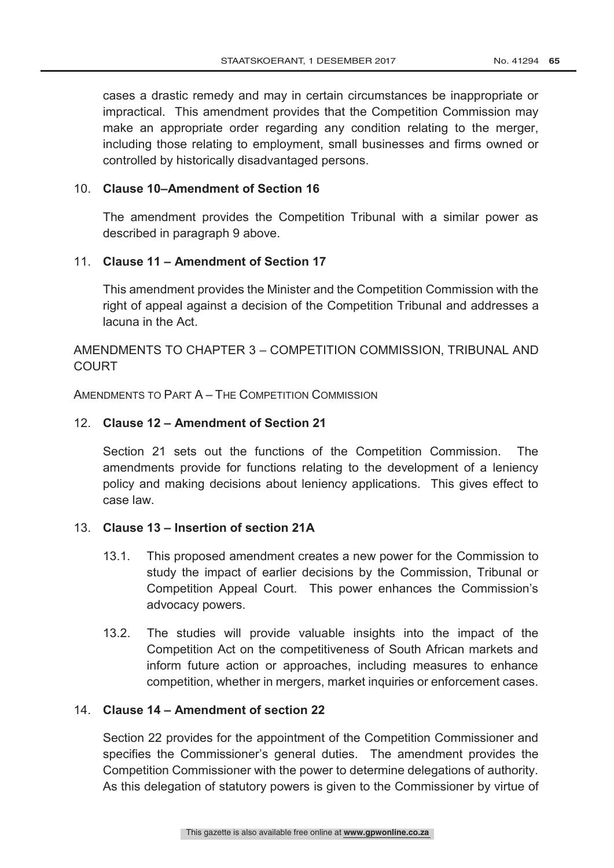cases a drastic remedy and may in certain circumstances be inappropriate or impractical. This amendment provides that the Competition Commission may make an appropriate order regarding any condition relating to the merger, including those relating to employment, small businesses and firms owned or controlled by historically disadvantaged persons.

# 10. **Clause 10–Amendment of Section 16**

The amendment provides the Competition Tribunal with a similar power as described in paragraph 9 above.

# 11. **Clause 11 – Amendment of Section 17**

This amendment provides the Minister and the Competition Commission with the right of appeal against a decision of the Competition Tribunal and addresses a lacuna in the Act.

# AMENDMENTS TO CHAPTER 3 – COMPETITION COMMISSION, TRIBUNAL AND **COURT**

AMENDMENTS TO PART A – THE COMPETITION COMMISSION

# 12. **Clause 12 – Amendment of Section 21**

Section 21 sets out the functions of the Competition Commission. The amendments provide for functions relating to the development of a leniency policy and making decisions about leniency applications. This gives effect to case law.

# 13. **Clause 13 – Insertion of section 21A**

- 13.1. This proposed amendment creates a new power for the Commission to study the impact of earlier decisions by the Commission, Tribunal or Competition Appeal Court. This power enhances the Commission's advocacy powers.
- 13.2. The studies will provide valuable insights into the impact of the Competition Act on the competitiveness of South African markets and inform future action or approaches, including measures to enhance competition, whether in mergers, market inquiries or enforcement cases.

# 14. **Clause 14 – Amendment of section 22**

Section 22 provides for the appointment of the Competition Commissioner and specifies the Commissioner's general duties. The amendment provides the Competition Commissioner with the power to determine delegations of authority. As this delegation of statutory powers is given to the Commissioner by virtue of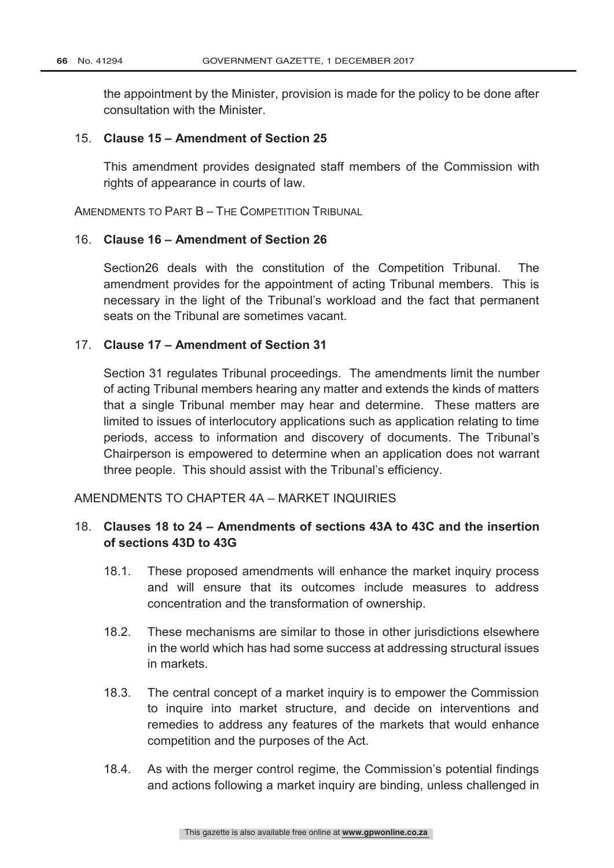the appointment by the Minister, provision is made for the policy to be done after consultation with the Minister.

### 15. **Clause 15 – Amendment of Section 25**

This amendment provides designated staff members of the Commission with rights of appearance in courts of law.

AMENDMENTS TO PART B – THE COMPETITION TRIBUNAL

### 16. **Clause 16 – Amendment of Section 26**

Section26 deals with the constitution of the Competition Tribunal. The amendment provides for the appointment of acting Tribunal members. This is necessary in the light of the Tribunal's workload and the fact that permanent seats on the Tribunal are sometimes vacant.

### 17. **Clause 17 – Amendment of Section 31**

Section 31 regulates Tribunal proceedings. The amendments limit the number of acting Tribunal members hearing any matter and extends the kinds of matters that a single Tribunal member may hear and determine. These matters are limited to issues of interlocutory applications such as application relating to time periods, access to information and discovery of documents. The Tribunal's Chairperson is empowered to determine when an application does not warrant three people. This should assist with the Tribunal's efficiency.

AMENDMENTS TO CHAPTER 4A – MARKET INQUIRIES

# 18. **Clauses 18 to 24 – Amendments of sections 43A to 43C and the insertion of sections 43D to 43G**

- 18.1. These proposed amendments will enhance the market inquiry process and will ensure that its outcomes include measures to address concentration and the transformation of ownership.
- 18.2. These mechanisms are similar to those in other jurisdictions elsewhere in the world which has had some success at addressing structural issues in markets.
- 18.3. The central concept of a market inquiry is to empower the Commission to inquire into market structure, and decide on interventions and remedies to address any features of the markets that would enhance competition and the purposes of the Act.
- 18.4. As with the merger control regime, the Commission's potential findings and actions following a market inquiry are binding, unless challenged in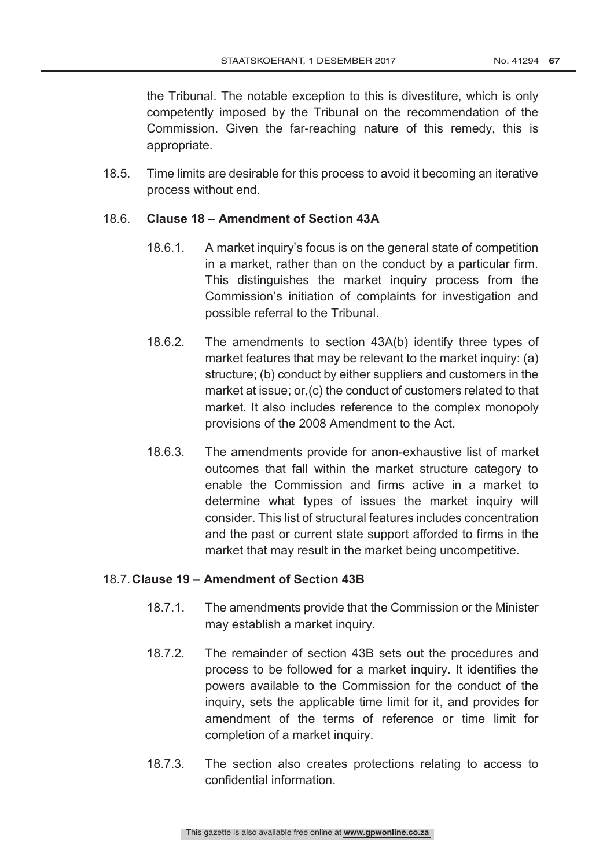the Tribunal. The notable exception to this is divestiture, which is only competently imposed by the Tribunal on the recommendation of the Commission. Given the far-reaching nature of this remedy, this is appropriate.

18.5. Time limits are desirable for this process to avoid it becoming an iterative process without end.

### 18.6. **Clause 18 – Amendment of Section 43A**

- 18.6.1. A market inquiry's focus is on the general state of competition in a market, rather than on the conduct by a particular firm. This distinguishes the market inquiry process from the Commission's initiation of complaints for investigation and possible referral to the Tribunal.
- 18.6.2. The amendments to section 43A(b) identify three types of market features that may be relevant to the market inquiry: (a) structure; (b) conduct by either suppliers and customers in the market at issue; or,(c) the conduct of customers related to that market. It also includes reference to the complex monopoly provisions of the 2008 Amendment to the Act.
- 18.6.3. The amendments provide for anon-exhaustive list of market outcomes that fall within the market structure category to enable the Commission and firms active in a market to determine what types of issues the market inquiry will consider. This list of structural features includes concentration and the past or current state support afforded to firms in the market that may result in the market being uncompetitive.

# 18.7. **Clause 19 – Amendment of Section 43B**

- 18.7.1. The amendments provide that the Commission or the Minister may establish a market inquiry.
- 18.7.2. The remainder of section 43B sets out the procedures and process to be followed for a market inquiry. It identifies the powers available to the Commission for the conduct of the inquiry, sets the applicable time limit for it, and provides for amendment of the terms of reference or time limit for completion of a market inquiry.
- 18.7.3. The section also creates protections relating to access to confidential information.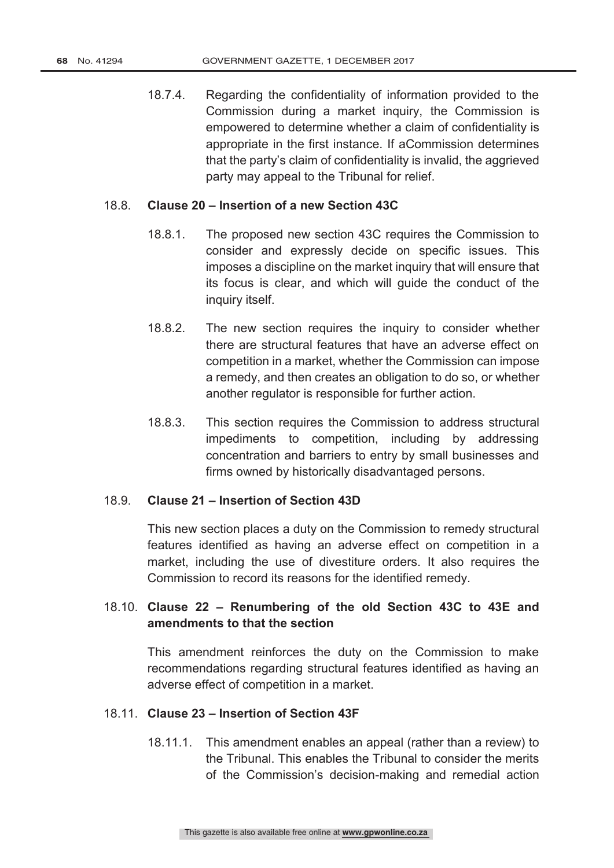18.7.4. Regarding the confidentiality of information provided to the Commission during a market inquiry, the Commission is empowered to determine whether a claim of confidentiality is appropriate in the first instance. If aCommission determines that the party's claim of confidentiality is invalid, the aggrieved party may appeal to the Tribunal for relief.

### 18.8. **Clause 20 – Insertion of a new Section 43C**

- 18.8.1. The proposed new section 43C requires the Commission to consider and expressly decide on specific issues. This imposes a discipline on the market inquiry that will ensure that its focus is clear, and which will guide the conduct of the inquiry itself.
- 18.8.2. The new section requires the inquiry to consider whether there are structural features that have an adverse effect on competition in a market, whether the Commission can impose a remedy, and then creates an obligation to do so, or whether another regulator is responsible for further action.
- 18.8.3. This section requires the Commission to address structural impediments to competition, including by addressing concentration and barriers to entry by small businesses and firms owned by historically disadvantaged persons.

### 18.9. **Clause 21 – Insertion of Section 43D**

This new section places a duty on the Commission to remedy structural features identified as having an adverse effect on competition in a market, including the use of divestiture orders. It also requires the Commission to record its reasons for the identified remedy.

# 18.10. **Clause 22 – Renumbering of the old Section 43C to 43E and amendments to that the section**

This amendment reinforces the duty on the Commission to make recommendations regarding structural features identified as having an adverse effect of competition in a market.

#### 18.11. **Clause 23 – Insertion of Section 43F**

18.11.1. This amendment enables an appeal (rather than a review) to the Tribunal. This enables the Tribunal to consider the merits of the Commission's decision-making and remedial action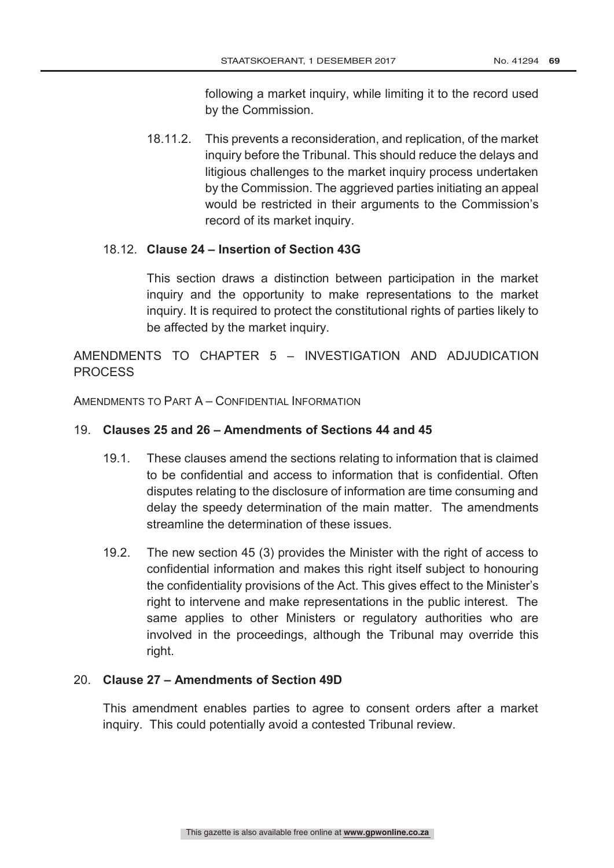following a market inquiry, while limiting it to the record used by the Commission.

18.11.2. This prevents a reconsideration, and replication, of the market inquiry before the Tribunal. This should reduce the delays and litigious challenges to the market inquiry process undertaken by the Commission. The aggrieved parties initiating an appeal would be restricted in their arguments to the Commission's record of its market inquiry.

# 18.12. **Clause 24 – Insertion of Section 43G**

This section draws a distinction between participation in the market inquiry and the opportunity to make representations to the market inquiry. It is required to protect the constitutional rights of parties likely to be affected by the market inquiry.

AMENDMENTS TO CHAPTER 5 – INVESTIGATION AND ADJUDICATION PROCESS

AMENDMENTS TO PART A – CONFIDENTIAL INFORMATION

# 19. **Clauses 25 and 26 – Amendments of Sections 44 and 45**

- 19.1. These clauses amend the sections relating to information that is claimed to be confidential and access to information that is confidential. Often disputes relating to the disclosure of information are time consuming and delay the speedy determination of the main matter. The amendments streamline the determination of these issues.
- 19.2. The new section 45 (3) provides the Minister with the right of access to confidential information and makes this right itself subject to honouring the confidentiality provisions of the Act. This gives effect to the Minister's right to intervene and make representations in the public interest. The same applies to other Ministers or regulatory authorities who are involved in the proceedings, although the Tribunal may override this right.

# 20. **Clause 27 – Amendments of Section 49D**

This amendment enables parties to agree to consent orders after a market inquiry. This could potentially avoid a contested Tribunal review.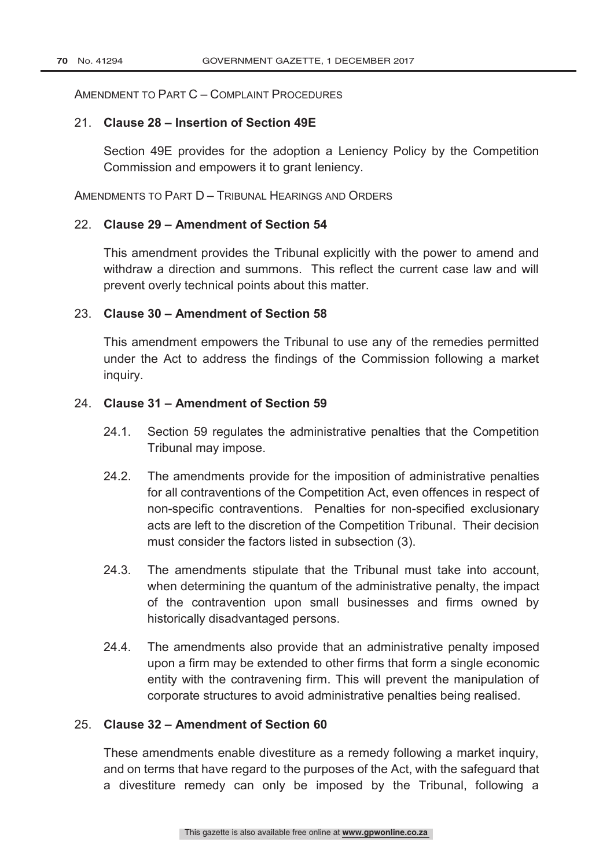AMENDMENT TO PART C - COMPLAINT PROCEDURES

# 21. **Clause 28 – Insertion of Section 49E**

Section 49E provides for the adoption a Leniency Policy by the Competition Commission and empowers it to grant leniency.

AMENDMENTS TO PART D - TRIBUNAL HEARINGS AND ORDERS

# 22. **Clause 29 – Amendment of Section 54**

This amendment provides the Tribunal explicitly with the power to amend and withdraw a direction and summons. This reflect the current case law and will prevent overly technical points about this matter.

# 23. **Clause 30 – Amendment of Section 58**

This amendment empowers the Tribunal to use any of the remedies permitted under the Act to address the findings of the Commission following a market inquiry.

### 24. **Clause 31 – Amendment of Section 59**

- 24.1. Section 59 regulates the administrative penalties that the Competition Tribunal may impose.
- 24.2. The amendments provide for the imposition of administrative penalties for all contraventions of the Competition Act, even offences in respect of non-specific contraventions. Penalties for non-specified exclusionary acts are left to the discretion of the Competition Tribunal. Their decision must consider the factors listed in subsection (3).
- 24.3. The amendments stipulate that the Tribunal must take into account, when determining the quantum of the administrative penalty, the impact of the contravention upon small businesses and firms owned by historically disadvantaged persons.
- 24.4. The amendments also provide that an administrative penalty imposed upon a firm may be extended to other firms that form a single economic entity with the contravening firm. This will prevent the manipulation of corporate structures to avoid administrative penalties being realised.

# 25. **Clause 32 – Amendment of Section 60**

These amendments enable divestiture as a remedy following a market inquiry, and on terms that have regard to the purposes of the Act, with the safeguard that a divestiture remedy can only be imposed by the Tribunal, following a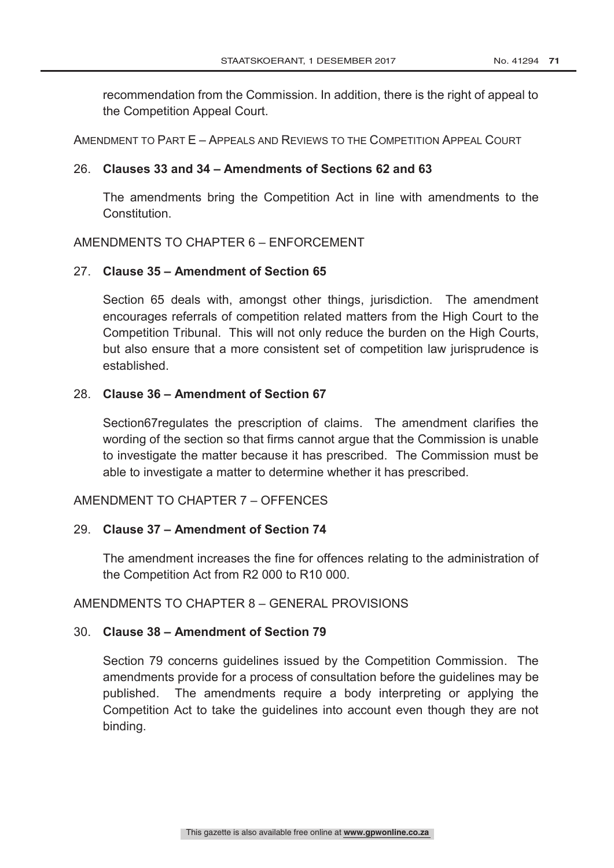recommendation from the Commission. In addition, there is the right of appeal to the Competition Appeal Court.

AMENDMENT TO PART E – APPEALS AND REVIEWS TO THE COMPETITION APPEAL COURT

# 26. **Clauses 33 and 34 – Amendments of Sections 62 and 63**

The amendments bring the Competition Act in line with amendments to the **Constitution** 

### AMENDMENTS TO CHAPTER 6 – ENFORCEMENT

### 27. **Clause 35 – Amendment of Section 65**

Section 65 deals with, amongst other things, jurisdiction. The amendment encourages referrals of competition related matters from the High Court to the Competition Tribunal. This will not only reduce the burden on the High Courts, but also ensure that a more consistent set of competition law jurisprudence is established.

# 28. **Clause 36 – Amendment of Section 67**

Section67regulates the prescription of claims. The amendment clarifies the wording of the section so that firms cannot argue that the Commission is unable to investigate the matter because it has prescribed. The Commission must be able to investigate a matter to determine whether it has prescribed.

AMENDMENT TO CHAPTER 7 – OFFENCES

### 29. **Clause 37 – Amendment of Section 74**

The amendment increases the fine for offences relating to the administration of the Competition Act from R2 000 to R10 000.

# AMENDMENTS TO CHAPTER 8 – GENERAL PROVISIONS

### 30. **Clause 38 – Amendment of Section 79**

Section 79 concerns guidelines issued by the Competition Commission. The amendments provide for a process of consultation before the guidelines may be published. The amendments require a body interpreting or applying the Competition Act to take the guidelines into account even though they are not binding.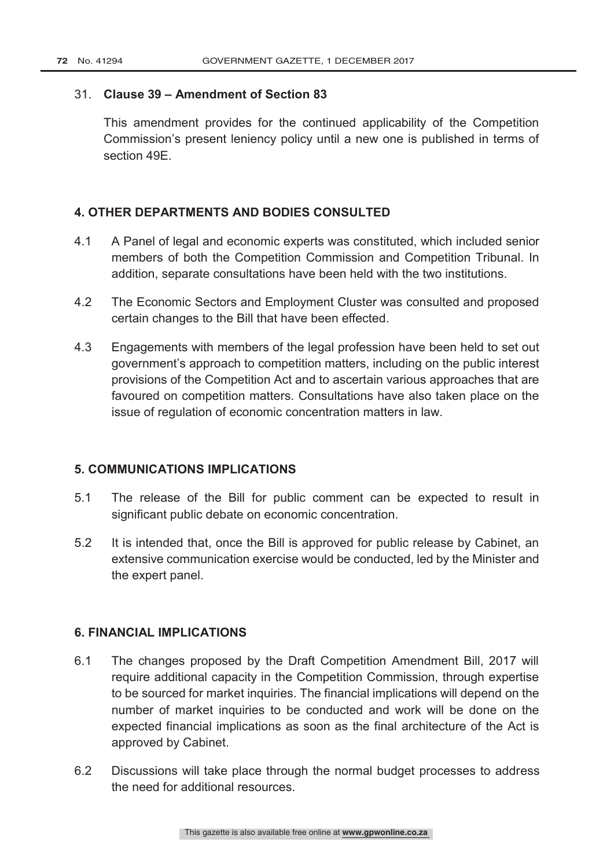# 31. **Clause 39 – Amendment of Section 83**

This amendment provides for the continued applicability of the Competition Commission's present leniency policy until a new one is published in terms of section 49E.

# **4. OTHER DEPARTMENTS AND BODIES CONSULTED**

- 4.1 A Panel of legal and economic experts was constituted, which included senior members of both the Competition Commission and Competition Tribunal. In addition, separate consultations have been held with the two institutions.
- 4.2 The Economic Sectors and Employment Cluster was consulted and proposed certain changes to the Bill that have been effected.
- 4.3 Engagements with members of the legal profession have been held to set out government's approach to competition matters, including on the public interest provisions of the Competition Act and to ascertain various approaches that are favoured on competition matters. Consultations have also taken place on the issue of regulation of economic concentration matters in law.

# **5. COMMUNICATIONS IMPLICATIONS**

- 5.1 The release of the Bill for public comment can be expected to result in significant public debate on economic concentration.
- 5.2 It is intended that, once the Bill is approved for public release by Cabinet, an extensive communication exercise would be conducted, led by the Minister and the expert panel.

# **6. FINANCIAL IMPLICATIONS**

- 6.1 The changes proposed by the Draft Competition Amendment Bill, 2017 will require additional capacity in the Competition Commission, through expertise to be sourced for market inquiries. The financial implications will depend on the number of market inquiries to be conducted and work will be done on the expected financial implications as soon as the final architecture of the Act is approved by Cabinet.
- 6.2 Discussions will take place through the normal budget processes to address the need for additional resources.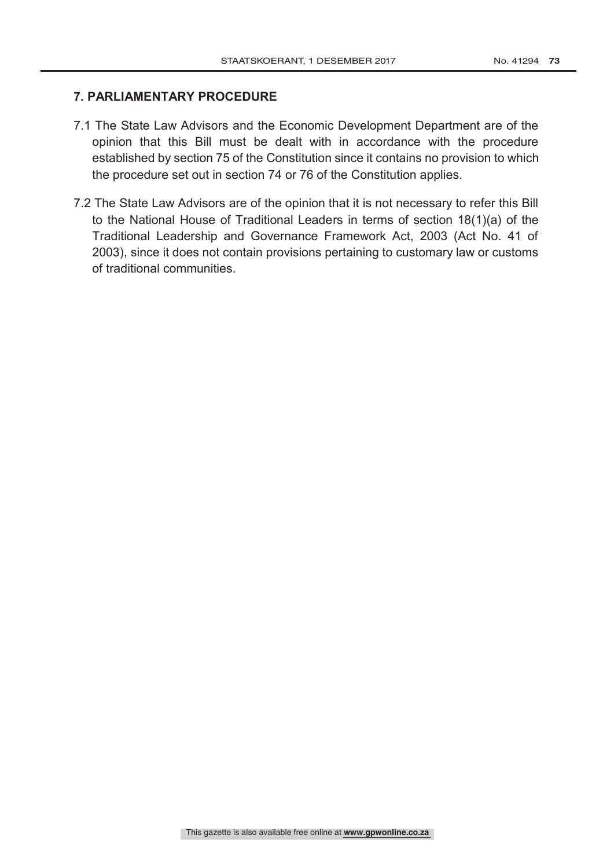# **7. PARLIAMENTARY PROCEDURE**

- 7.1 The State Law Advisors and the Economic Development Department are of the opinion that this Bill must be dealt with in accordance with the procedure established by section 75 of the Constitution since it contains no provision to which the procedure set out in section 74 or 76 of the Constitution applies.
- 7.2 The State Law Advisors are of the opinion that it is not necessary to refer this Bill to the National House of Traditional Leaders in terms of section 18(1)(a) of the Traditional Leadership and Governance Framework Act, 2003 (Act No. 41 of 2003), since it does not contain provisions pertaining to customary law or customs of traditional communities.